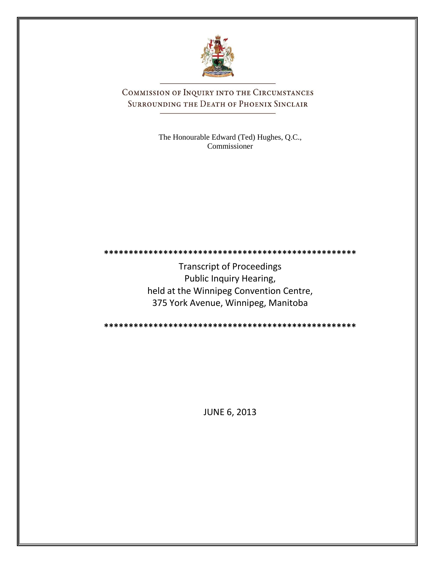

COMMISSION OF INQUIRY INTO THE CIRCUMSTANCES SURROUNDING THE DEATH OF PHOENIX SINCLAIR

> The Honourable Edward (Ted) Hughes, Q.C., Commissioner

**\*\*\*\*\*\*\*\*\*\*\*\*\*\*\*\*\*\*\*\*\*\*\*\*\*\*\*\*\*\*\*\*\*\*\*\*\*\*\*\*\*\*\*\*\*\*\*\*\*\*\***

Transcript of Proceedings Public Inquiry Hearing, held at the Winnipeg Convention Centre, 375 York Avenue, Winnipeg, Manitoba

**\*\*\*\*\*\*\*\*\*\*\*\*\*\*\*\*\*\*\*\*\*\*\*\*\*\*\*\*\*\*\*\*\*\*\*\*\*\*\*\*\*\*\*\*\*\*\*\*\*\*\***

JUNE 6, 2013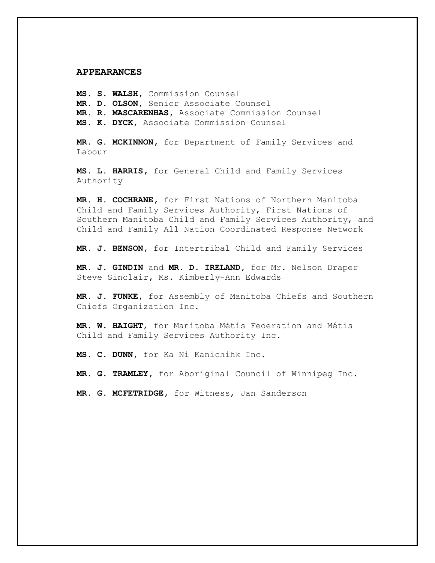### **APPEARANCES**

**MS. S. WALSH,** Commission Counsel **MR. D. OLSON,** Senior Associate Counsel **MR. R. MASCARENHAS,** Associate Commission Counsel **MS. K. DYCK,** Associate Commission Counsel

**MR. G. MCKINNON,** for Department of Family Services and Labour

**MS. L. HARRIS,** for General Child and Family Services Authority

**MR. H. COCHRANE,** for First Nations of Northern Manitoba Child and Family Services Authority, First Nations of Southern Manitoba Child and Family Services Authority, and Child and Family All Nation Coordinated Response Network

**MR. J. BENSON,** for Intertribal Child and Family Services

**MR. J. GINDIN** and **MR. D. IRELAND,** for Mr. Nelson Draper Steve Sinclair**,** Ms. Kimberly-Ann Edwards

**MR. J. FUNKE,** for Assembly of Manitoba Chiefs and Southern Chiefs Organization Inc.

**MR. W. HAIGHT**, for Manitoba Métis Federation and Métis Child and Family Services Authority Inc.

**MS. C. DUNN,** for Ka Ni Kanichihk Inc.

**MR. G. TRAMLEY,** for Aboriginal Council of Winnipeg Inc.

**MR. G. MCFETRIDGE,** for Witness, Jan Sanderson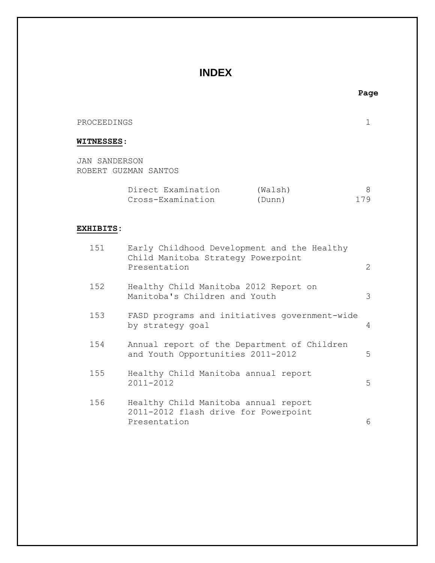# **INDEX**

## PROCEEDINGS 1

## **WITNESSES**:

JAN SANDERSON ROBERT GUZMAN SANTOS

| Direct Examination | (Walsh) |     |
|--------------------|---------|-----|
| Cross-Examination  | (Dunn)  | 179 |

## **EXHIBITS:**

| 151 | Early Childhood Development and the Healthy<br>Child Manitoba Strategy Powerpoint<br>Presentation | 2 |
|-----|---------------------------------------------------------------------------------------------------|---|
| 152 | Healthy Child Manitoba 2012 Report on<br>Manitoba's Children and Youth                            | 3 |
| 153 | FASD programs and initiatives government-wide<br>by strategy goal                                 | 4 |
| 154 | Annual report of the Department of Children<br>and Youth Opportunities 2011-2012                  | 5 |
| 155 | Healthy Child Manitoba annual report<br>2011-2012                                                 | 5 |
| 156 | Healthy Child Manitoba annual report<br>2011-2012 flash drive for Powerpoint<br>Presentation      | 6 |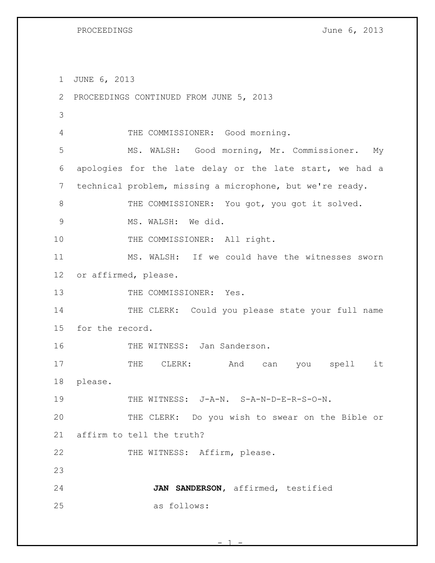JUNE 6, 2013 PROCEEDINGS CONTINUED FROM JUNE 5, 2013 THE COMMISSIONER: Good morning. MS. WALSH: Good morning, Mr. Commissioner. My apologies for the late delay or the late start, we had a technical problem, missing a microphone, but we're ready. 8 THE COMMISSIONER: You got, you got it solved. MS. WALSH: We did. 10 THE COMMISSIONER: All right. MS. WALSH: If we could have the witnesses sworn or affirmed, please. 13 THE COMMISSIONER: Yes. 14 THE CLERK: Could you please state your full name for the record. 16 THE WITNESS: Jan Sanderson. 17 THE CLERK: And can you spell it please. THE WITNESS: J-A-N. S-A-N-D-E-R-S-O-N. THE CLERK: Do you wish to swear on the Bible or affirm to tell the truth? 22 THE WITNESS: Affirm, please. **JAN SANDERSON,** affirmed, testified as follows:

 $- 1 -$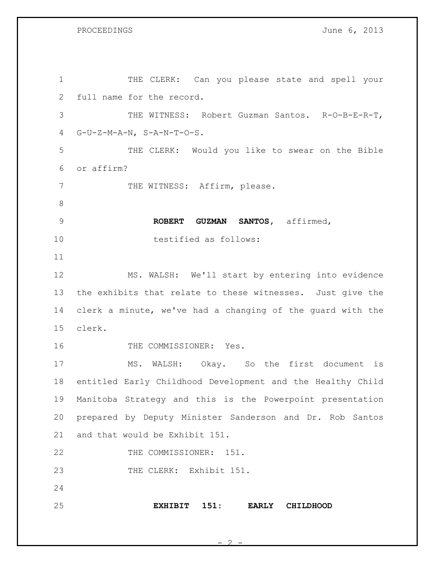PROCEEDINGS June 6, 2013

| $\mathbf 1$ | THE CLERK: Can you please state and spell your             |
|-------------|------------------------------------------------------------|
| 2           | full name for the record.                                  |
| 3           | THE WITNESS: Robert Guzman Santos. R-O-B-E-R-T,            |
| 4           | $G-U-Z-M-A-N, S-A-N-T-O-S.$                                |
| 5           | THE CLERK: Would you like to swear on the Bible            |
| 6           | or affirm?                                                 |
| 7           | THE WITNESS: Affirm, please.                               |
| 8           |                                                            |
| 9           | ROBERT GUZMAN SANTOS, affirmed,                            |
| 10          | testified as follows:                                      |
| 11          |                                                            |
| 12          | MS. WALSH: We'll start by entering into evidence           |
| 13          | the exhibits that relate to these witnesses. Just give the |
| 14          | clerk a minute, we've had a changing of the quard with the |
| 15          | clerk.                                                     |
| 16          | THE COMMISSIONER: Yes.                                     |
| 17          | MS. WALSH: Okay. So the first document is                  |
| 18          | entitled Early Childhood Development and the Healthy Child |
| 19          | Manitoba Strategy and this is the Powerpoint presentation  |
| 20          | prepared by Deputy Minister Sanderson and Dr. Rob Santos   |
| 21          | and that would be Exhibit 151.                             |
| 22          | THE COMMISSIONER: 151.                                     |
| 23          | THE CLERK: Exhibit 151.                                    |
| 24          |                                                            |
| 25          | EXHIBIT 151:<br><b>EARLY</b><br><b>CHILDHOOD</b>           |

 $\mathcal{L}$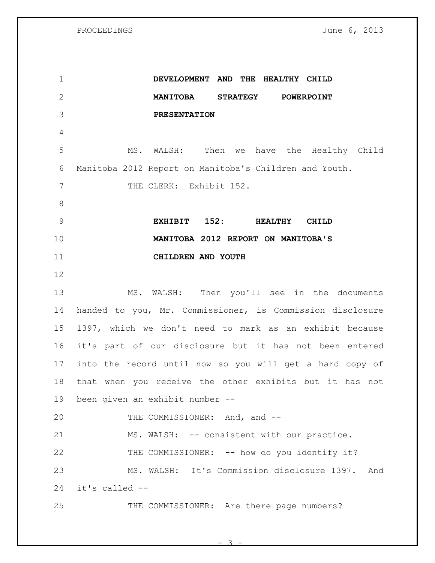**DEVELOPMENT AND THE HEALTHY CHILD MANITOBA STRATEGY POWERPOINT PRESENTATION** MS. WALSH: Then we have the Healthy Child Manitoba 2012 Report on Manitoba's Children and Youth. 7 THE CLERK: Exhibit 152. **EXHIBIT 152: HEALTHY CHILD MANITOBA 2012 REPORT ON MANITOBA'S CHILDREN AND YOUTH** MS. WALSH: Then you'll see in the documents handed to you, Mr. Commissioner, is Commission disclosure 1397, which we don't need to mark as an exhibit because it's part of our disclosure but it has not been entered into the record until now so you will get a hard copy of that when you receive the other exhibits but it has not been given an exhibit number -- 20 THE COMMISSIONER: And, and --21 MS. WALSH: -- consistent with our practice. THE COMMISSIONER: -- how do you identify it? MS. WALSH: It's Commission disclosure 1397. And it's called -- 25 THE COMMISSIONER: Are there page numbers?

 $\mathcal{L}$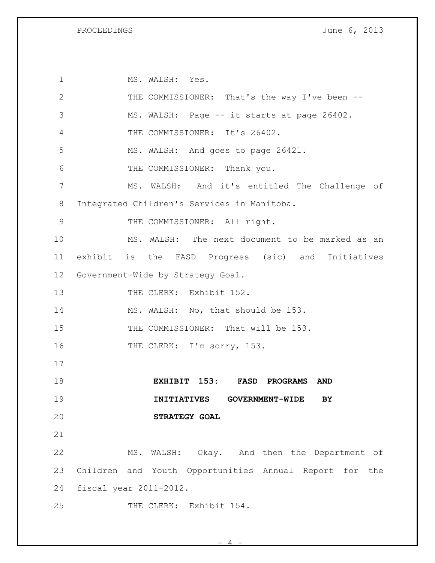1 MS. WALSH: Yes. 2 THE COMMISSIONER: That's the way I've been -- MS. WALSH: Page -- it starts at page 26402. THE COMMISSIONER: It's 26402. MS. WALSH: And goes to page 26421. THE COMMISSIONER: Thank you. MS. WALSH: And it's entitled The Challenge of Integrated Children's Services in Manitoba. 9 THE COMMISSIONER: All right. MS. WALSH: The next document to be marked as an exhibit is the FASD Progress (sic) and Initiatives Government-Wide by Strategy Goal. 13 THE CLERK: Exhibit 152. 14 MS. WALSH: No, that should be 153. 15 THE COMMISSIONER: That will be 153. 16 THE CLERK: I'm sorry, 153. **EXHIBIT 153: FASD PROGRAMS AND INITIATIVES GOVERNMENT-WIDE BY STRATEGY GOAL** MS. WALSH: Okay. And then the Department of Children and Youth Opportunities Annual Report for the fiscal year 2011-2012. 25 THE CLERK: Exhibit 154.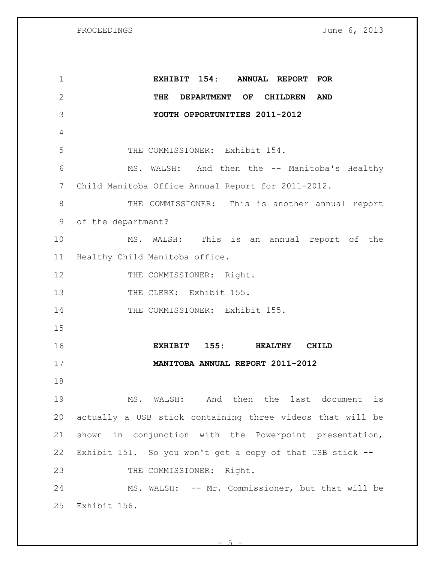PROCEEDINGS June 6, 2013

| $\mathbf 1$     | EXHIBIT 154:<br>ANNUAL REPORT FOR                         |
|-----------------|-----------------------------------------------------------|
| $\mathbf{2}$    | THE DEPARTMENT OF CHILDREN<br><b>AND</b>                  |
| 3               | YOUTH OPPORTUNITIES 2011-2012                             |
| 4               |                                                           |
| 5               | THE COMMISSIONER: Exhibit 154.                            |
| 6               | MS. WALSH: And then the -- Manitoba's Healthy             |
| $7\phantom{.0}$ | Child Manitoba Office Annual Report for 2011-2012.        |
| $8\,$           | THE COMMISSIONER: This is another annual report           |
| 9               | of the department?                                        |
| 10              | MS. WALSH: This is an annual report of the                |
| 11              | Healthy Child Manitoba office.                            |
| 12              | THE COMMISSIONER: Right.                                  |
| 13              | THE CLERK: Exhibit 155.                                   |
| 14              | THE COMMISSIONER: Exhibit 155.                            |
| 15              |                                                           |
| 16              | 155: HEALTHY<br><b>EXHIBIT</b><br><b>CHILD</b>            |
| 17              | MANITOBA ANNUAL REPORT 2011-2012                          |
| 18              |                                                           |
| 19              | MS. WALSH: And then the last document is                  |
| 20              | actually a USB stick containing three videos that will be |
| 21              | shown in conjunction with the Powerpoint presentation,    |
| 22              | Exhibit 151. So you won't get a copy of that USB stick -- |
| 23              | THE COMMISSIONER: Right.                                  |
| 24              | MS. WALSH: -- Mr. Commissioner, but that will be          |
| 25              | Exhibit 156.                                              |

 $-5 -$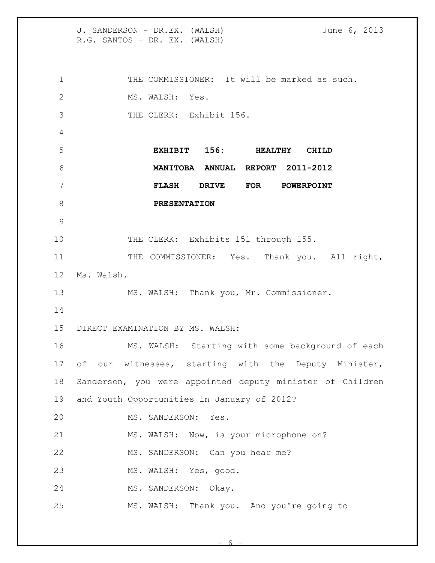J. SANDERSON - DR.EX. (WALSH) June 6, 2013 R.G. SANTOS - DR. EX. (WALSH) THE COMMISSIONER: It will be marked as such. MS. WALSH: Yes. 3 THE CLERK: Exhibit 156. **EXHIBIT 156: HEALTHY CHILD MANITOBA ANNUAL REPORT 2011-2012 FLASH DRIVE FOR POWERPOINT PRESENTATION** 10 THE CLERK: Exhibits 151 through 155. 11 THE COMMISSIONER: Yes. Thank you. All right, Ms. Walsh. MS. WALSH: Thank you, Mr. Commissioner. DIRECT EXAMINATION BY MS. WALSH: MS. WALSH: Starting with some background of each of our witnesses, starting with the Deputy Minister, Sanderson, you were appointed deputy minister of Children and Youth Opportunities in January of 2012? MS. SANDERSON: Yes. MS. WALSH: Now, is your microphone on? 22 MS. SANDERSON: Can you hear me? MS. WALSH: Yes, good. MS. SANDERSON: Okay. MS. WALSH: Thank you. And you're going to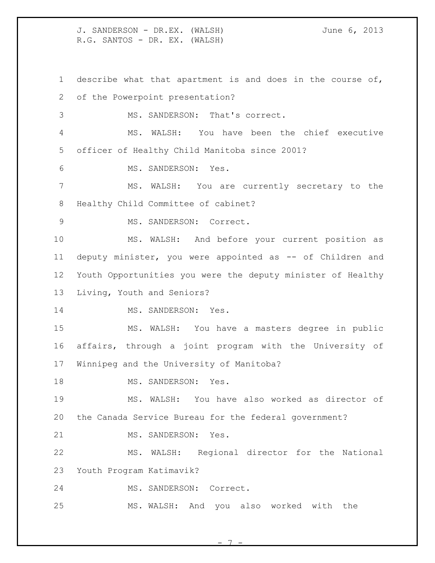describe what that apartment is and does in the course of, of the Powerpoint presentation? MS. SANDERSON: That's correct. MS. WALSH: You have been the chief executive officer of Healthy Child Manitoba since 2001? MS. SANDERSON: Yes. MS. WALSH: You are currently secretary to the Healthy Child Committee of cabinet? 9 MS. SANDERSON: Correct. MS. WALSH: And before your current position as 11 deputy minister, you were appointed as -- of Children and Youth Opportunities you were the deputy minister of Healthy Living, Youth and Seniors? 14 MS. SANDERSON: Yes. MS. WALSH: You have a masters degree in public affairs, through a joint program with the University of Winnipeg and the University of Manitoba? 18 MS. SANDERSON: Yes. MS. WALSH: You have also worked as director of the Canada Service Bureau for the federal government? 21 MS. SANDERSON: Yes. MS. WALSH: Regional director for the National Youth Program Katimavik? MS. SANDERSON: Correct. MS. WALSH: And you also worked with the

- 7 -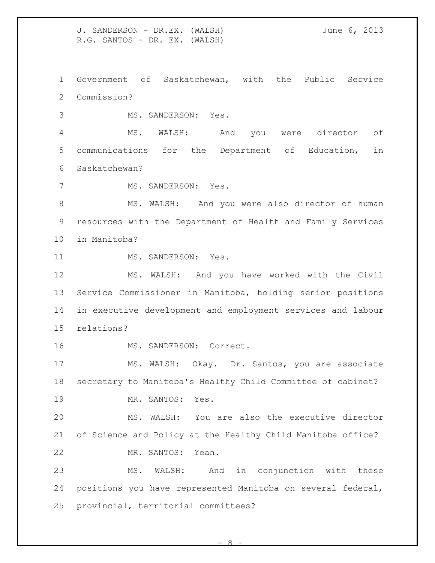J. SANDERSON - DR.EX. (WALSH) June 6, 2013 R.G. SANTOS - DR. EX. (WALSH) Government of Saskatchewan, with the Public Service Commission? MS. SANDERSON: Yes. MS. WALSH: And you were director of communications for the Department of Education, in Saskatchewan? MS. SANDERSON: Yes. 8 MS. WALSH: And you were also director of human resources with the Department of Health and Family Services in Manitoba? 11 MS. SANDERSON: Yes. MS. WALSH: And you have worked with the Civil Service Commissioner in Manitoba, holding senior positions in executive development and employment services and labour relations? MS. SANDERSON: Correct. MS. WALSH: Okay. Dr. Santos, you are associate secretary to Manitoba's Healthy Child Committee of cabinet? 19 MR. SANTOS: Yes. MS. WALSH: You are also the executive director of Science and Policy at the Healthy Child Manitoba office? MR. SANTOS: Yeah. MS. WALSH: And in conjunction with these positions you have represented Manitoba on several federal,

provincial, territorial committees?

 $\alpha$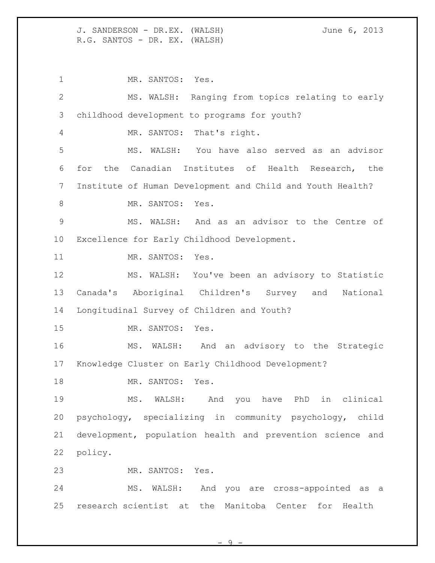1 MR. SANTOS: Yes. MS. WALSH: Ranging from topics relating to early childhood development to programs for youth? MR. SANTOS: That's right. MS. WALSH: You have also served as an advisor for the Canadian Institutes of Health Research, the Institute of Human Development and Child and Youth Health? 8 MR. SANTOS: Yes. MS. WALSH: And as an advisor to the Centre of Excellence for Early Childhood Development. 11 MR. SANTOS: Yes. MS. WALSH: You've been an advisory to Statistic Canada's Aboriginal Children's Survey and National Longitudinal Survey of Children and Youth? MR. SANTOS: Yes. MS. WALSH: And an advisory to the Strategic Knowledge Cluster on Early Childhood Development? 18 MR. SANTOS: Yes. MS. WALSH: And you have PhD in clinical psychology, specializing in community psychology, child development, population health and prevention science and policy. MR. SANTOS: Yes. MS. WALSH: And you are cross-appointed as a research scientist at the Manitoba Center for Health

 $\Omega$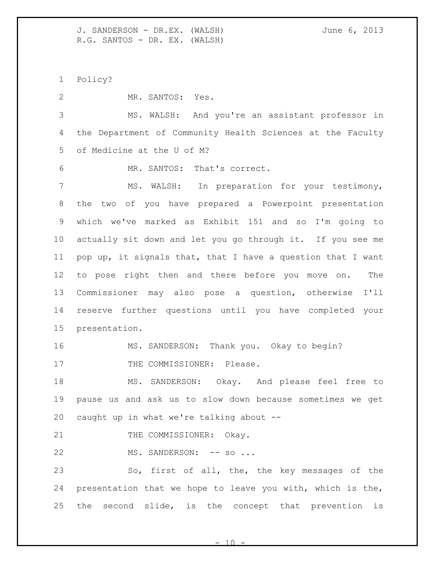Policy?

MR. SANTOS: Yes.

 MS. WALSH: And you're an assistant professor in the Department of Community Health Sciences at the Faculty of Medicine at the U of M?

MR. SANTOS: That's correct.

 MS. WALSH: In preparation for your testimony, the two of you have prepared a Powerpoint presentation which we've marked as Exhibit 151 and so I'm going to actually sit down and let you go through it. If you see me pop up, it signals that, that I have a question that I want to pose right then and there before you move on. The Commissioner may also pose a question, otherwise I'll reserve further questions until you have completed your presentation.

MS. SANDERSON: Thank you. Okay to begin?

17 THE COMMISSIONER: Please.

 MS. SANDERSON: Okay. And please feel free to pause us and ask us to slow down because sometimes we get caught up in what we're talking about --

21 THE COMMISSIONER: Okay.

22 MS. SANDERSON: -- so ...

 So, first of all, the, the key messages of the presentation that we hope to leave you with, which is the, the second slide, is the concept that prevention is

 $1<sub>0</sub>$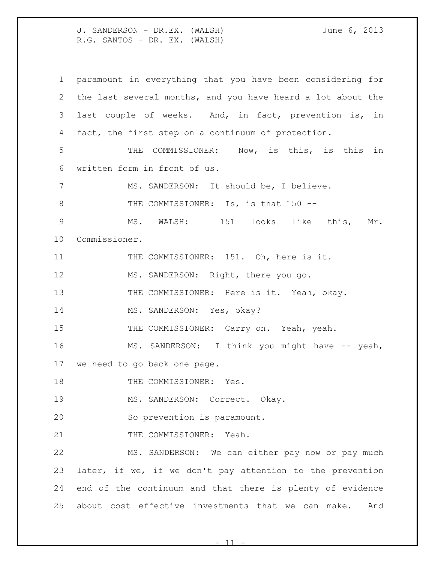paramount in everything that you have been considering for the last several months, and you have heard a lot about the last couple of weeks. And, in fact, prevention is, in fact, the first step on a continuum of protection. THE COMMISSIONER: Now, is this, is this in written form in front of us. MS. SANDERSON: It should be, I believe. 8 THE COMMISSIONER: Is, is that 150 -- MS. WALSH: 151 looks like this, Mr. Commissioner. 11 THE COMMISSIONER: 151. Oh, here is it. 12 MS. SANDERSON: Right, there you go. 13 THE COMMISSIONER: Here is it. Yeah, okay. 14 MS. SANDERSON: Yes, okay? 15 THE COMMISSIONER: Carry on. Yeah, yeah. 16 MS. SANDERSON: I think you might have -- yeah, we need to go back one page. 18 THE COMMISSIONER: Yes. MS. SANDERSON: Correct. Okay. So prevention is paramount. 21 THE COMMISSIONER: Yeah. MS. SANDERSON: We can either pay now or pay much later, if we, if we don't pay attention to the prevention end of the continuum and that there is plenty of evidence about cost effective investments that we can make. And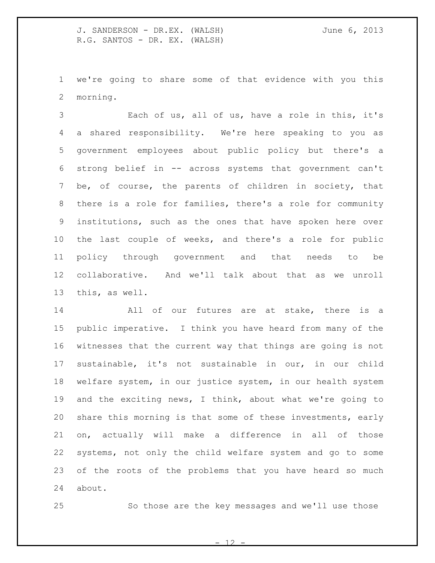we're going to share some of that evidence with you this morning.

 Each of us, all of us, have a role in this, it's a shared responsibility. We're here speaking to you as government employees about public policy but there's a strong belief in -- across systems that government can't be, of course, the parents of children in society, that there is a role for families, there's a role for community institutions, such as the ones that have spoken here over the last couple of weeks, and there's a role for public policy through government and that needs to be collaborative. And we'll talk about that as we unroll this, as well.

 All of our futures are at stake, there is a public imperative. I think you have heard from many of the witnesses that the current way that things are going is not sustainable, it's not sustainable in our, in our child welfare system, in our justice system, in our health system and the exciting news, I think, about what we're going to share this morning is that some of these investments, early on, actually will make a difference in all of those systems, not only the child welfare system and go to some of the roots of the problems that you have heard so much about.

So those are the key messages and we'll use those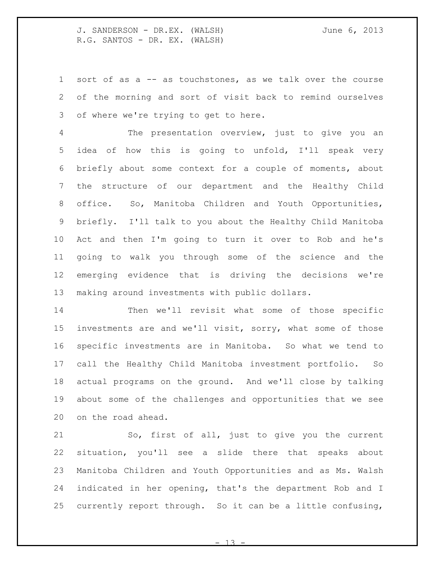sort of as a -- as touchstones, as we talk over the course of the morning and sort of visit back to remind ourselves of where we're trying to get to here.

 The presentation overview, just to give you an idea of how this is going to unfold, I'll speak very briefly about some context for a couple of moments, about the structure of our department and the Healthy Child office. So, Manitoba Children and Youth Opportunities, briefly. I'll talk to you about the Healthy Child Manitoba Act and then I'm going to turn it over to Rob and he's going to walk you through some of the science and the emerging evidence that is driving the decisions we're making around investments with public dollars.

 Then we'll revisit what some of those specific investments are and we'll visit, sorry, what some of those specific investments are in Manitoba. So what we tend to call the Healthy Child Manitoba investment portfolio. So actual programs on the ground. And we'll close by talking about some of the challenges and opportunities that we see on the road ahead.

 So, first of all, just to give you the current situation, you'll see a slide there that speaks about Manitoba Children and Youth Opportunities and as Ms. Walsh indicated in her opening, that's the department Rob and I currently report through. So it can be a little confusing,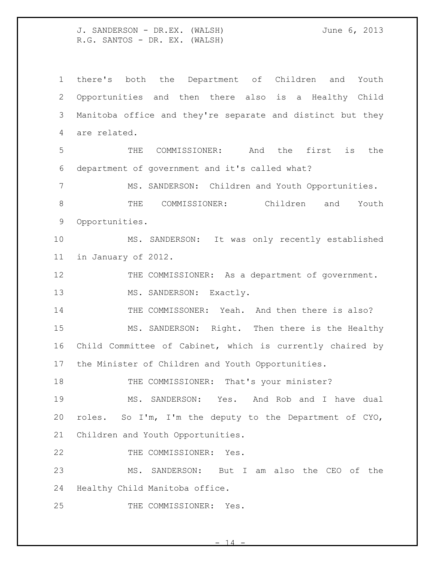there's both the Department of Children and Youth Opportunities and then there also is a Healthy Child Manitoba office and they're separate and distinct but they are related.

 THE COMMISSIONER: And the first is the department of government and it's called what?

 MS. SANDERSON: Children and Youth Opportunities. THE COMMISSIONER: Children and Youth Opportunities.

 MS. SANDERSON: It was only recently established in January of 2012.

12 THE COMMISSIONER: As a department of government. 13 MS. SANDERSON: Exactly.

THE COMMISSONER: Yeah. And then there is also?

 MS. SANDERSON: Right. Then there is the Healthy Child Committee of Cabinet, which is currently chaired by the Minister of Children and Youth Opportunities.

18 THE COMMISSIONER: That's your minister?

 MS. SANDERSON: Yes. And Rob and I have dual roles. So I'm, I'm the deputy to the Department of CYO, Children and Youth Opportunities.

22 THE COMMISSIONER: Yes.

 MS. SANDERSON: But I am also the CEO of the Healthy Child Manitoba office.

THE COMMISSIONER: Yes.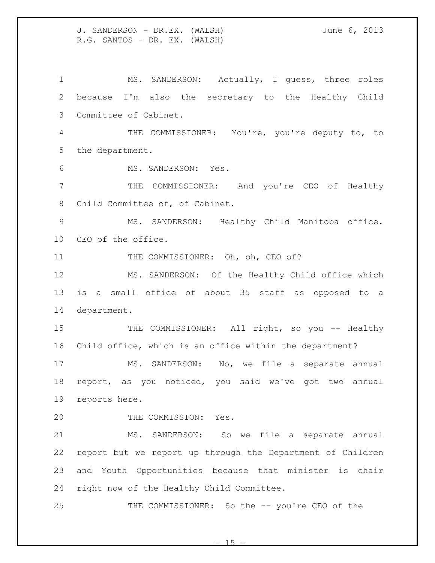MS. SANDERSON: Actually, I guess, three roles because I'm also the secretary to the Healthy Child Committee of Cabinet. THE COMMISSIONER: You're, you're deputy to, to the department. MS. SANDERSON: Yes. THE COMMISSIONER: And you're CEO of Healthy Child Committee of, of Cabinet. MS. SANDERSON: Healthy Child Manitoba office. CEO of the office. 11 THE COMMISSIONER: Oh, oh, CEO of? MS. SANDERSON: Of the Healthy Child office which is a small office of about 35 staff as opposed to a department. 15 THE COMMISSIONER: All right, so you -- Healthy Child office, which is an office within the department? MS. SANDERSON: No, we file a separate annual report, as you noticed, you said we've got two annual reports here. THE COMMISSION: Yes. MS. SANDERSON: So we file a separate annual report but we report up through the Department of Children and Youth Opportunities because that minister is chair right now of the Healthy Child Committee. THE COMMISSIONER: So the -- you're CEO of the

 $- 15$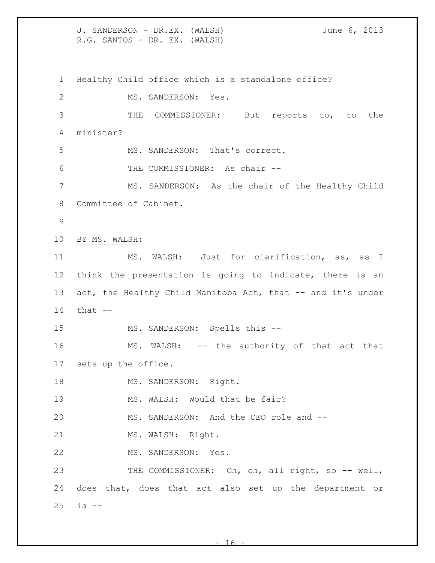J. SANDERSON - DR.EX. (WALSH) June 6, 2013 R.G. SANTOS - DR. EX. (WALSH) Healthy Child office which is a standalone office? MS. SANDERSON: Yes. THE COMMISSIONER: But reports to, to the minister? MS. SANDERSON: That's correct. THE COMMISSIONER: As chair -- MS. SANDERSON: As the chair of the Healthy Child Committee of Cabinet. BY MS. WALSH: MS. WALSH: Just for clarification, as, as I think the presentation is going to indicate, there is an 13 act, the Healthy Child Manitoba Act, that -- and it's under that  $-$ 15 MS. SANDERSON: Spells this -- MS. WALSH: -- the authority of that act that sets up the office. 18 MS. SANDERSON: Right. 19 MS. WALSH: Would that be fair? MS. SANDERSON: And the CEO role and -- 21 MS. WALSH: Right. MS. SANDERSON: Yes. 23 THE COMMISSIONER: Oh, oh, all right, so -- well, does that, does that act also set up the department or is --

 $- 16$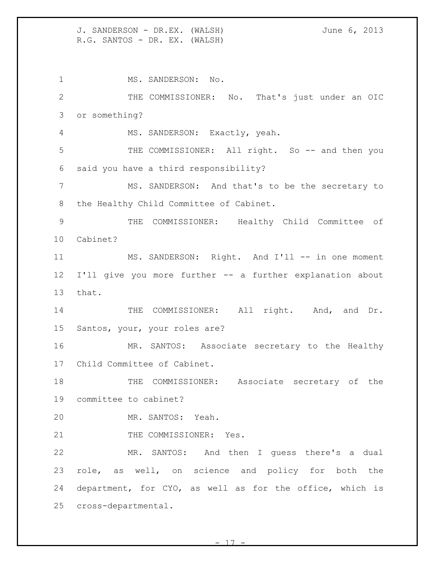MS. SANDERSON: No. THE COMMISSIONER: No. That's just under an OIC or something? MS. SANDERSON: Exactly, yeah. THE COMMISSIONER: All right. So -- and then you said you have a third responsibility? MS. SANDERSON: And that's to be the secretary to the Healthy Child Committee of Cabinet. THE COMMISSIONER: Healthy Child Committee of Cabinet? 11 MS. SANDERSON: Right. And I'll -- in one moment I'll give you more further -- a further explanation about that. 14 THE COMMISSIONER: All right. And, and Dr. Santos, your, your roles are? MR. SANTOS: Associate secretary to the Healthy Child Committee of Cabinet. THE COMMISSIONER: Associate secretary of the committee to cabinet? MR. SANTOS: Yeah. 21 THE COMMISSIONER: Yes. MR. SANTOS: And then I guess there's a dual role, as well, on science and policy for both the department, for CYO, as well as for the office, which is cross-departmental.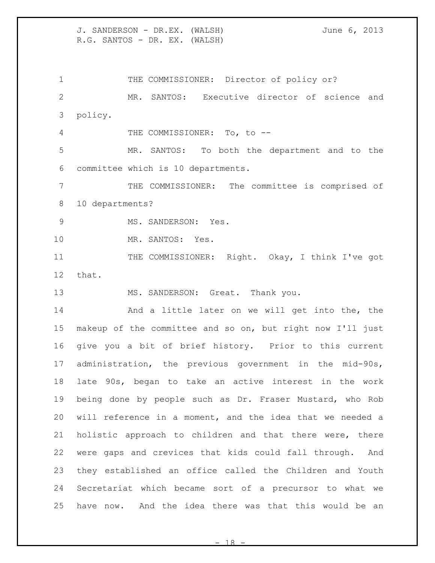1 THE COMMISSIONER: Director of policy or? MR. SANTOS: Executive director of science and policy. 4 THE COMMISSIONER: To, to -- MR. SANTOS: To both the department and to the committee which is 10 departments. THE COMMISSIONER: The committee is comprised of 10 departments? MS. SANDERSON: Yes. MR. SANTOS: Yes. 11 THE COMMISSIONER: Right. Okay, I think I've got that. 13 MS. SANDERSON: Great. Thank you. And a little later on we will get into the, the makeup of the committee and so on, but right now I'll just

 give you a bit of brief history. Prior to this current administration, the previous government in the mid-90s, late 90s, began to take an active interest in the work being done by people such as Dr. Fraser Mustard, who Rob will reference in a moment, and the idea that we needed a holistic approach to children and that there were, there were gaps and crevices that kids could fall through. And they established an office called the Children and Youth Secretariat which became sort of a precursor to what we have now. And the idea there was that this would be an

 $- 18$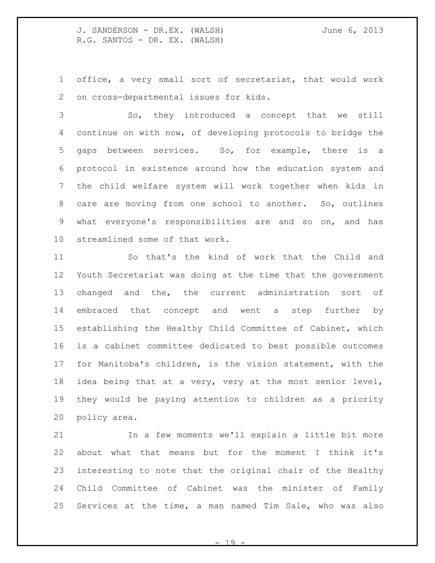office, a very small sort of secretariat, that would work on cross-departmental issues for kids.

 So, they introduced a concept that we still continue on with now, of developing protocols to bridge the gaps between services. So, for example, there is a protocol in existence around how the education system and the child welfare system will work together when kids in care are moving from one school to another. So, outlines what everyone's responsibilities are and so on, and has streamlined some of that work.

 So that's the kind of work that the Child and Youth Secretariat was doing at the time that the government changed and the, the current administration sort of embraced that concept and went a step further by establishing the Healthy Child Committee of Cabinet, which is a cabinet committee dedicated to best possible outcomes for Manitoba's children, is the vision statement, with the idea being that at a very, very at the most senior level, they would be paying attention to children as a priority policy area.

 In a few moments we'll explain a little bit more about what that means but for the moment I think it's interesting to note that the original chair of the Healthy Child Committee of Cabinet was the minister of Family Services at the time, a man named Tim Sale, who was also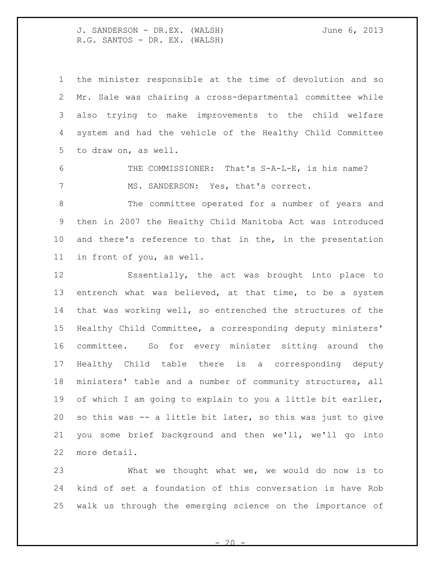the minister responsible at the time of devolution and so Mr. Sale was chairing a cross-departmental committee while also trying to make improvements to the child welfare system and had the vehicle of the Healthy Child Committee to draw on, as well.

 THE COMMISSIONER: That's S-A-L-E, is his name? 7 MS. SANDERSON: Yes, that's correct.

 The committee operated for a number of years and then in 2007 the Healthy Child Manitoba Act was introduced and there's reference to that in the, in the presentation in front of you, as well.

 Essentially, the act was brought into place to entrench what was believed, at that time, to be a system that was working well, so entrenched the structures of the Healthy Child Committee, a corresponding deputy ministers' committee. So for every minister sitting around the Healthy Child table there is a corresponding deputy ministers' table and a number of community structures, all of which I am going to explain to you a little bit earlier, so this was -- a little bit later, so this was just to give you some brief background and then we'll, we'll go into more detail.

 What we thought what we, we would do now is to kind of set a foundation of this conversation is have Rob walk us through the emerging science on the importance of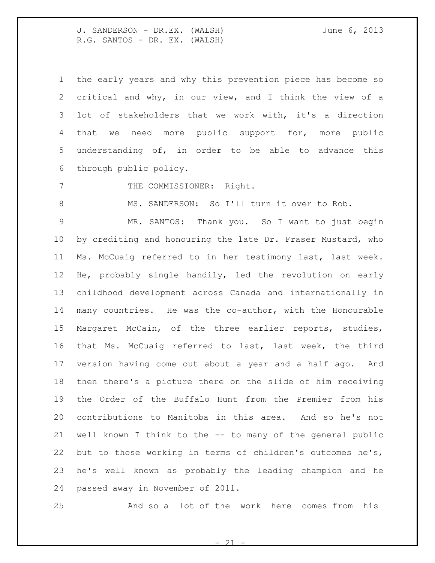the early years and why this prevention piece has become so critical and why, in our view, and I think the view of a lot of stakeholders that we work with, it's a direction that we need more public support for, more public understanding of, in order to be able to advance this through public policy.

7 THE COMMISSIONER: Right.

MS. SANDERSON: So I'll turn it over to Rob.

 MR. SANTOS: Thank you. So I want to just begin by crediting and honouring the late Dr. Fraser Mustard, who Ms. McCuaig referred to in her testimony last, last week. He, probably single handily, led the revolution on early childhood development across Canada and internationally in many countries. He was the co-author, with the Honourable Margaret McCain, of the three earlier reports, studies, that Ms. McCuaig referred to last, last week, the third version having come out about a year and a half ago. And then there's a picture there on the slide of him receiving the Order of the Buffalo Hunt from the Premier from his contributions to Manitoba in this area. And so he's not well known I think to the -- to many of the general public but to those working in terms of children's outcomes he's, he's well known as probably the leading champion and he passed away in November of 2011.

And so a lot of the work here comes from his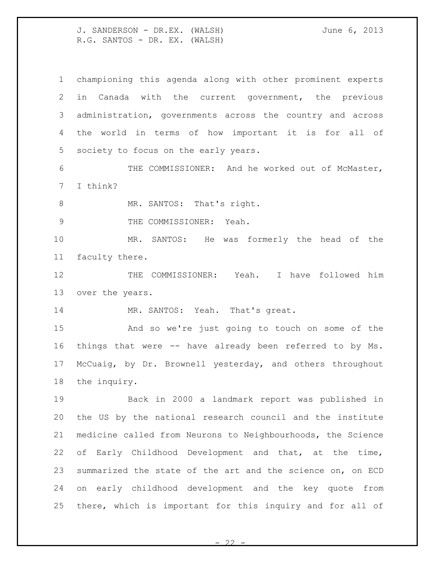championing this agenda along with other prominent experts in Canada with the current government, the previous administration, governments across the country and across the world in terms of how important it is for all of society to focus on the early years.

 THE COMMISSIONER: And he worked out of McMaster, I think?

8 MR. SANTOS: That's right.

9 THE COMMISSIONER: Yeah.

 MR. SANTOS: He was formerly the head of the faculty there.

12 THE COMMISSIONER: Yeah. I have followed him over the years.

MR. SANTOS: Yeah. That's great.

 And so we're just going to touch on some of the things that were -- have already been referred to by Ms. McCuaig, by Dr. Brownell yesterday, and others throughout the inquiry.

 Back in 2000 a landmark report was published in the US by the national research council and the institute medicine called from Neurons to Neighbourhoods, the Science of Early Childhood Development and that, at the time, summarized the state of the art and the science on, on ECD on early childhood development and the key quote from there, which is important for this inquiry and for all of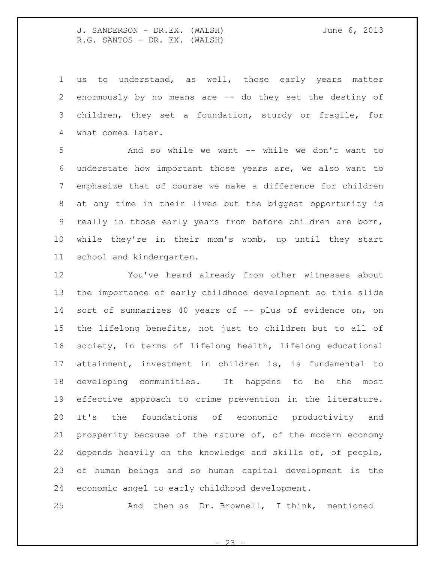us to understand, as well, those early years matter enormously by no means are -- do they set the destiny of children, they set a foundation, sturdy or fragile, for what comes later.

 And so while we want -- while we don't want to understate how important those years are, we also want to emphasize that of course we make a difference for children at any time in their lives but the biggest opportunity is really in those early years from before children are born, while they're in their mom's womb, up until they start school and kindergarten.

 You've heard already from other witnesses about the importance of early childhood development so this slide 14 sort of summarizes 40 years of -- plus of evidence on, on the lifelong benefits, not just to children but to all of society, in terms of lifelong health, lifelong educational attainment, investment in children is, is fundamental to developing communities. It happens to be the most effective approach to crime prevention in the literature. It's the foundations of economic productivity and 21 prosperity because of the nature of, of the modern economy depends heavily on the knowledge and skills of, of people, of human beings and so human capital development is the economic angel to early childhood development.

And then as Dr. Brownell, I think, mentioned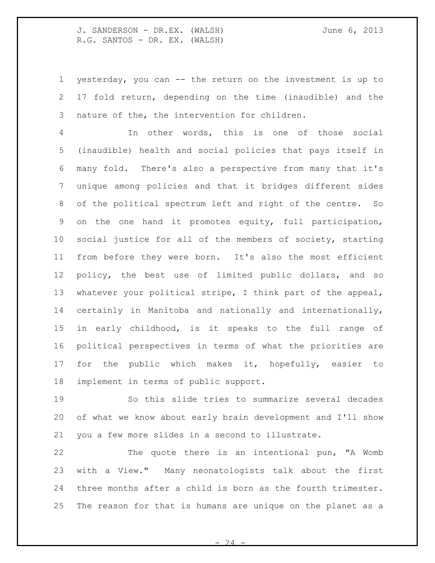yesterday, you can -- the return on the investment is up to 17 fold return, depending on the time (inaudible) and the nature of the, the intervention for children.

 In other words, this is one of those social (inaudible) health and social policies that pays itself in many fold. There's also a perspective from many that it's unique among policies and that it bridges different sides of the political spectrum left and right of the centre. So on the one hand it promotes equity, full participation, social justice for all of the members of society, starting from before they were born. It's also the most efficient policy, the best use of limited public dollars, and so whatever your political stripe, I think part of the appeal, certainly in Manitoba and nationally and internationally, in early childhood, is it speaks to the full range of political perspectives in terms of what the priorities are 17 for the public which makes it, hopefully, easier to implement in terms of public support.

 So this slide tries to summarize several decades of what we know about early brain development and I'll show you a few more slides in a second to illustrate.

 The quote there is an intentional pun, "A Womb with a View." Many neonatologists talk about the first three months after a child is born as the fourth trimester. The reason for that is humans are unique on the planet as a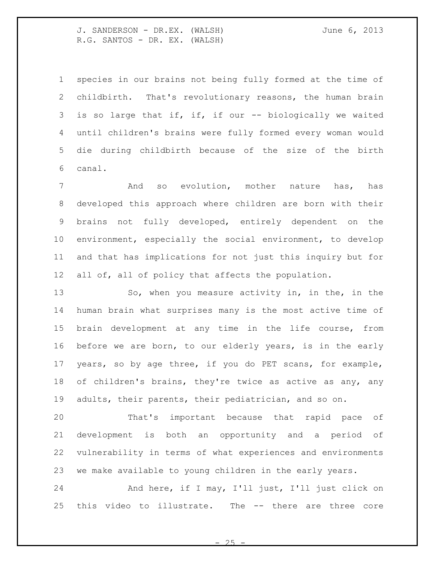species in our brains not being fully formed at the time of childbirth. That's revolutionary reasons, the human brain 3 is so large that if, if, if our -- biologically we waited until children's brains were fully formed every woman would die during childbirth because of the size of the birth canal.

 And so evolution, mother nature has, has developed this approach where children are born with their brains not fully developed, entirely dependent on the environment, especially the social environment, to develop and that has implications for not just this inquiry but for all of, all of policy that affects the population.

13 So, when you measure activity in, in the, in the human brain what surprises many is the most active time of brain development at any time in the life course, from before we are born, to our elderly years, is in the early years, so by age three, if you do PET scans, for example, of children's brains, they're twice as active as any, any adults, their parents, their pediatrician, and so on.

 That's important because that rapid pace of development is both an opportunity and a period of vulnerability in terms of what experiences and environments we make available to young children in the early years.

24 And here, if I may, I'll just, I'll just click on this video to illustrate. The -- there are three core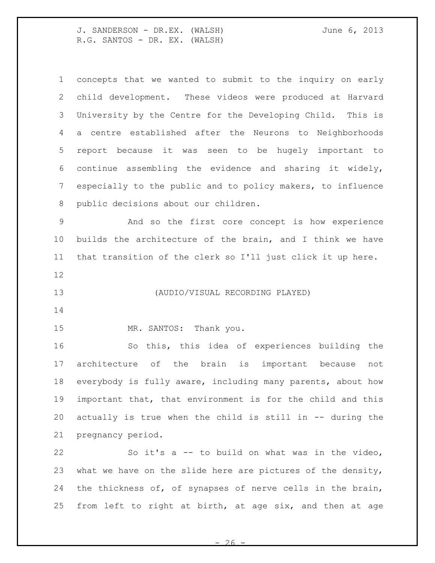| $\mathbf 1$     | concepts that we wanted to submit to the inquiry on early   |
|-----------------|-------------------------------------------------------------|
| 2               | child development. These videos were produced at Harvard    |
| 3               | University by the Centre for the Developing Child. This is  |
| 4               | a centre established after the Neurons to Neighborhoods     |
| 5               | report because it was seen to be hugely important to        |
| 6               | continue assembling the evidence and sharing it widely,     |
| $7\phantom{.0}$ | especially to the public and to policy makers, to influence |
| 8               | public decisions about our children.                        |
| $\mathcal{G}$   | And so the first core concept is how experience             |
| 10              | builds the architecture of the brain, and I think we have   |
| 11              | that transition of the clerk so I'll just click it up here. |
| 12              |                                                             |
| 13              | (AUDIO/VISUAL RECORDING PLAYED)                             |
|                 |                                                             |
|                 |                                                             |
|                 | MR. SANTOS: Thank you.                                      |
| 14<br>15<br>16  | So this, this idea of experiences building the              |
| 17              | architecture of the brain is important because<br>not       |
| 18              | everybody is fully aware, including many parents, about how |
| 19              | important that, that environment is for the child and this  |
| 20              | actually is true when the child is still in -- during the   |
| 21              | pregnancy period.                                           |
| 22              | So it's a -- to build on what was in the video,             |
| 23              | what we have on the slide here are pictures of the density, |

 $-26$  -

from left to right at birth, at age six, and then at age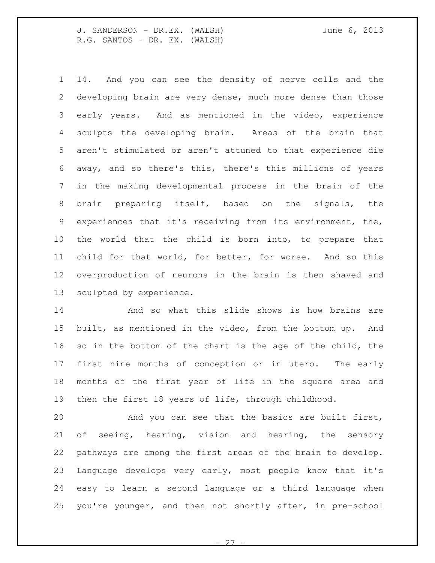14. And you can see the density of nerve cells and the developing brain are very dense, much more dense than those early years. And as mentioned in the video, experience sculpts the developing brain. Areas of the brain that aren't stimulated or aren't attuned to that experience die away, and so there's this, there's this millions of years in the making developmental process in the brain of the brain preparing itself, based on the signals, the experiences that it's receiving from its environment, the, the world that the child is born into, to prepare that child for that world, for better, for worse. And so this overproduction of neurons in the brain is then shaved and sculpted by experience.

 And so what this slide shows is how brains are built, as mentioned in the video, from the bottom up. And so in the bottom of the chart is the age of the child, the first nine months of conception or in utero. The early months of the first year of life in the square area and then the first 18 years of life, through childhood.

 And you can see that the basics are built first, of seeing, hearing, vision and hearing, the sensory pathways are among the first areas of the brain to develop. Language develops very early, most people know that it's easy to learn a second language or a third language when you're younger, and then not shortly after, in pre-school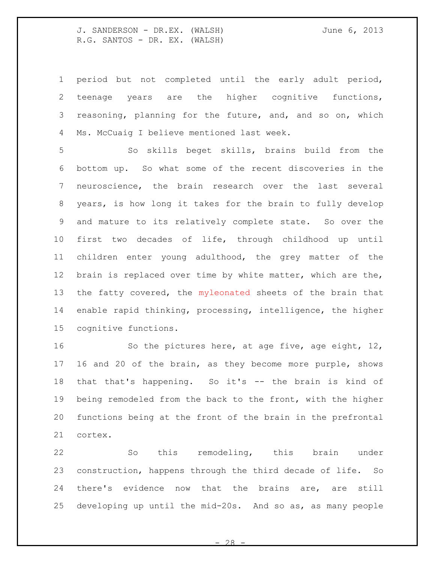period but not completed until the early adult period, teenage years are the higher cognitive functions, reasoning, planning for the future, and, and so on, which Ms. McCuaig I believe mentioned last week.

 So skills beget skills, brains build from the bottom up. So what some of the recent discoveries in the neuroscience, the brain research over the last several years, is how long it takes for the brain to fully develop and mature to its relatively complete state. So over the first two decades of life, through childhood up until children enter young adulthood, the grey matter of the brain is replaced over time by white matter, which are the, 13 the fatty covered, the myleonated sheets of the brain that enable rapid thinking, processing, intelligence, the higher cognitive functions.

16 So the pictures here, at age five, age eight, 12, 16 and 20 of the brain, as they become more purple, shows that that's happening. So it's -- the brain is kind of being remodeled from the back to the front, with the higher functions being at the front of the brain in the prefrontal cortex.

 So this remodeling, this brain under construction, happens through the third decade of life. So there's evidence now that the brains are, are still developing up until the mid-20s. And so as, as many people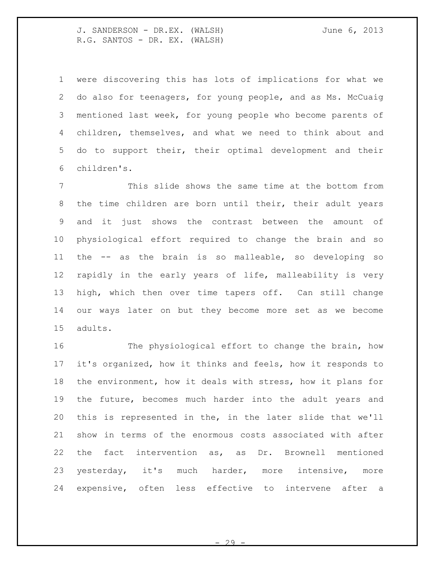were discovering this has lots of implications for what we do also for teenagers, for young people, and as Ms. McCuaig mentioned last week, for young people who become parents of children, themselves, and what we need to think about and do to support their, their optimal development and their children's.

 This slide shows the same time at the bottom from the time children are born until their, their adult years and it just shows the contrast between the amount of physiological effort required to change the brain and so the -- as the brain is so malleable, so developing so rapidly in the early years of life, malleability is very high, which then over time tapers off. Can still change our ways later on but they become more set as we become adults.

 The physiological effort to change the brain, how it's organized, how it thinks and feels, how it responds to the environment, how it deals with stress, how it plans for the future, becomes much harder into the adult years and this is represented in the, in the later slide that we'll show in terms of the enormous costs associated with after the fact intervention as, as Dr. Brownell mentioned yesterday, it's much harder, more intensive, more expensive, often less effective to intervene after a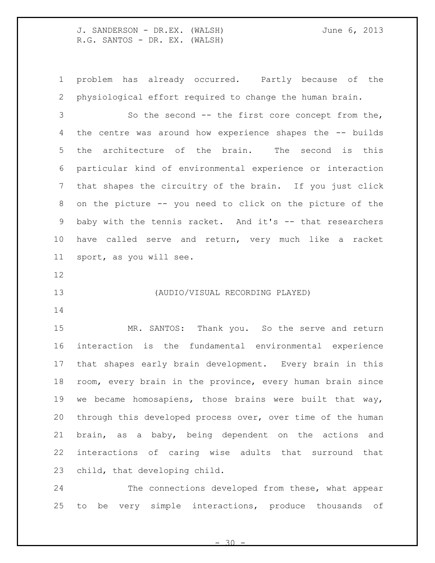problem has already occurred. Partly because of the physiological effort required to change the human brain.

 So the second -- the first core concept from the, the centre was around how experience shapes the -- builds the architecture of the brain. The second is this particular kind of environmental experience or interaction that shapes the circuitry of the brain. If you just click on the picture -- you need to click on the picture of the baby with the tennis racket. And it's -- that researchers have called serve and return, very much like a racket sport, as you will see.

### (AUDIO/VISUAL RECORDING PLAYED)

 MR. SANTOS: Thank you. So the serve and return interaction is the fundamental environmental experience that shapes early brain development. Every brain in this room, every brain in the province, every human brain since we became homosapiens, those brains were built that way, through this developed process over, over time of the human brain, as a baby, being dependent on the actions and interactions of caring wise adults that surround that child, that developing child.

 The connections developed from these, what appear to be very simple interactions, produce thousands of

 $30 -$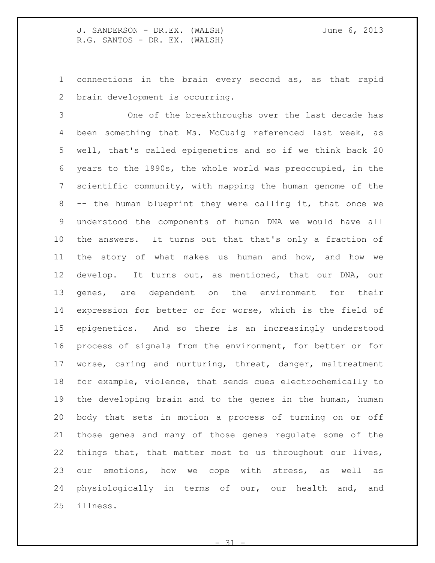connections in the brain every second as, as that rapid brain development is occurring.

 One of the breakthroughs over the last decade has been something that Ms. McCuaig referenced last week, as well, that's called epigenetics and so if we think back 20 years to the 1990s, the whole world was preoccupied, in the scientific community, with mapping the human genome of the -- the human blueprint they were calling it, that once we understood the components of human DNA we would have all the answers. It turns out that that's only a fraction of the story of what makes us human and how, and how we develop. It turns out, as mentioned, that our DNA, our genes, are dependent on the environment for their expression for better or for worse, which is the field of epigenetics. And so there is an increasingly understood process of signals from the environment, for better or for worse, caring and nurturing, threat, danger, maltreatment for example, violence, that sends cues electrochemically to the developing brain and to the genes in the human, human body that sets in motion a process of turning on or off those genes and many of those genes regulate some of the things that, that matter most to us throughout our lives, our emotions, how we cope with stress, as well as physiologically in terms of our, our health and, and illness.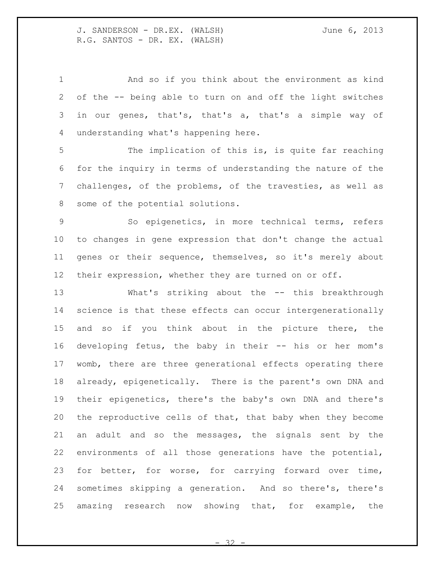And so if you think about the environment as kind of the -- being able to turn on and off the light switches in our genes, that's, that's a, that's a simple way of understanding what's happening here.

 The implication of this is, is quite far reaching for the inquiry in terms of understanding the nature of the challenges, of the problems, of the travesties, as well as some of the potential solutions.

 So epigenetics, in more technical terms, refers to changes in gene expression that don't change the actual genes or their sequence, themselves, so it's merely about their expression, whether they are turned on or off.

 What's striking about the -- this breakthrough science is that these effects can occur intergenerationally 15 and so if you think about in the picture there, the developing fetus, the baby in their -- his or her mom's womb, there are three generational effects operating there already, epigenetically. There is the parent's own DNA and their epigenetics, there's the baby's own DNA and there's the reproductive cells of that, that baby when they become an adult and so the messages, the signals sent by the environments of all those generations have the potential, for better, for worse, for carrying forward over time, sometimes skipping a generation. And so there's, there's amazing research now showing that, for example, the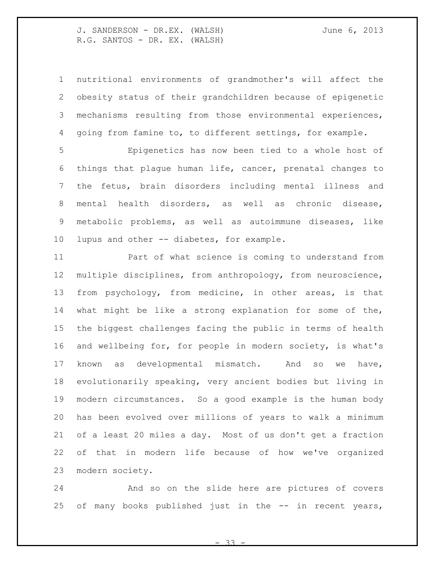nutritional environments of grandmother's will affect the obesity status of their grandchildren because of epigenetic mechanisms resulting from those environmental experiences, going from famine to, to different settings, for example.

 Epigenetics has now been tied to a whole host of things that plague human life, cancer, prenatal changes to the fetus, brain disorders including mental illness and mental health disorders, as well as chronic disease, metabolic problems, as well as autoimmune diseases, like 10 lupus and other -- diabetes, for example.

 Part of what science is coming to understand from multiple disciplines, from anthropology, from neuroscience, from psychology, from medicine, in other areas, is that what might be like a strong explanation for some of the, the biggest challenges facing the public in terms of health and wellbeing for, for people in modern society, is what's known as developmental mismatch. And so we have, evolutionarily speaking, very ancient bodies but living in modern circumstances. So a good example is the human body has been evolved over millions of years to walk a minimum of a least 20 miles a day. Most of us don't get a fraction of that in modern life because of how we've organized modern society.

 And so on the slide here are pictures of covers 25 of many books published just in the -- in recent years,

- 33 -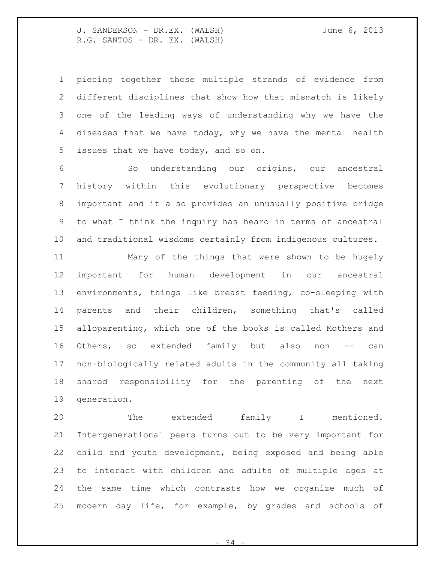piecing together those multiple strands of evidence from different disciplines that show how that mismatch is likely one of the leading ways of understanding why we have the diseases that we have today, why we have the mental health issues that we have today, and so on.

 So understanding our origins, our ancestral history within this evolutionary perspective becomes important and it also provides an unusually positive bridge to what I think the inquiry has heard in terms of ancestral and traditional wisdoms certainly from indigenous cultures.

 Many of the things that were shown to be hugely important for human development in our ancestral environments, things like breast feeding, co-sleeping with parents and their children, something that's called alloparenting, which one of the books is called Mothers and 16 Others, so extended family but also non -- can non-biologically related adults in the community all taking shared responsibility for the parenting of the next generation.

 The extended family I mentioned. Intergenerational peers turns out to be very important for child and youth development, being exposed and being able to interact with children and adults of multiple ages at the same time which contrasts how we organize much of modern day life, for example, by grades and schools of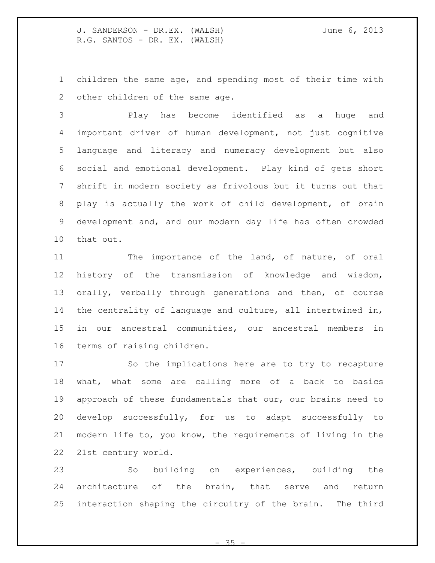children the same age, and spending most of their time with other children of the same age.

 Play has become identified as a huge and important driver of human development, not just cognitive language and literacy and numeracy development but also social and emotional development. Play kind of gets short shrift in modern society as frivolous but it turns out that play is actually the work of child development, of brain development and, and our modern day life has often crowded that out.

11 The importance of the land, of nature, of oral history of the transmission of knowledge and wisdom, orally, verbally through generations and then, of course the centrality of language and culture, all intertwined in, in our ancestral communities, our ancestral members in terms of raising children.

 So the implications here are to try to recapture what, what some are calling more of a back to basics approach of these fundamentals that our, our brains need to develop successfully, for us to adapt successfully to modern life to, you know, the requirements of living in the 21st century world.

 So building on experiences, building the architecture of the brain, that serve and return interaction shaping the circuitry of the brain. The third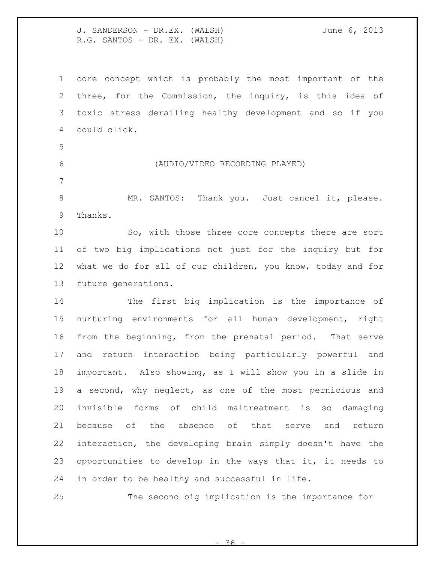core concept which is probably the most important of the three, for the Commission, the inquiry, is this idea of toxic stress derailing healthy development and so if you could click.

- 
- 

## (AUDIO/VIDEO RECORDING PLAYED)

8 MR. SANTOS: Thank you. Just cancel it, please. Thanks.

 So, with those three core concepts there are sort of two big implications not just for the inquiry but for what we do for all of our children, you know, today and for future generations.

 The first big implication is the importance of nurturing environments for all human development, right from the beginning, from the prenatal period. That serve and return interaction being particularly powerful and important. Also showing, as I will show you in a slide in a second, why neglect, as one of the most pernicious and invisible forms of child maltreatment is so damaging because of the absence of that serve and return interaction, the developing brain simply doesn't have the opportunities to develop in the ways that it, it needs to in order to be healthy and successful in life.

The second big implication is the importance for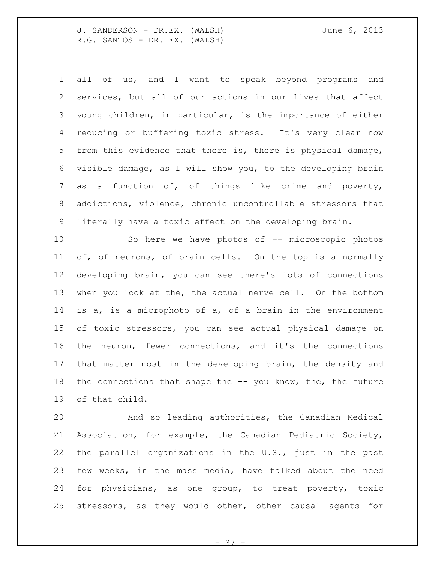all of us, and I want to speak beyond programs and services, but all of our actions in our lives that affect young children, in particular, is the importance of either reducing or buffering toxic stress. It's very clear now from this evidence that there is, there is physical damage, visible damage, as I will show you, to the developing brain as a function of, of things like crime and poverty, addictions, violence, chronic uncontrollable stressors that literally have a toxic effect on the developing brain.

 So here we have photos of -- microscopic photos of, of neurons, of brain cells. On the top is a normally developing brain, you can see there's lots of connections when you look at the, the actual nerve cell. On the bottom is a, is a microphoto of a, of a brain in the environment of toxic stressors, you can see actual physical damage on the neuron, fewer connections, and it's the connections that matter most in the developing brain, the density and 18 the connections that shape the -- you know, the, the future of that child.

 And so leading authorities, the Canadian Medical Association, for example, the Canadian Pediatric Society, the parallel organizations in the U.S., just in the past few weeks, in the mass media, have talked about the need for physicians, as one group, to treat poverty, toxic stressors, as they would other, other causal agents for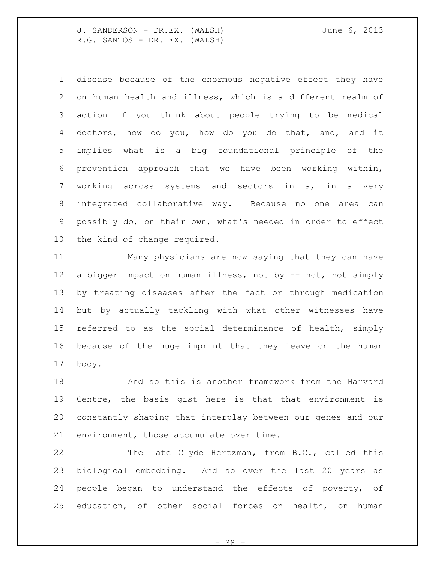disease because of the enormous negative effect they have on human health and illness, which is a different realm of action if you think about people trying to be medical doctors, how do you, how do you do that, and, and it implies what is a big foundational principle of the prevention approach that we have been working within, working across systems and sectors in a, in a very integrated collaborative way. Because no one area can possibly do, on their own, what's needed in order to effect the kind of change required.

 Many physicians are now saying that they can have a bigger impact on human illness, not by -- not, not simply by treating diseases after the fact or through medication but by actually tackling with what other witnesses have referred to as the social determinance of health, simply because of the huge imprint that they leave on the human body.

 And so this is another framework from the Harvard Centre, the basis gist here is that that environment is constantly shaping that interplay between our genes and our environment, those accumulate over time.

 The late Clyde Hertzman, from B.C., called this biological embedding. And so over the last 20 years as people began to understand the effects of poverty, of education, of other social forces on health, on human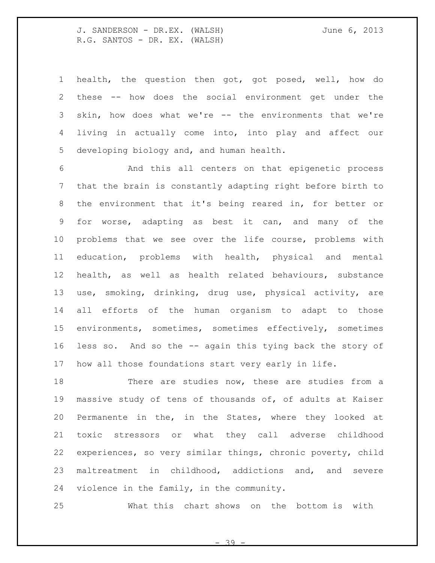health, the question then got, got posed, well, how do these -- how does the social environment get under the skin, how does what we're -- the environments that we're living in actually come into, into play and affect our developing biology and, and human health.

 And this all centers on that epigenetic process that the brain is constantly adapting right before birth to the environment that it's being reared in, for better or for worse, adapting as best it can, and many of the problems that we see over the life course, problems with education, problems with health, physical and mental health, as well as health related behaviours, substance use, smoking, drinking, drug use, physical activity, are all efforts of the human organism to adapt to those environments, sometimes, sometimes effectively, sometimes less so. And so the -- again this tying back the story of how all those foundations start very early in life.

18 There are studies now, these are studies from a massive study of tens of thousands of, of adults at Kaiser Permanente in the, in the States, where they looked at toxic stressors or what they call adverse childhood experiences, so very similar things, chronic poverty, child maltreatment in childhood, addictions and, and severe violence in the family, in the community.

What this chart shows on the bottom is with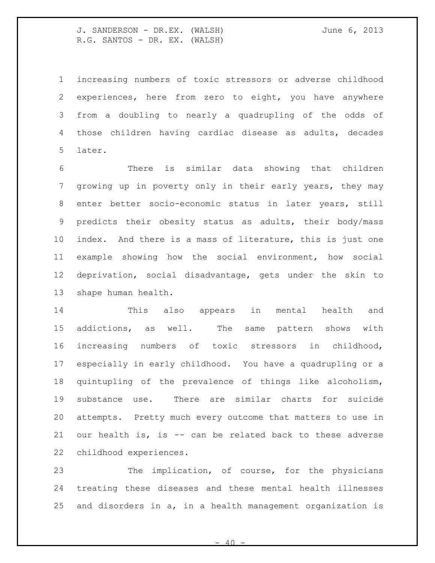increasing numbers of toxic stressors or adverse childhood experiences, here from zero to eight, you have anywhere from a doubling to nearly a quadrupling of the odds of those children having cardiac disease as adults, decades later.

 There is similar data showing that children growing up in poverty only in their early years, they may enter better socio-economic status in later years, still predicts their obesity status as adults, their body/mass index. And there is a mass of literature, this is just one example showing how the social environment, how social deprivation, social disadvantage, gets under the skin to shape human health.

 This also appears in mental health and addictions, as well. The same pattern shows with increasing numbers of toxic stressors in childhood, especially in early childhood. You have a quadrupling or a quintupling of the prevalence of things like alcoholism, substance use. There are similar charts for suicide attempts. Pretty much every outcome that matters to use in our health is, is -- can be related back to these adverse childhood experiences.

 The implication, of course, for the physicians treating these diseases and these mental health illnesses and disorders in a, in a health management organization is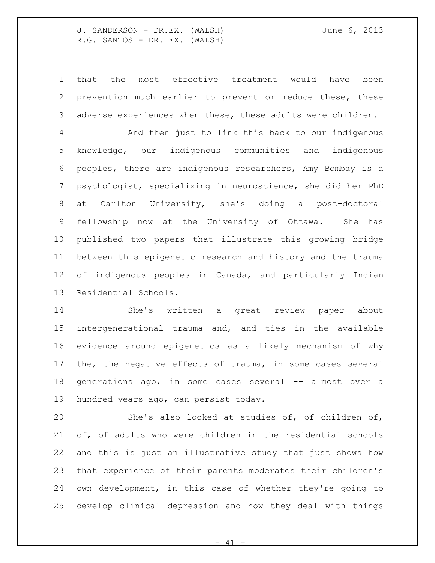that the most effective treatment would have been prevention much earlier to prevent or reduce these, these adverse experiences when these, these adults were children.

 And then just to link this back to our indigenous knowledge, our indigenous communities and indigenous peoples, there are indigenous researchers, Amy Bombay is a psychologist, specializing in neuroscience, she did her PhD at Carlton University, she's doing a post-doctoral fellowship now at the University of Ottawa. She has published two papers that illustrate this growing bridge between this epigenetic research and history and the trauma of indigenous peoples in Canada, and particularly Indian Residential Schools.

 She's written a great review paper about intergenerational trauma and, and ties in the available evidence around epigenetics as a likely mechanism of why the, the negative effects of trauma, in some cases several generations ago, in some cases several -- almost over a hundred years ago, can persist today.

 She's also looked at studies of, of children of, of, of adults who were children in the residential schools and this is just an illustrative study that just shows how that experience of their parents moderates their children's own development, in this case of whether they're going to develop clinical depression and how they deal with things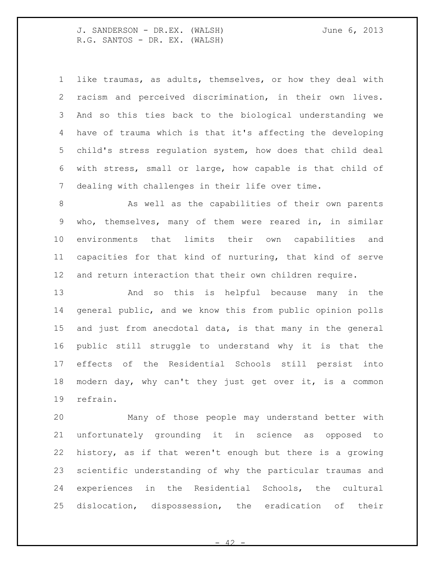like traumas, as adults, themselves, or how they deal with racism and perceived discrimination, in their own lives. And so this ties back to the biological understanding we have of trauma which is that it's affecting the developing child's stress regulation system, how does that child deal with stress, small or large, how capable is that child of dealing with challenges in their life over time.

8 As well as the capabilities of their own parents who, themselves, many of them were reared in, in similar environments that limits their own capabilities and capacities for that kind of nurturing, that kind of serve and return interaction that their own children require.

 And so this is helpful because many in the general public, and we know this from public opinion polls and just from anecdotal data, is that many in the general public still struggle to understand why it is that the effects of the Residential Schools still persist into modern day, why can't they just get over it, is a common refrain.

 Many of those people may understand better with unfortunately grounding it in science as opposed to history, as if that weren't enough but there is a growing scientific understanding of why the particular traumas and experiences in the Residential Schools, the cultural dislocation, dispossession, the eradication of their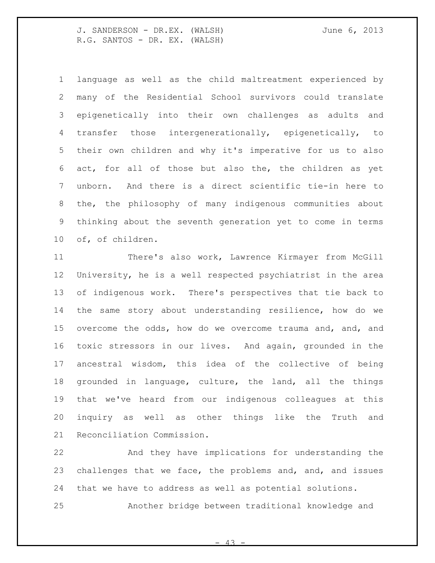language as well as the child maltreatment experienced by many of the Residential School survivors could translate epigenetically into their own challenges as adults and transfer those intergenerationally, epigenetically, to their own children and why it's imperative for us to also act, for all of those but also the, the children as yet unborn. And there is a direct scientific tie-in here to the, the philosophy of many indigenous communities about thinking about the seventh generation yet to come in terms of, of children.

 There's also work, Lawrence Kirmayer from McGill University, he is a well respected psychiatrist in the area of indigenous work. There's perspectives that tie back to the same story about understanding resilience, how do we overcome the odds, how do we overcome trauma and, and, and toxic stressors in our lives. And again, grounded in the ancestral wisdom, this idea of the collective of being grounded in language, culture, the land, all the things that we've heard from our indigenous colleagues at this inquiry as well as other things like the Truth and Reconciliation Commission.

 And they have implications for understanding the challenges that we face, the problems and, and, and issues that we have to address as well as potential solutions.

Another bridge between traditional knowledge and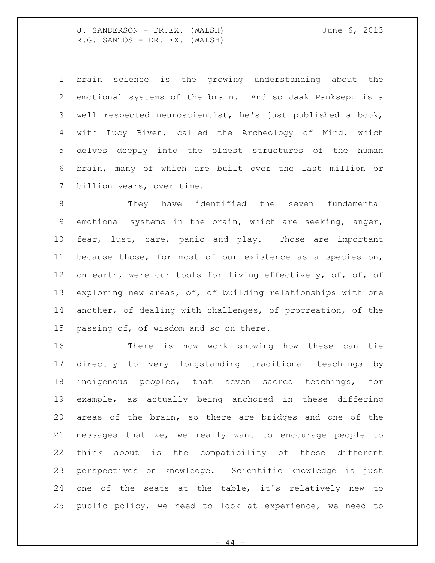brain science is the growing understanding about the emotional systems of the brain. And so Jaak Panksepp is a well respected neuroscientist, he's just published a book, with Lucy Biven, called the Archeology of Mind, which delves deeply into the oldest structures of the human brain, many of which are built over the last million or 7 billion years, over time.

 They have identified the seven fundamental emotional systems in the brain, which are seeking, anger, fear, lust, care, panic and play. Those are important because those, for most of our existence as a species on, 12 on earth, were our tools for living effectively, of, of, of exploring new areas, of, of building relationships with one another, of dealing with challenges, of procreation, of the passing of, of wisdom and so on there.

 There is now work showing how these can tie directly to very longstanding traditional teachings by indigenous peoples, that seven sacred teachings, for example, as actually being anchored in these differing areas of the brain, so there are bridges and one of the messages that we, we really want to encourage people to think about is the compatibility of these different perspectives on knowledge. Scientific knowledge is just one of the seats at the table, it's relatively new to public policy, we need to look at experience, we need to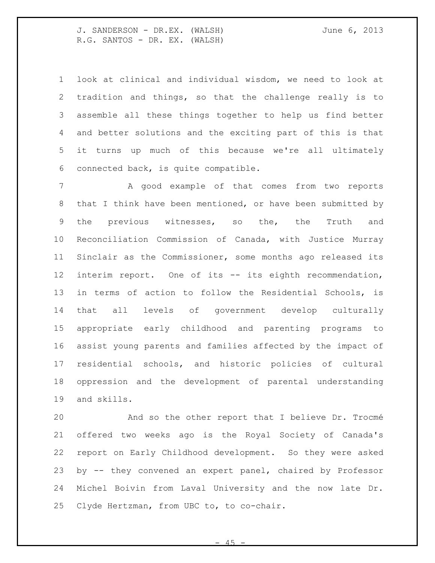look at clinical and individual wisdom, we need to look at tradition and things, so that the challenge really is to assemble all these things together to help us find better and better solutions and the exciting part of this is that it turns up much of this because we're all ultimately connected back, is quite compatible.

7 A good example of that comes from two reports that I think have been mentioned, or have been submitted by the previous witnesses, so the, the Truth and Reconciliation Commission of Canada, with Justice Murray Sinclair as the Commissioner, some months ago released its interim report. One of its -- its eighth recommendation, in terms of action to follow the Residential Schools, is that all levels of government develop culturally appropriate early childhood and parenting programs to assist young parents and families affected by the impact of residential schools, and historic policies of cultural oppression and the development of parental understanding and skills.

 And so the other report that I believe Dr. Trocmé offered two weeks ago is the Royal Society of Canada's report on Early Childhood development. So they were asked by -- they convened an expert panel, chaired by Professor Michel Boivin from Laval University and the now late Dr. Clyde Hertzman, from UBC to, to co-chair.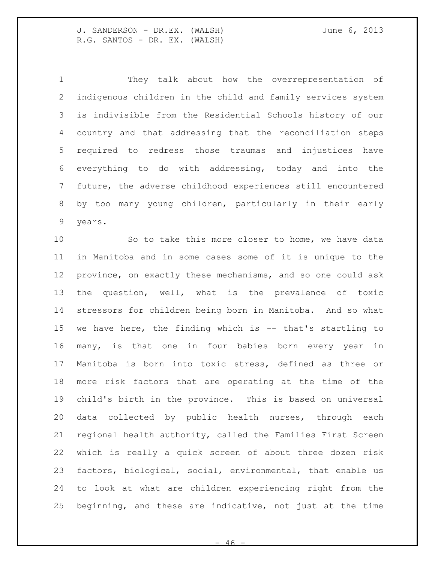They talk about how the overrepresentation of indigenous children in the child and family services system is indivisible from the Residential Schools history of our country and that addressing that the reconciliation steps required to redress those traumas and injustices have everything to do with addressing, today and into the future, the adverse childhood experiences still encountered by too many young children, particularly in their early years.

 So to take this more closer to home, we have data in Manitoba and in some cases some of it is unique to the province, on exactly these mechanisms, and so one could ask the question, well, what is the prevalence of toxic stressors for children being born in Manitoba. And so what we have here, the finding which is -- that's startling to many, is that one in four babies born every year in Manitoba is born into toxic stress, defined as three or more risk factors that are operating at the time of the child's birth in the province. This is based on universal data collected by public health nurses, through each regional health authority, called the Families First Screen which is really a quick screen of about three dozen risk factors, biological, social, environmental, that enable us to look at what are children experiencing right from the beginning, and these are indicative, not just at the time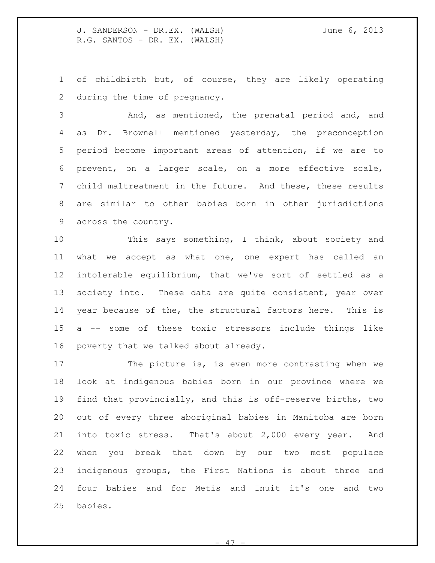of childbirth but, of course, they are likely operating during the time of pregnancy.

 And, as mentioned, the prenatal period and, and as Dr. Brownell mentioned yesterday, the preconception period become important areas of attention, if we are to prevent, on a larger scale, on a more effective scale, child maltreatment in the future. And these, these results are similar to other babies born in other jurisdictions across the country.

 This says something, I think, about society and what we accept as what one, one expert has called an intolerable equilibrium, that we've sort of settled as a 13 society into. These data are quite consistent, year over year because of the, the structural factors here. This is a -- some of these toxic stressors include things like poverty that we talked about already.

17 The picture is, is even more contrasting when we look at indigenous babies born in our province where we find that provincially, and this is off-reserve births, two out of every three aboriginal babies in Manitoba are born into toxic stress. That's about 2,000 every year. And when you break that down by our two most populace indigenous groups, the First Nations is about three and four babies and for Metis and Inuit it's one and two babies.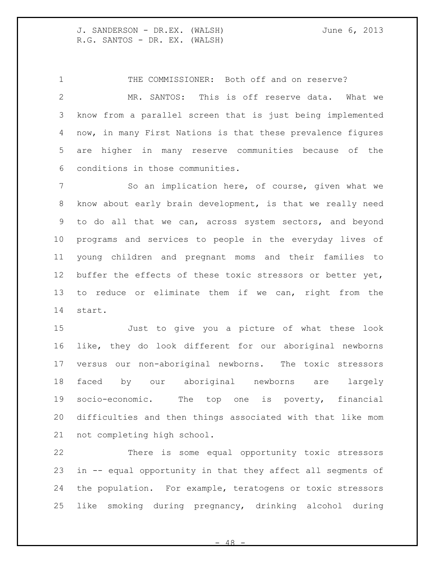1 THE COMMISSIONER: Both off and on reserve? MR. SANTOS: This is off reserve data. What we know from a parallel screen that is just being implemented now, in many First Nations is that these prevalence figures are higher in many reserve communities because of the conditions in those communities.

7 So an implication here, of course, given what we know about early brain development, is that we really need to do all that we can, across system sectors, and beyond programs and services to people in the everyday lives of young children and pregnant moms and their families to buffer the effects of these toxic stressors or better yet, to reduce or eliminate them if we can, right from the start.

 Just to give you a picture of what these look like, they do look different for our aboriginal newborns versus our non-aboriginal newborns. The toxic stressors faced by our aboriginal newborns are largely socio-economic. The top one is poverty, financial difficulties and then things associated with that like mom not completing high school.

 There is some equal opportunity toxic stressors in -- equal opportunity in that they affect all segments of the population. For example, teratogens or toxic stressors like smoking during pregnancy, drinking alcohol during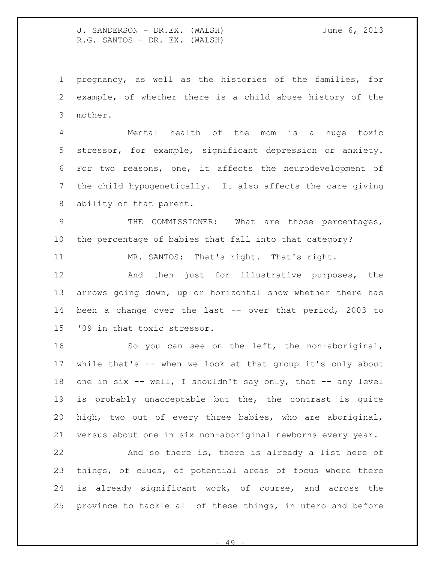pregnancy, as well as the histories of the families, for example, of whether there is a child abuse history of the mother.

 Mental health of the mom is a huge toxic stressor, for example, significant depression or anxiety. For two reasons, one, it affects the neurodevelopment of the child hypogenetically. It also affects the care giving ability of that parent.

 THE COMMISSIONER: What are those percentages, the percentage of babies that fall into that category?

11 MR. SANTOS: That's right. That's right.

 And then just for illustrative purposes, the arrows going down, up or horizontal show whether there has been a change over the last -- over that period, 2003 to '09 in that toxic stressor.

 So you can see on the left, the non-aboriginal, while that's -- when we look at that group it's only about 18 one in six -- well, I shouldn't say only, that -- any level is probably unacceptable but the, the contrast is quite high, two out of every three babies, who are aboriginal, versus about one in six non-aboriginal newborns every year.

 And so there is, there is already a list here of things, of clues, of potential areas of focus where there is already significant work, of course, and across the province to tackle all of these things, in utero and before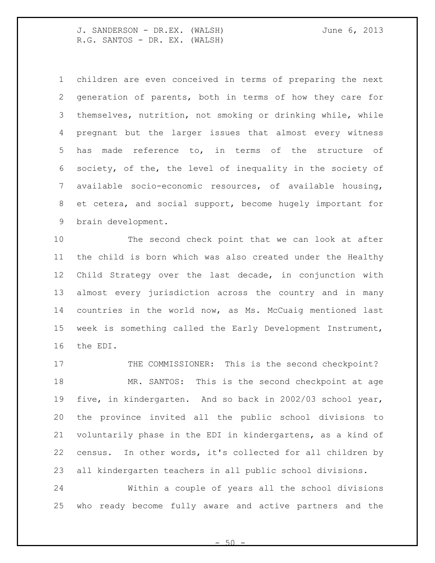children are even conceived in terms of preparing the next generation of parents, both in terms of how they care for themselves, nutrition, not smoking or drinking while, while pregnant but the larger issues that almost every witness has made reference to, in terms of the structure of society, of the, the level of inequality in the society of available socio-economic resources, of available housing, et cetera, and social support, become hugely important for brain development.

 The second check point that we can look at after the child is born which was also created under the Healthy Child Strategy over the last decade, in conjunction with almost every jurisdiction across the country and in many countries in the world now, as Ms. McCuaig mentioned last week is something called the Early Development Instrument, the EDI.

17 THE COMMISSIONER: This is the second checkpoint? MR. SANTOS: This is the second checkpoint at age five, in kindergarten. And so back in 2002/03 school year, the province invited all the public school divisions to voluntarily phase in the EDI in kindergartens, as a kind of census. In other words, it's collected for all children by all kindergarten teachers in all public school divisions.

 Within a couple of years all the school divisions who ready become fully aware and active partners and the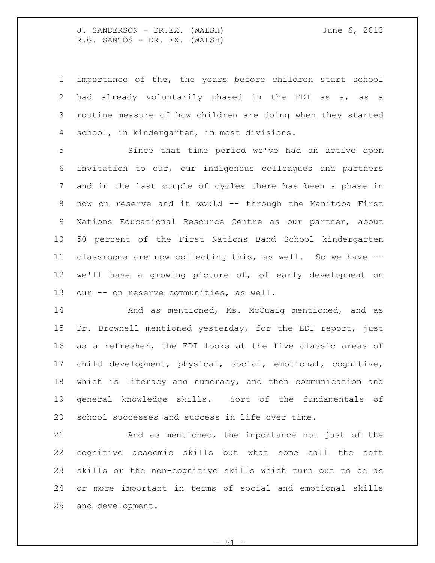importance of the, the years before children start school had already voluntarily phased in the EDI as a, as a routine measure of how children are doing when they started school, in kindergarten, in most divisions.

 Since that time period we've had an active open invitation to our, our indigenous colleagues and partners and in the last couple of cycles there has been a phase in now on reserve and it would -- through the Manitoba First Nations Educational Resource Centre as our partner, about 50 percent of the First Nations Band School kindergarten classrooms are now collecting this, as well. So we have -- we'll have a growing picture of, of early development on 13 our -- on reserve communities, as well.

14 And as mentioned, Ms. McCuaig mentioned, and as 15 Dr. Brownell mentioned yesterday, for the EDI report, just as a refresher, the EDI looks at the five classic areas of child development, physical, social, emotional, cognitive, which is literacy and numeracy, and then communication and general knowledge skills. Sort of the fundamentals of school successes and success in life over time.

 And as mentioned, the importance not just of the cognitive academic skills but what some call the soft skills or the non-cognitive skills which turn out to be as or more important in terms of social and emotional skills and development.

 $.51$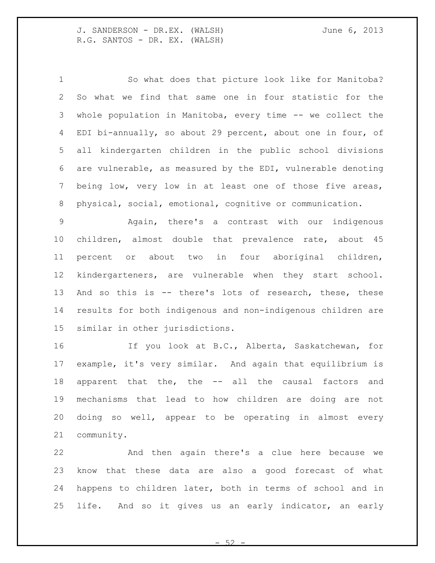So what does that picture look like for Manitoba? So what we find that same one in four statistic for the whole population in Manitoba, every time -- we collect the EDI bi-annually, so about 29 percent, about one in four, of all kindergarten children in the public school divisions are vulnerable, as measured by the EDI, vulnerable denoting being low, very low in at least one of those five areas, physical, social, emotional, cognitive or communication.

 Again, there's a contrast with our indigenous children, almost double that prevalence rate, about 45 percent or about two in four aboriginal children, kindergarteners, are vulnerable when they start school. And so this is -- there's lots of research, these, these results for both indigenous and non-indigenous children are similar in other jurisdictions.

 If you look at B.C., Alberta, Saskatchewan, for example, it's very similar. And again that equilibrium is apparent that the, the -- all the causal factors and mechanisms that lead to how children are doing are not doing so well, appear to be operating in almost every community.

 And then again there's a clue here because we know that these data are also a good forecast of what happens to children later, both in terms of school and in life. And so it gives us an early indicator, an early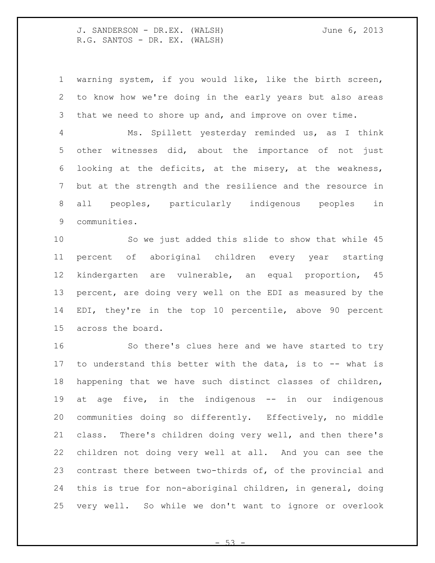warning system, if you would like, like the birth screen, to know how we're doing in the early years but also areas that we need to shore up and, and improve on over time.

 Ms. Spillett yesterday reminded us, as I think other witnesses did, about the importance of not just looking at the deficits, at the misery, at the weakness, but at the strength and the resilience and the resource in all peoples, particularly indigenous peoples in communities.

 So we just added this slide to show that while 45 percent of aboriginal children every year starting kindergarten are vulnerable, an equal proportion, 45 percent, are doing very well on the EDI as measured by the EDI, they're in the top 10 percentile, above 90 percent across the board.

 So there's clues here and we have started to try to understand this better with the data, is to -- what is happening that we have such distinct classes of children, at age five, in the indigenous -- in our indigenous communities doing so differently. Effectively, no middle class. There's children doing very well, and then there's children not doing very well at all. And you can see the contrast there between two-thirds of, of the provincial and this is true for non-aboriginal children, in general, doing very well. So while we don't want to ignore or overlook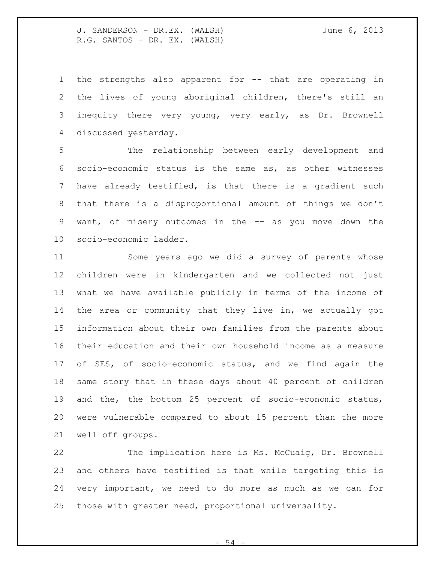the strengths also apparent for -- that are operating in the lives of young aboriginal children, there's still an inequity there very young, very early, as Dr. Brownell discussed yesterday.

 The relationship between early development and socio-economic status is the same as, as other witnesses have already testified, is that there is a gradient such that there is a disproportional amount of things we don't want, of misery outcomes in the -- as you move down the socio-economic ladder.

 Some years ago we did a survey of parents whose children were in kindergarten and we collected not just what we have available publicly in terms of the income of the area or community that they live in, we actually got information about their own families from the parents about their education and their own household income as a measure of SES, of socio-economic status, and we find again the same story that in these days about 40 percent of children and the, the bottom 25 percent of socio-economic status, were vulnerable compared to about 15 percent than the more well off groups.

 The implication here is Ms. McCuaig, Dr. Brownell and others have testified is that while targeting this is very important, we need to do more as much as we can for those with greater need, proportional universality.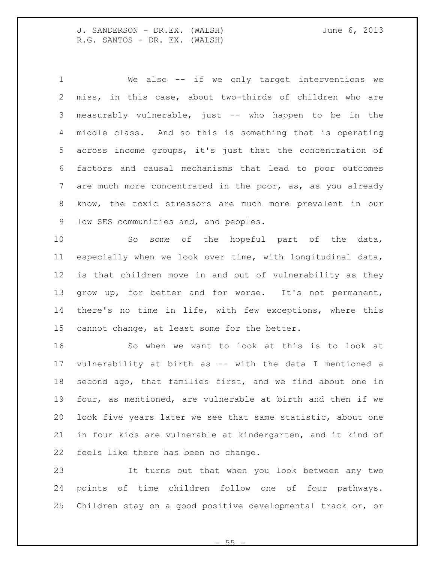We also -- if we only target interventions we miss, in this case, about two-thirds of children who are measurably vulnerable, just -- who happen to be in the middle class. And so this is something that is operating across income groups, it's just that the concentration of factors and causal mechanisms that lead to poor outcomes 7 are much more concentrated in the poor, as, as you already know, the toxic stressors are much more prevalent in our low SES communities and, and peoples.

10 So some of the hopeful part of the data, especially when we look over time, with longitudinal data, is that children move in and out of vulnerability as they grow up, for better and for worse. It's not permanent, there's no time in life, with few exceptions, where this cannot change, at least some for the better.

 So when we want to look at this is to look at vulnerability at birth as -- with the data I mentioned a second ago, that families first, and we find about one in four, as mentioned, are vulnerable at birth and then if we look five years later we see that same statistic, about one in four kids are vulnerable at kindergarten, and it kind of feels like there has been no change.

 It turns out that when you look between any two points of time children follow one of four pathways. Children stay on a good positive developmental track or, or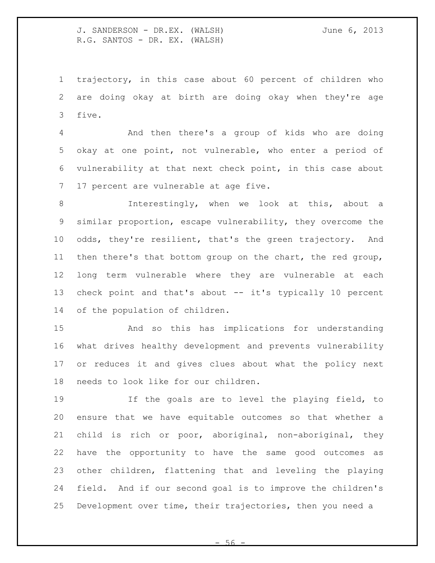trajectory, in this case about 60 percent of children who are doing okay at birth are doing okay when they're age five.

 And then there's a group of kids who are doing okay at one point, not vulnerable, who enter a period of vulnerability at that next check point, in this case about 17 percent are vulnerable at age five.

 Interestingly, when we look at this, about a similar proportion, escape vulnerability, they overcome the odds, they're resilient, that's the green trajectory. And then there's that bottom group on the chart, the red group, long term vulnerable where they are vulnerable at each check point and that's about -- it's typically 10 percent of the population of children.

 And so this has implications for understanding what drives healthy development and prevents vulnerability or reduces it and gives clues about what the policy next needs to look like for our children.

 If the goals are to level the playing field, to ensure that we have equitable outcomes so that whether a child is rich or poor, aboriginal, non-aboriginal, they have the opportunity to have the same good outcomes as other children, flattening that and leveling the playing field. And if our second goal is to improve the children's Development over time, their trajectories, then you need a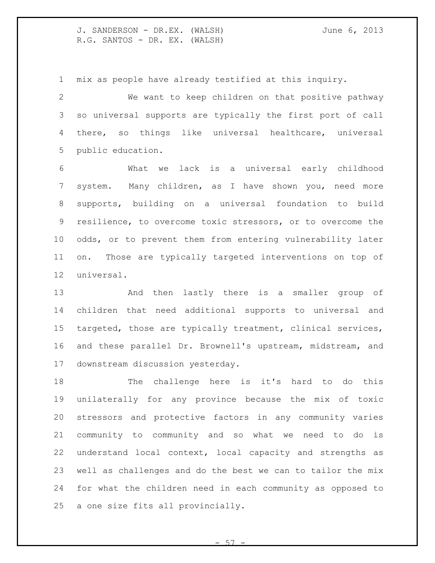mix as people have already testified at this inquiry.

 We want to keep children on that positive pathway so universal supports are typically the first port of call there, so things like universal healthcare, universal public education.

 What we lack is a universal early childhood system. Many children, as I have shown you, need more supports, building on a universal foundation to build resilience, to overcome toxic stressors, or to overcome the odds, or to prevent them from entering vulnerability later on. Those are typically targeted interventions on top of universal.

 And then lastly there is a smaller group of children that need additional supports to universal and targeted, those are typically treatment, clinical services, and these parallel Dr. Brownell's upstream, midstream, and downstream discussion yesterday.

 The challenge here is it's hard to do this unilaterally for any province because the mix of toxic stressors and protective factors in any community varies community to community and so what we need to do is understand local context, local capacity and strengths as well as challenges and do the best we can to tailor the mix for what the children need in each community as opposed to a one size fits all provincially.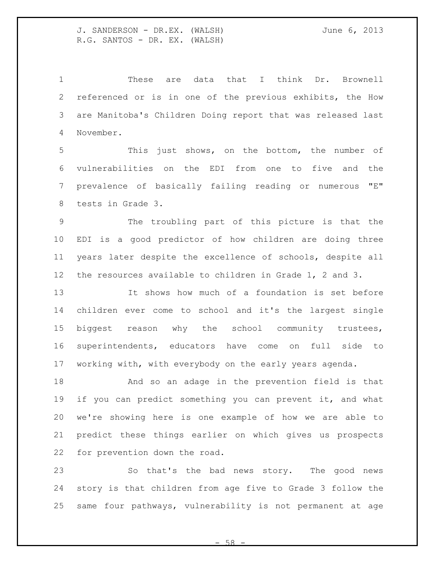These are data that I think Dr. Brownell referenced or is in one of the previous exhibits, the How are Manitoba's Children Doing report that was released last November.

 This just shows, on the bottom, the number of vulnerabilities on the EDI from one to five and the prevalence of basically failing reading or numerous "E" tests in Grade 3.

 The troubling part of this picture is that the EDI is a good predictor of how children are doing three years later despite the excellence of schools, despite all the resources available to children in Grade 1, 2 and 3.

 It shows how much of a foundation is set before children ever come to school and it's the largest single biggest reason why the school community trustees, superintendents, educators have come on full side to working with, with everybody on the early years agenda.

 And so an adage in the prevention field is that if you can predict something you can prevent it, and what we're showing here is one example of how we are able to predict these things earlier on which gives us prospects for prevention down the road.

 So that's the bad news story. The good news story is that children from age five to Grade 3 follow the same four pathways, vulnerability is not permanent at age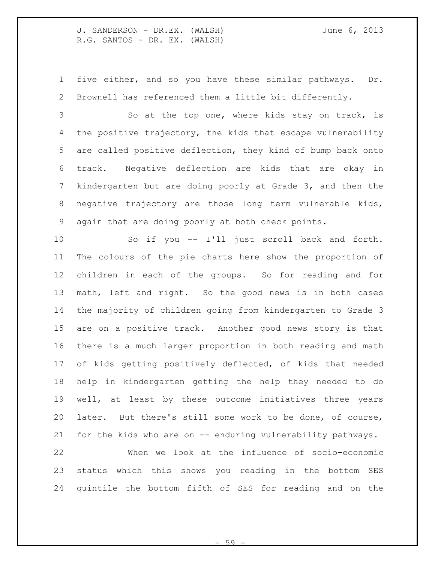five either, and so you have these similar pathways. Dr. Brownell has referenced them a little bit differently.

3 So at the top one, where kids stay on track, is the positive trajectory, the kids that escape vulnerability are called positive deflection, they kind of bump back onto track. Negative deflection are kids that are okay in kindergarten but are doing poorly at Grade 3, and then the negative trajectory are those long term vulnerable kids, again that are doing poorly at both check points.

 So if you -- I'll just scroll back and forth. The colours of the pie charts here show the proportion of children in each of the groups. So for reading and for math, left and right. So the good news is in both cases the majority of children going from kindergarten to Grade 3 are on a positive track. Another good news story is that there is a much larger proportion in both reading and math of kids getting positively deflected, of kids that needed help in kindergarten getting the help they needed to do well, at least by these outcome initiatives three years later. But there's still some work to be done, of course, for the kids who are on -- enduring vulnerability pathways.

 When we look at the influence of socio-economic status which this shows you reading in the bottom SES quintile the bottom fifth of SES for reading and on the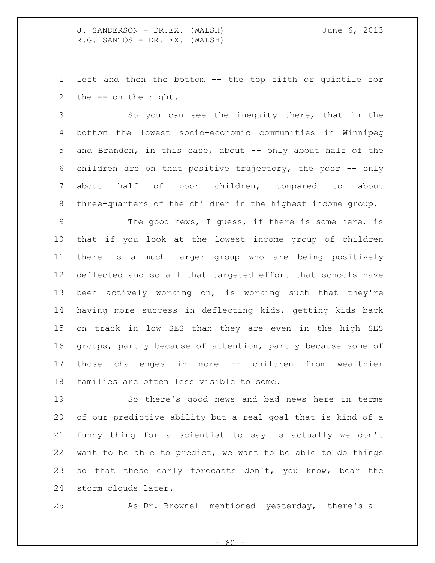left and then the bottom -- the top fifth or quintile for the -- on the right.

 So you can see the inequity there, that in the bottom the lowest socio-economic communities in Winnipeg and Brandon, in this case, about -- only about half of the children are on that positive trajectory, the poor -- only about half of poor children, compared to about three-quarters of the children in the highest income group.

 The good news, I guess, if there is some here, is that if you look at the lowest income group of children there is a much larger group who are being positively deflected and so all that targeted effort that schools have been actively working on, is working such that they're having more success in deflecting kids, getting kids back on track in low SES than they are even in the high SES groups, partly because of attention, partly because some of those challenges in more -- children from wealthier families are often less visible to some.

 So there's good news and bad news here in terms of our predictive ability but a real goal that is kind of a funny thing for a scientist to say is actually we don't want to be able to predict, we want to be able to do things so that these early forecasts don't, you know, bear the storm clouds later.

As Dr. Brownell mentioned yesterday, there's a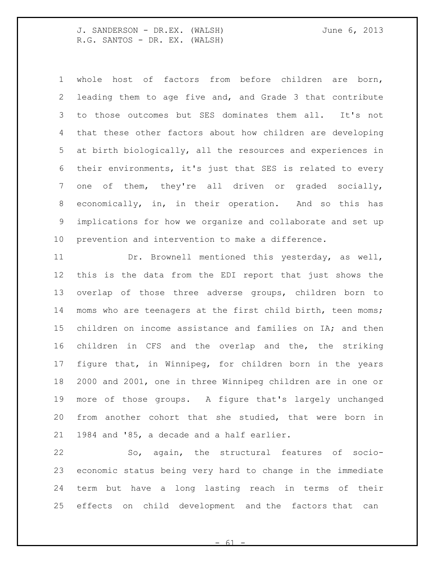whole host of factors from before children are born, leading them to age five and, and Grade 3 that contribute to those outcomes but SES dominates them all. It's not that these other factors about how children are developing at birth biologically, all the resources and experiences in their environments, it's just that SES is related to every one of them, they're all driven or graded socially, economically, in, in their operation. And so this has implications for how we organize and collaborate and set up prevention and intervention to make a difference.

 Dr. Brownell mentioned this yesterday, as well, this is the data from the EDI report that just shows the overlap of those three adverse groups, children born to moms who are teenagers at the first child birth, teen moms; children on income assistance and families on IA; and then children in CFS and the overlap and the, the striking figure that, in Winnipeg, for children born in the years 2000 and 2001, one in three Winnipeg children are in one or more of those groups. A figure that's largely unchanged from another cohort that she studied, that were born in 1984 and '85, a decade and a half earlier.

 So, again, the structural features of socio- economic status being very hard to change in the immediate term but have a long lasting reach in terms of their effects on child development and the factors that can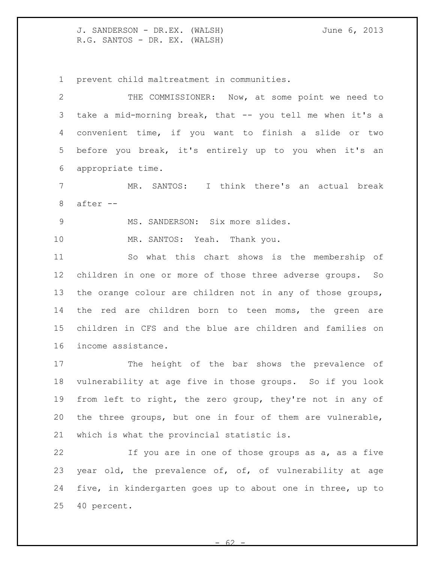prevent child maltreatment in communities.

 THE COMMISSIONER: Now, at some point we need to take a mid-morning break, that -- you tell me when it's a convenient time, if you want to finish a slide or two before you break, it's entirely up to you when it's an appropriate time.

 MR. SANTOS: I think there's an actual break after --

9 MS. SANDERSON: Six more slides.

MR. SANTOS: Yeah. Thank you.

 So what this chart shows is the membership of children in one or more of those three adverse groups. So the orange colour are children not in any of those groups, the red are children born to teen moms, the green are children in CFS and the blue are children and families on income assistance.

 The height of the bar shows the prevalence of vulnerability at age five in those groups. So if you look from left to right, the zero group, they're not in any of the three groups, but one in four of them are vulnerable, which is what the provincial statistic is.

 If you are in one of those groups as a, as a five year old, the prevalence of, of, of vulnerability at age five, in kindergarten goes up to about one in three, up to 40 percent.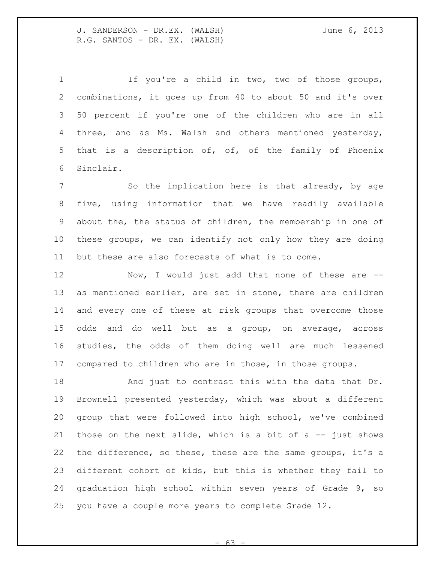If you're a child in two, two of those groups, combinations, it goes up from 40 to about 50 and it's over 50 percent if you're one of the children who are in all three, and as Ms. Walsh and others mentioned yesterday, that is a description of, of, of the family of Phoenix Sinclair.

7 So the implication here is that already, by age five, using information that we have readily available about the, the status of children, the membership in one of these groups, we can identify not only how they are doing but these are also forecasts of what is to come.

 Now, I would just add that none of these are -- as mentioned earlier, are set in stone, there are children and every one of these at risk groups that overcome those odds and do well but as a group, on average, across studies, the odds of them doing well are much lessened compared to children who are in those, in those groups.

 And just to contrast this with the data that Dr. Brownell presented yesterday, which was about a different group that were followed into high school, we've combined 21 those on the next slide, which is a bit of a  $-$  just shows the difference, so these, these are the same groups, it's a different cohort of kids, but this is whether they fail to graduation high school within seven years of Grade 9, so you have a couple more years to complete Grade 12.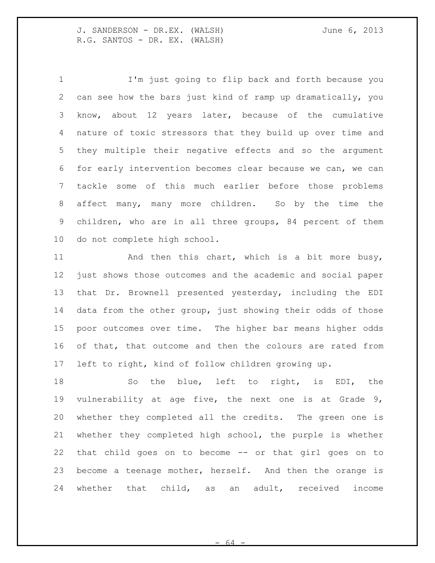I'm just going to flip back and forth because you can see how the bars just kind of ramp up dramatically, you know, about 12 years later, because of the cumulative nature of toxic stressors that they build up over time and they multiple their negative effects and so the argument for early intervention becomes clear because we can, we can tackle some of this much earlier before those problems affect many, many more children. So by the time the children, who are in all three groups, 84 percent of them do not complete high school.

11 And then this chart, which is a bit more busy, just shows those outcomes and the academic and social paper that Dr. Brownell presented yesterday, including the EDI data from the other group, just showing their odds of those poor outcomes over time. The higher bar means higher odds of that, that outcome and then the colours are rated from left to right, kind of follow children growing up.

18 So the blue, left to right, is EDI, the vulnerability at age five, the next one is at Grade 9, whether they completed all the credits. The green one is whether they completed high school, the purple is whether that child goes on to become -- or that girl goes on to become a teenage mother, herself. And then the orange is whether that child, as an adult, received income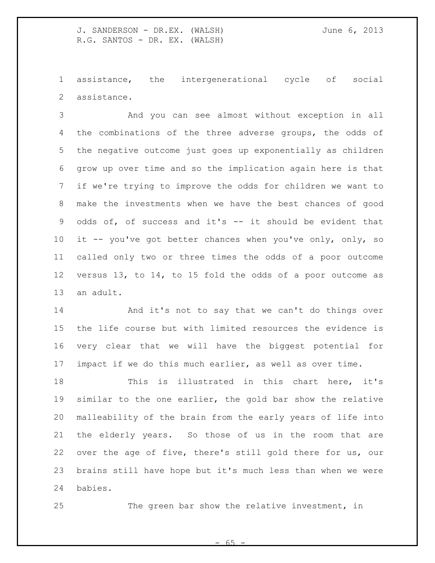assistance, the intergenerational cycle of social assistance.

 And you can see almost without exception in all the combinations of the three adverse groups, the odds of the negative outcome just goes up exponentially as children grow up over time and so the implication again here is that if we're trying to improve the odds for children we want to make the investments when we have the best chances of good odds of, of success and it's -- it should be evident that 10 it -- you've got better chances when you've only, only, so called only two or three times the odds of a poor outcome versus 13, to 14, to 15 fold the odds of a poor outcome as an adult.

 And it's not to say that we can't do things over the life course but with limited resources the evidence is very clear that we will have the biggest potential for impact if we do this much earlier, as well as over time.

 This is illustrated in this chart here, it's similar to the one earlier, the gold bar show the relative malleability of the brain from the early years of life into the elderly years. So those of us in the room that are over the age of five, there's still gold there for us, our brains still have hope but it's much less than when we were babies.

The green bar show the relative investment, in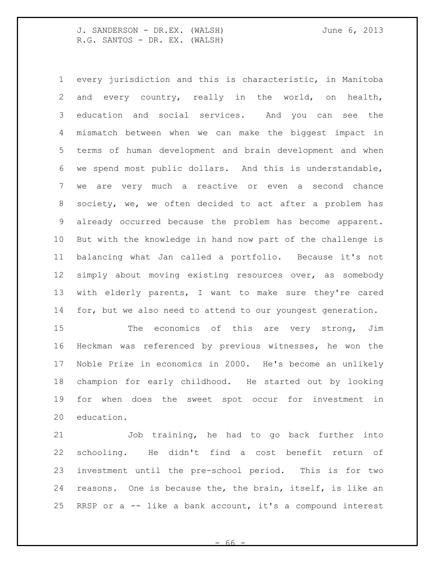every jurisdiction and this is characteristic, in Manitoba and every country, really in the world, on health, education and social services. And you can see the mismatch between when we can make the biggest impact in terms of human development and brain development and when we spend most public dollars. And this is understandable, we are very much a reactive or even a second chance society, we, we often decided to act after a problem has already occurred because the problem has become apparent. But with the knowledge in hand now part of the challenge is balancing what Jan called a portfolio. Because it's not simply about moving existing resources over, as somebody with elderly parents, I want to make sure they're cared 14 for, but we also need to attend to our youngest generation.

15 The economics of this are very strong, Jim Heckman was referenced by previous witnesses, he won the Noble Prize in economics in 2000. He's become an unlikely champion for early childhood. He started out by looking for when does the sweet spot occur for investment in education.

 Job training, he had to go back further into schooling. He didn't find a cost benefit return of investment until the pre-school period. This is for two reasons. One is because the, the brain, itself, is like an RRSP or a -- like a bank account, it's a compound interest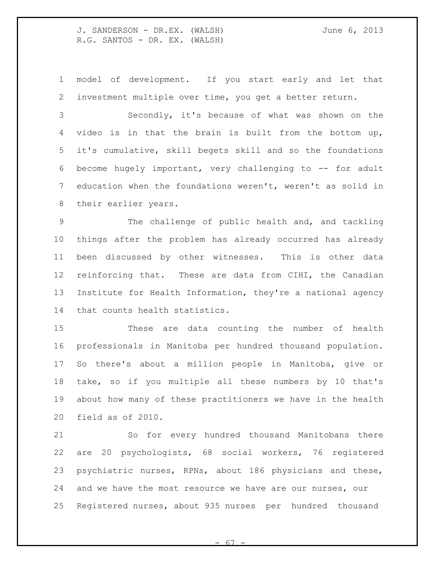model of development. If you start early and let that investment multiple over time, you get a better return.

 Secondly, it's because of what was shown on the video is in that the brain is built from the bottom up, it's cumulative, skill begets skill and so the foundations become hugely important, very challenging to -- for adult education when the foundations weren't, weren't as solid in their earlier years.

 The challenge of public health and, and tackling things after the problem has already occurred has already been discussed by other witnesses. This is other data reinforcing that. These are data from CIHI, the Canadian Institute for Health Information, they're a national agency that counts health statistics.

 These are data counting the number of health professionals in Manitoba per hundred thousand population. So there's about a million people in Manitoba, give or take, so if you multiple all these numbers by 10 that's about how many of these practitioners we have in the health field as of 2010.

 So for every hundred thousand Manitobans there are 20 psychologists, 68 social workers, 76 registered psychiatric nurses, RPNs, about 186 physicians and these, and we have the most resource we have are our nurses, our Registered nurses, about 935 nurses per hundred thousand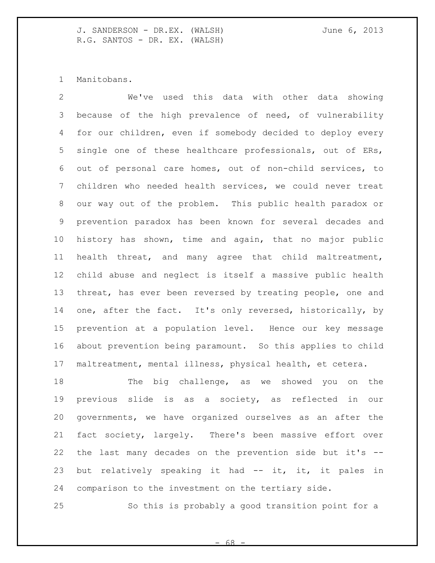Manitobans.

 We've used this data with other data showing because of the high prevalence of need, of vulnerability for our children, even if somebody decided to deploy every single one of these healthcare professionals, out of ERs, out of personal care homes, out of non-child services, to children who needed health services, we could never treat our way out of the problem. This public health paradox or prevention paradox has been known for several decades and history has shown, time and again, that no major public health threat, and many agree that child maltreatment, child abuse and neglect is itself a massive public health threat, has ever been reversed by treating people, one and one, after the fact. It's only reversed, historically, by prevention at a population level. Hence our key message about prevention being paramount. So this applies to child maltreatment, mental illness, physical health, et cetera.

18 The big challenge, as we showed you on the previous slide is as a society, as reflected in our governments, we have organized ourselves as an after the fact society, largely. There's been massive effort over the last many decades on the prevention side but it's -- 23 but relatively speaking it had -- it, it, it pales in comparison to the investment on the tertiary side.

So this is probably a good transition point for a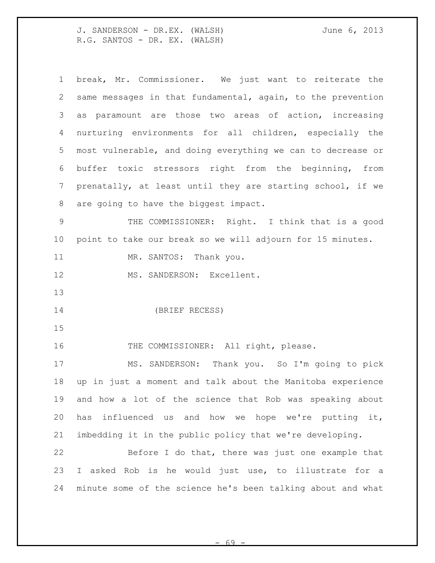| $\mathbf 1$     | break, Mr. Commissioner. We just want to reiterate the      |
|-----------------|-------------------------------------------------------------|
| 2               | same messages in that fundamental, again, to the prevention |
| 3               | as paramount are those two areas of action, increasing      |
| 4               | nurturing environments for all children, especially the     |
| 5               | most vulnerable, and doing everything we can to decrease or |
| 6               | buffer toxic stressors right from the beginning, from       |
| 7               | prenatally, at least until they are starting school, if we  |
| 8               | are going to have the biggest impact.                       |
| 9               | THE COMMISSIONER: Right. I think that is a good             |
| 10 <sub>o</sub> | point to take our break so we will adjourn for 15 minutes.  |
| 11              | MR. SANTOS: Thank you.                                      |
| 12              | MS. SANDERSON: Excellent.                                   |
|                 |                                                             |
| 13              |                                                             |
| 14              | (BRIEF RECESS)                                              |
| 15              |                                                             |
| 16              | THE COMMISSIONER: All right, please.                        |
| 17              | MS. SANDERSON: Thank you. So I'm going to pick              |
| 18              | up in just a moment and talk about the Manitoba experience  |
| 19              | and how a lot of the science that Rob was speaking about    |
| 20              | influenced us and how we hope we're putting it,<br>has      |
| 21              | imbedding it in the public policy that we're developing.    |
| 22              | Before I do that, there was just one example that           |
| 23              | I asked Rob is he would just use, to illustrate for a       |

- 69 -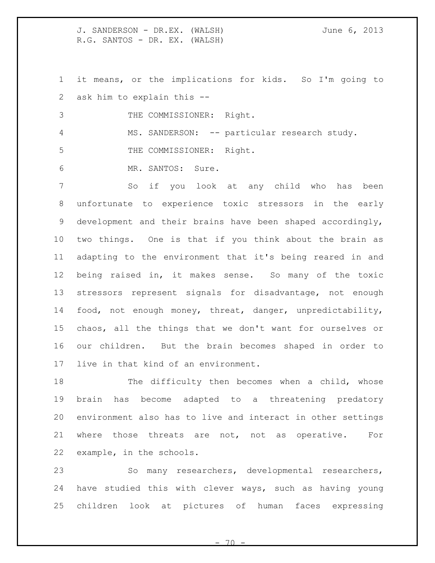it means, or the implications for kids. So I'm going to ask him to explain this --

3 THE COMMISSIONER: Right.

4 MS. SANDERSON: -- particular research study.

5 THE COMMISSIONER: Right.

MR. SANTOS: Sure.

 So if you look at any child who has been unfortunate to experience toxic stressors in the early development and their brains have been shaped accordingly, two things. One is that if you think about the brain as adapting to the environment that it's being reared in and being raised in, it makes sense. So many of the toxic stressors represent signals for disadvantage, not enough food, not enough money, threat, danger, unpredictability, chaos, all the things that we don't want for ourselves or our children. But the brain becomes shaped in order to live in that kind of an environment.

 The difficulty then becomes when a child, whose brain has become adapted to a threatening predatory environment also has to live and interact in other settings where those threats are not, not as operative. For example, in the schools.

 So many researchers, developmental researchers, have studied this with clever ways, such as having young children look at pictures of human faces expressing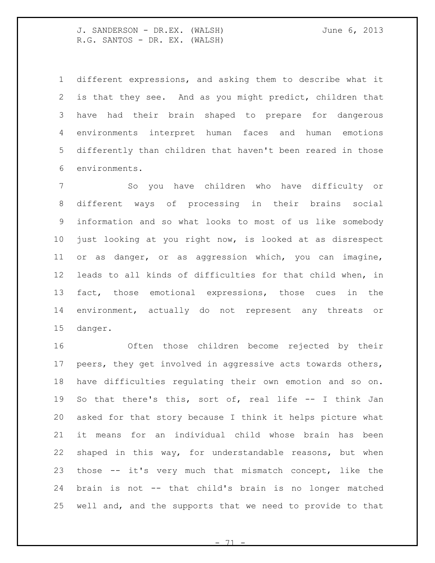different expressions, and asking them to describe what it is that they see. And as you might predict, children that have had their brain shaped to prepare for dangerous environments interpret human faces and human emotions differently than children that haven't been reared in those environments.

 So you have children who have difficulty or different ways of processing in their brains social information and so what looks to most of us like somebody just looking at you right now, is looked at as disrespect or as danger, or as aggression which, you can imagine, leads to all kinds of difficulties for that child when, in fact, those emotional expressions, those cues in the environment, actually do not represent any threats or danger.

 Often those children become rejected by their peers, they get involved in aggressive acts towards others, have difficulties regulating their own emotion and so on. So that there's this, sort of, real life -- I think Jan asked for that story because I think it helps picture what it means for an individual child whose brain has been shaped in this way, for understandable reasons, but when those -- it's very much that mismatch concept, like the brain is not -- that child's brain is no longer matched well and, and the supports that we need to provide to that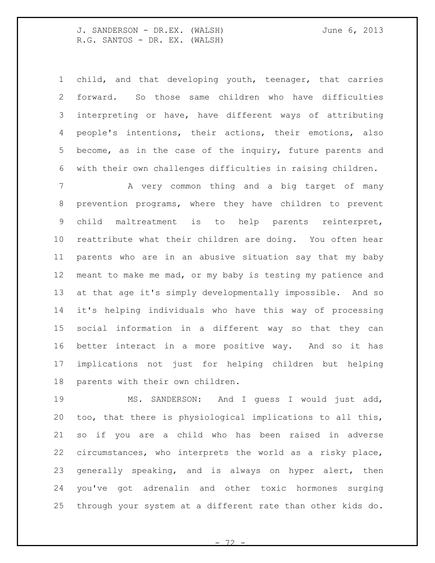child, and that developing youth, teenager, that carries forward. So those same children who have difficulties interpreting or have, have different ways of attributing people's intentions, their actions, their emotions, also become, as in the case of the inquiry, future parents and with their own challenges difficulties in raising children. 7 A very common thing and a big target of many prevention programs, where they have children to prevent child maltreatment is to help parents reinterpret, reattribute what their children are doing. You often hear parents who are in an abusive situation say that my baby meant to make me mad, or my baby is testing my patience and at that age it's simply developmentally impossible. And so it's helping individuals who have this way of processing

 social information in a different way so that they can better interact in a more positive way. And so it has implications not just for helping children but helping parents with their own children.

 MS. SANDERSON: And I guess I would just add, too, that there is physiological implications to all this, so if you are a child who has been raised in adverse circumstances, who interprets the world as a risky place, generally speaking, and is always on hyper alert, then you've got adrenalin and other toxic hormones surging through your system at a different rate than other kids do.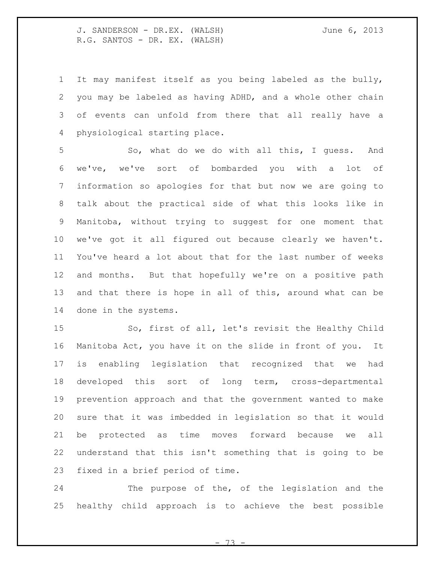It may manifest itself as you being labeled as the bully, you may be labeled as having ADHD, and a whole other chain of events can unfold from there that all really have a physiological starting place.

 So, what do we do with all this, I guess. And we've, we've sort of bombarded you with a lot of information so apologies for that but now we are going to talk about the practical side of what this looks like in Manitoba, without trying to suggest for one moment that we've got it all figured out because clearly we haven't. You've heard a lot about that for the last number of weeks and months. But that hopefully we're on a positive path and that there is hope in all of this, around what can be done in the systems.

 So, first of all, let's revisit the Healthy Child Manitoba Act, you have it on the slide in front of you. It is enabling legislation that recognized that we had developed this sort of long term, cross-departmental prevention approach and that the government wanted to make sure that it was imbedded in legislation so that it would be protected as time moves forward because we all understand that this isn't something that is going to be fixed in a brief period of time.

 The purpose of the, of the legislation and the healthy child approach is to achieve the best possible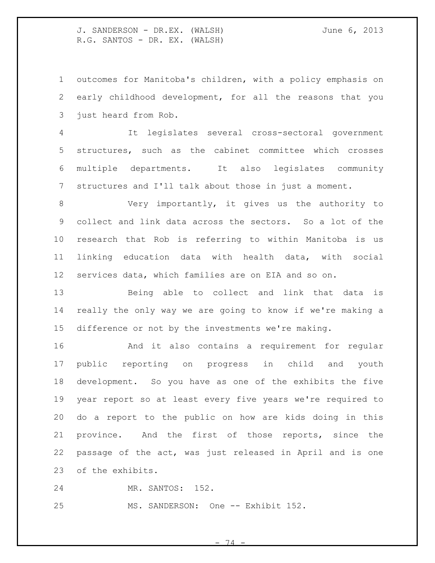outcomes for Manitoba's children, with a policy emphasis on early childhood development, for all the reasons that you just heard from Rob.

 It legislates several cross-sectoral government structures, such as the cabinet committee which crosses multiple departments. It also legislates community structures and I'll talk about those in just a moment.

 Very importantly, it gives us the authority to collect and link data across the sectors. So a lot of the research that Rob is referring to within Manitoba is us linking education data with health data, with social services data, which families are on EIA and so on.

 Being able to collect and link that data is really the only way we are going to know if we're making a difference or not by the investments we're making.

 And it also contains a requirement for regular public reporting on progress in child and youth development. So you have as one of the exhibits the five year report so at least every five years we're required to do a report to the public on how are kids doing in this province. And the first of those reports, since the passage of the act, was just released in April and is one of the exhibits.

MR. SANTOS: 152.

25 MS. SANDERSON: One -- Exhibit 152.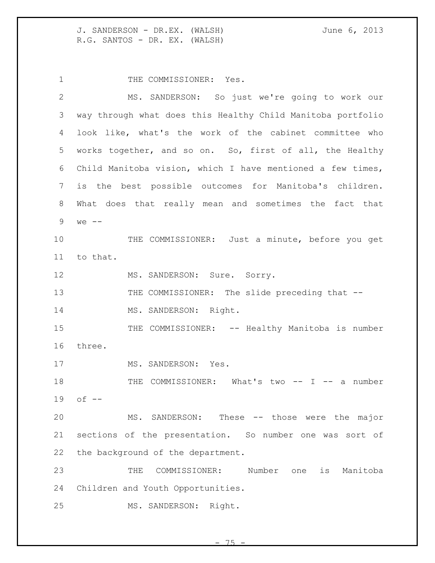1 THE COMMISSIONER: Yes. MS. SANDERSON: So just we're going to work our way through what does this Healthy Child Manitoba portfolio look like, what's the work of the cabinet committee who works together, and so on. So, first of all, the Healthy Child Manitoba vision, which I have mentioned a few times, is the best possible outcomes for Manitoba's children. What does that really mean and sometimes the fact that we -- THE COMMISSIONER: Just a minute, before you get to that. 12 MS. SANDERSON: Sure. Sorry. 13 THE COMMISSIONER: The slide preceding that --14 MS. SANDERSON: Right. 15 THE COMMISSIONER: -- Healthy Manitoba is number three. 17 MS. SANDERSON: Yes. 18 THE COMMISSIONER: What's two -- I -- a number of -- MS. SANDERSON: These -- those were the major sections of the presentation. So number one was sort of the background of the department. THE COMMISSIONER: Number one is Manitoba Children and Youth Opportunities. MS. SANDERSON: Right.

 $-75$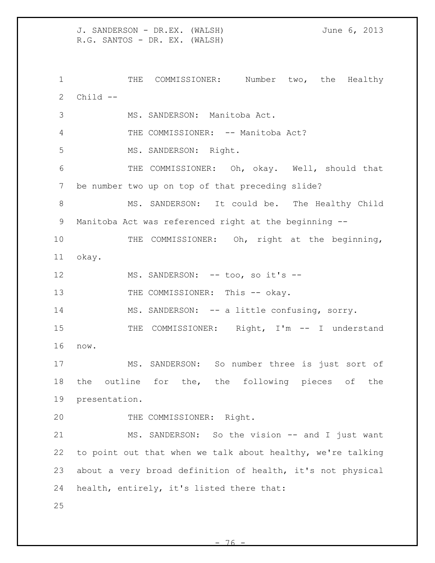J. SANDERSON - DR.EX. (WALSH) June 6, 2013 R.G. SANTOS - DR. EX. (WALSH) 1 THE COMMISSIONER: Number two, the Healthy Child -- MS. SANDERSON: Manitoba Act. 4 THE COMMISSIONER: -- Manitoba Act? MS. SANDERSON: Right. THE COMMISSIONER: Oh, okay. Well, should that be number two up on top of that preceding slide? MS. SANDERSON: It could be. The Healthy Child Manitoba Act was referenced right at the beginning -- 10 THE COMMISSIONER: Oh, right at the beginning, okay. 12 MS. SANDERSON: -- too, so it's --13 THE COMMISSIONER: This -- okay. MS. SANDERSON: -- a little confusing, sorry. 15 THE COMMISSIONER: Right, I'm -- I understand now. MS. SANDERSON: So number three is just sort of the outline for the, the following pieces of the presentation. THE COMMISSIONER: Right. 21 MS. SANDERSON: So the vision -- and I just want to point out that when we talk about healthy, we're talking about a very broad definition of health, it's not physical health, entirely, it's listed there that: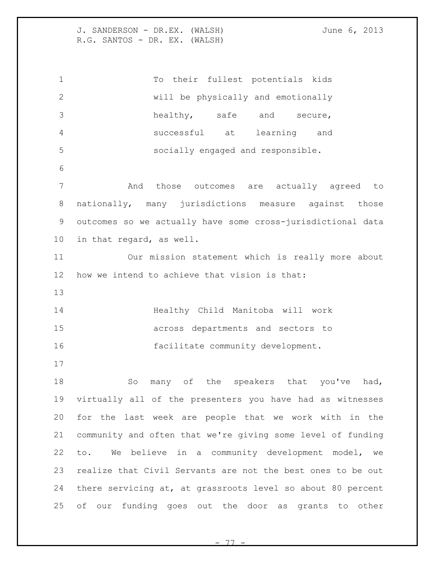To their fullest potentials kids will be physically and emotionally healthy, safe and secure, successful at learning and socially engaged and responsible. And those outcomes are actually agreed to nationally, many jurisdictions measure against those outcomes so we actually have some cross-jurisdictional data in that regard, as well. Our mission statement which is really more about how we intend to achieve that vision is that: Healthy Child Manitoba will work across departments and sectors to facilitate community development. 18 So many of the speakers that you've had, virtually all of the presenters you have had as witnesses for the last week are people that we work with in the community and often that we're giving some level of funding to. We believe in a community development model, we realize that Civil Servants are not the best ones to be out there servicing at, at grassroots level so about 80 percent of our funding goes out the door as grants to other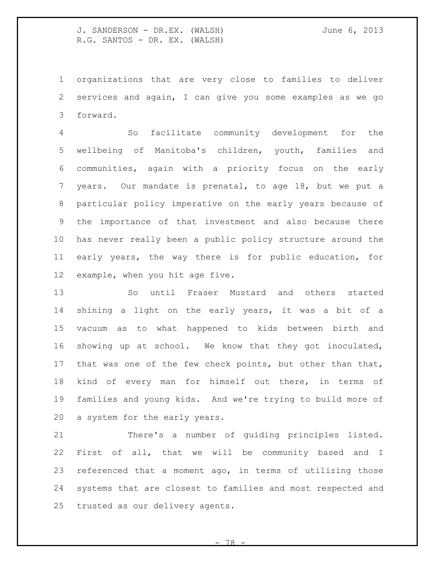organizations that are very close to families to deliver services and again, I can give you some examples as we go forward.

 So facilitate community development for the wellbeing of Manitoba's children, youth, families and communities, again with a priority focus on the early years. Our mandate is prenatal, to age 18, but we put a particular policy imperative on the early years because of the importance of that investment and also because there has never really been a public policy structure around the early years, the way there is for public education, for example, when you hit age five.

 So until Fraser Mustard and others started shining a light on the early years, it was a bit of a vacuum as to what happened to kids between birth and showing up at school. We know that they got inoculated, that was one of the few check points, but other than that, kind of every man for himself out there, in terms of families and young kids. And we're trying to build more of a system for the early years.

 There's a number of guiding principles listed. First of all, that we will be community based and I referenced that a moment ago, in terms of utilizing those systems that are closest to families and most respected and trusted as our delivery agents.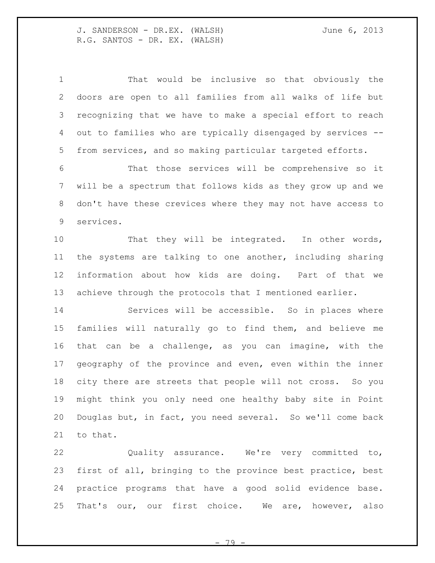That would be inclusive so that obviously the doors are open to all families from all walks of life but recognizing that we have to make a special effort to reach out to families who are typically disengaged by services -- from services, and so making particular targeted efforts. That those services will be comprehensive so it will be a spectrum that follows kids as they grow up and we don't have these crevices where they may not have access to services. 10 That they will be integrated. In other words, the systems are talking to one another, including sharing information about how kids are doing. Part of that we achieve through the protocols that I mentioned earlier. Services will be accessible. So in places where families will naturally go to find them, and believe me that can be a challenge, as you can imagine, with the geography of the province and even, even within the inner city there are streets that people will not cross. So you might think you only need one healthy baby site in Point Douglas but, in fact, you need several. So we'll come back

to that.

 Quality assurance. We're very committed to, first of all, bringing to the province best practice, best practice programs that have a good solid evidence base. That's our, our first choice. We are, however, also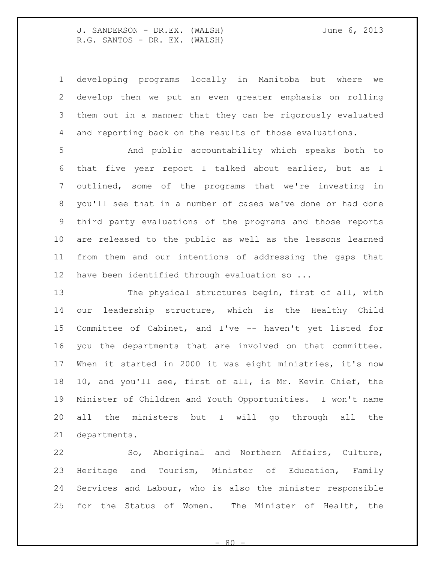developing programs locally in Manitoba but where we develop then we put an even greater emphasis on rolling them out in a manner that they can be rigorously evaluated and reporting back on the results of those evaluations.

 And public accountability which speaks both to that five year report I talked about earlier, but as I outlined, some of the programs that we're investing in you'll see that in a number of cases we've done or had done third party evaluations of the programs and those reports are released to the public as well as the lessons learned from them and our intentions of addressing the gaps that 12 have been identified through evaluation so ...

 The physical structures begin, first of all, with our leadership structure, which is the Healthy Child Committee of Cabinet, and I've -- haven't yet listed for you the departments that are involved on that committee. When it started in 2000 it was eight ministries, it's now 10, and you'll see, first of all, is Mr. Kevin Chief, the Minister of Children and Youth Opportunities. I won't name all the ministers but I will go through all the departments.

 So, Aboriginal and Northern Affairs, Culture, Heritage and Tourism, Minister of Education, Family Services and Labour, who is also the minister responsible for the Status of Women. The Minister of Health, the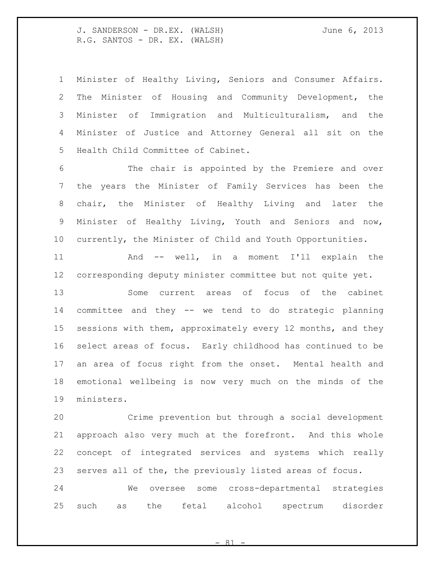Minister of Healthy Living, Seniors and Consumer Affairs. The Minister of Housing and Community Development, the Minister of Immigration and Multiculturalism, and the Minister of Justice and Attorney General all sit on the Health Child Committee of Cabinet.

 The chair is appointed by the Premiere and over the years the Minister of Family Services has been the chair, the Minister of Healthy Living and later the Minister of Healthy Living, Youth and Seniors and now, currently, the Minister of Child and Youth Opportunities.

 And -- well, in a moment I'll explain the corresponding deputy minister committee but not quite yet.

 Some current areas of focus of the cabinet committee and they -- we tend to do strategic planning sessions with them, approximately every 12 months, and they select areas of focus. Early childhood has continued to be an area of focus right from the onset. Mental health and emotional wellbeing is now very much on the minds of the ministers.

 Crime prevention but through a social development approach also very much at the forefront. And this whole concept of integrated services and systems which really serves all of the, the previously listed areas of focus.

 We oversee some cross-departmental strategies such as the fetal alcohol spectrum disorder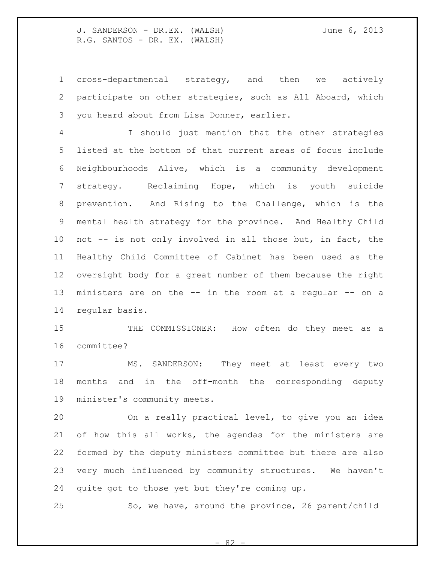cross-departmental strategy, and then we actively participate on other strategies, such as All Aboard, which you heard about from Lisa Donner, earlier.

 I should just mention that the other strategies listed at the bottom of that current areas of focus include Neighbourhoods Alive, which is a community development strategy. Reclaiming Hope, which is youth suicide prevention. And Rising to the Challenge, which is the mental health strategy for the province. And Healthy Child not -- is not only involved in all those but, in fact, the Healthy Child Committee of Cabinet has been used as the oversight body for a great number of them because the right ministers are on the -- in the room at a regular -- on a regular basis.

 THE COMMISSIONER: How often do they meet as a committee?

 MS. SANDERSON: They meet at least every two months and in the off-month the corresponding deputy minister's community meets.

 On a really practical level, to give you an idea of how this all works, the agendas for the ministers are formed by the deputy ministers committee but there are also very much influenced by community structures. We haven't quite got to those yet but they're coming up.

So, we have, around the province, 26 parent/child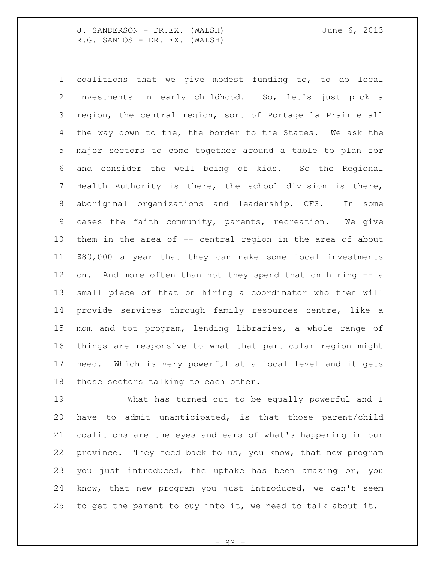coalitions that we give modest funding to, to do local investments in early childhood. So, let's just pick a region, the central region, sort of Portage la Prairie all the way down to the, the border to the States. We ask the major sectors to come together around a table to plan for and consider the well being of kids. So the Regional Health Authority is there, the school division is there, aboriginal organizations and leadership, CFS. In some cases the faith community, parents, recreation. We give them in the area of -- central region in the area of about \$80,000 a year that they can make some local investments on. And more often than not they spend that on hiring -- a small piece of that on hiring a coordinator who then will provide services through family resources centre, like a mom and tot program, lending libraries, a whole range of things are responsive to what that particular region might need. Which is very powerful at a local level and it gets those sectors talking to each other.

 What has turned out to be equally powerful and I have to admit unanticipated, is that those parent/child coalitions are the eyes and ears of what's happening in our province. They feed back to us, you know, that new program you just introduced, the uptake has been amazing or, you know, that new program you just introduced, we can't seem to get the parent to buy into it, we need to talk about it.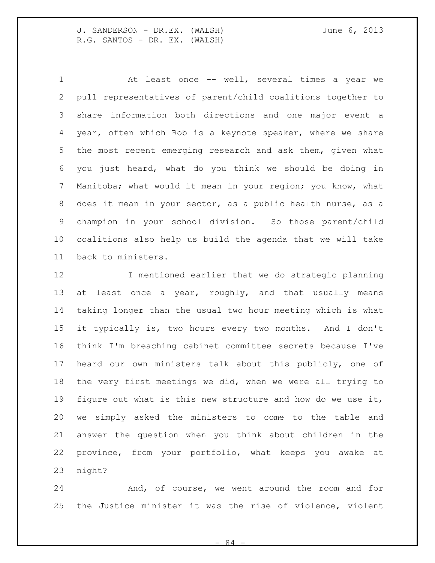At least once -- well, several times a year we pull representatives of parent/child coalitions together to share information both directions and one major event a year, often which Rob is a keynote speaker, where we share the most recent emerging research and ask them, given what you just heard, what do you think we should be doing in Manitoba; what would it mean in your region; you know, what does it mean in your sector, as a public health nurse, as a champion in your school division. So those parent/child coalitions also help us build the agenda that we will take back to ministers.

 I mentioned earlier that we do strategic planning 13 at least once a year, roughly, and that usually means taking longer than the usual two hour meeting which is what it typically is, two hours every two months. And I don't think I'm breaching cabinet committee secrets because I've heard our own ministers talk about this publicly, one of the very first meetings we did, when we were all trying to figure out what is this new structure and how do we use it, we simply asked the ministers to come to the table and answer the question when you think about children in the province, from your portfolio, what keeps you awake at night?

 And, of course, we went around the room and for the Justice minister it was the rise of violence, violent

 $\beta$   $\Delta$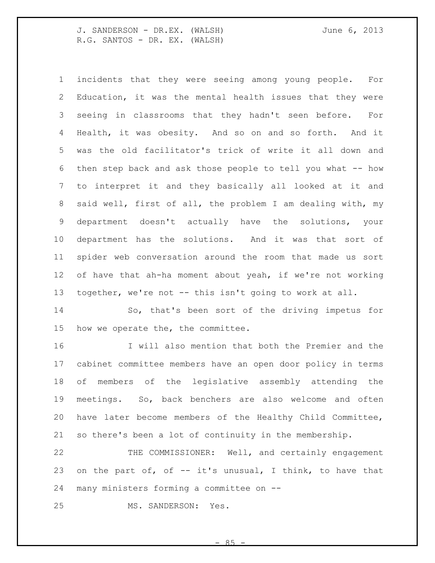incidents that they were seeing among young people. For Education, it was the mental health issues that they were seeing in classrooms that they hadn't seen before. For Health, it was obesity. And so on and so forth. And it was the old facilitator's trick of write it all down and 6 then step back and ask those people to tell you what -- how to interpret it and they basically all looked at it and said well, first of all, the problem I am dealing with, my department doesn't actually have the solutions, your department has the solutions. And it was that sort of spider web conversation around the room that made us sort of have that ah-ha moment about yeah, if we're not working together, we're not -- this isn't going to work at all.

 So, that's been sort of the driving impetus for how we operate the, the committee.

 I will also mention that both the Premier and the cabinet committee members have an open door policy in terms of members of the legislative assembly attending the meetings. So, back benchers are also welcome and often have later become members of the Healthy Child Committee, so there's been a lot of continuity in the membership.

 THE COMMISSIONER: Well, and certainly engagement 23 on the part of, of  $-$  it's unusual, I think, to have that many ministers forming a committee on --

MS. SANDERSON: Yes.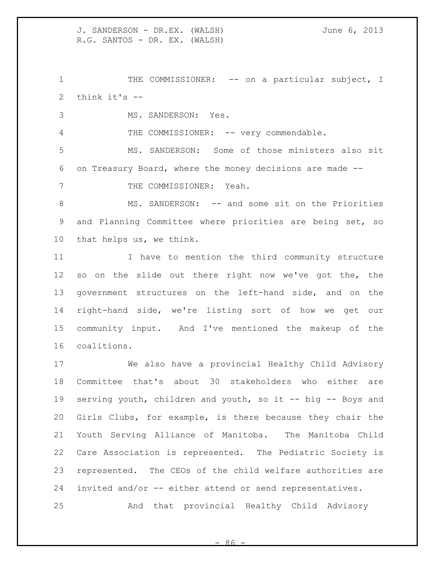1 THE COMMISSIONER: -- on a particular subject, I think it's --

MS. SANDERSON: Yes.

4 THE COMMISSIONER: -- very commendable.

 MS. SANDERSON: Some of those ministers also sit on Treasury Board, where the money decisions are made --

7 THE COMMISSIONER: Yeah.

8 MS. SANDERSON: -- and some sit on the Priorities and Planning Committee where priorities are being set, so that helps us, we think.

 I have to mention the third community structure so on the slide out there right now we've got the, the government structures on the left-hand side, and on the right-hand side, we're listing sort of how we get our community input. And I've mentioned the makeup of the coalitions.

 We also have a provincial Healthy Child Advisory Committee that's about 30 stakeholders who either are serving youth, children and youth, so it -- big -- Boys and Girls Clubs, for example, is there because they chair the Youth Serving Alliance of Manitoba. The Manitoba Child Care Association is represented. The Pediatric Society is represented. The CEOs of the child welfare authorities are invited and/or -- either attend or send representatives.

And that provincial Healthy Child Advisory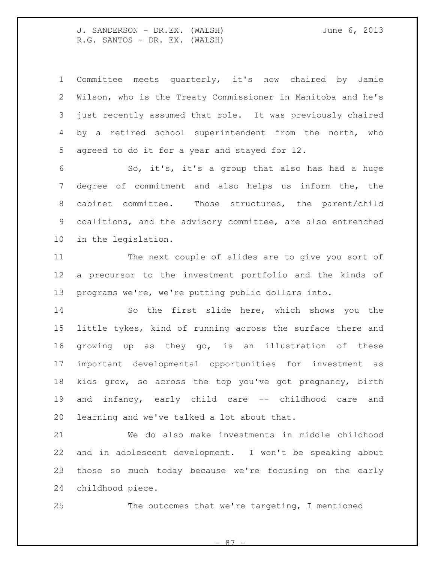Committee meets quarterly, it's now chaired by Jamie Wilson, who is the Treaty Commissioner in Manitoba and he's just recently assumed that role. It was previously chaired by a retired school superintendent from the north, who agreed to do it for a year and stayed for 12.

 So, it's, it's a group that also has had a huge degree of commitment and also helps us inform the, the cabinet committee. Those structures, the parent/child coalitions, and the advisory committee, are also entrenched in the legislation.

 The next couple of slides are to give you sort of a precursor to the investment portfolio and the kinds of programs we're, we're putting public dollars into.

 So the first slide here, which shows you the little tykes, kind of running across the surface there and growing up as they go, is an illustration of these important developmental opportunities for investment as kids grow, so across the top you've got pregnancy, birth and infancy, early child care -- childhood care and learning and we've talked a lot about that.

 We do also make investments in middle childhood and in adolescent development. I won't be speaking about those so much today because we're focusing on the early childhood piece.

The outcomes that we're targeting, I mentioned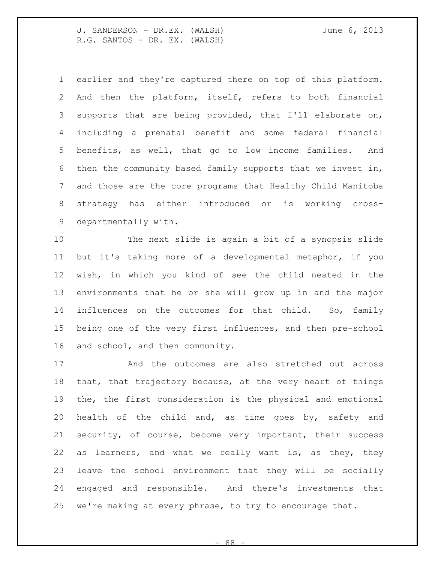earlier and they're captured there on top of this platform. And then the platform, itself, refers to both financial supports that are being provided, that I'll elaborate on, including a prenatal benefit and some federal financial benefits, as well, that go to low income families. And then the community based family supports that we invest in, and those are the core programs that Healthy Child Manitoba strategy has either introduced or is working cross-departmentally with.

 The next slide is again a bit of a synopsis slide but it's taking more of a developmental metaphor, if you wish, in which you kind of see the child nested in the environments that he or she will grow up in and the major influences on the outcomes for that child. So, family being one of the very first influences, and then pre-school and school, and then community.

 And the outcomes are also stretched out across that, that trajectory because, at the very heart of things the, the first consideration is the physical and emotional health of the child and, as time goes by, safety and security, of course, become very important, their success as learners, and what we really want is, as they, they leave the school environment that they will be socially engaged and responsible. And there's investments that we're making at every phrase, to try to encourage that.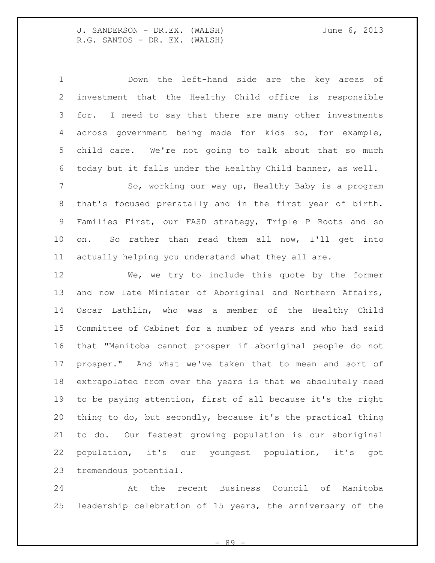Down the left-hand side are the key areas of investment that the Healthy Child office is responsible for. I need to say that there are many other investments across government being made for kids so, for example, child care. We're not going to talk about that so much today but it falls under the Healthy Child banner, as well.

7 So, working our way up, Healthy Baby is a program that's focused prenatally and in the first year of birth. Families First, our FASD strategy, Triple P Roots and so on. So rather than read them all now, I'll get into actually helping you understand what they all are.

 We, we try to include this quote by the former and now late Minister of Aboriginal and Northern Affairs, Oscar Lathlin, who was a member of the Healthy Child Committee of Cabinet for a number of years and who had said that "Manitoba cannot prosper if aboriginal people do not prosper." And what we've taken that to mean and sort of extrapolated from over the years is that we absolutely need to be paying attention, first of all because it's the right thing to do, but secondly, because it's the practical thing to do. Our fastest growing population is our aboriginal population, it's our youngest population, it's got tremendous potential.

 At the recent Business Council of Manitoba leadership celebration of 15 years, the anniversary of the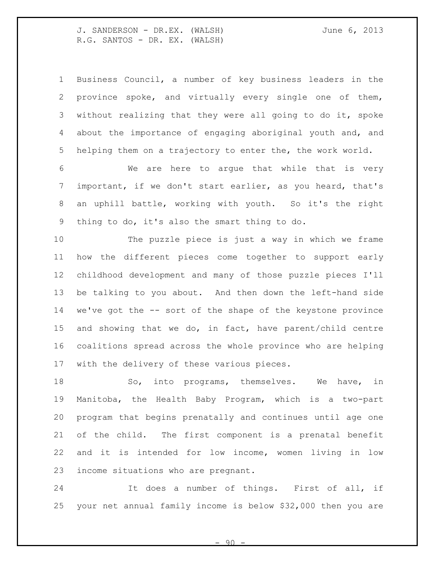Business Council, a number of key business leaders in the province spoke, and virtually every single one of them, without realizing that they were all going to do it, spoke about the importance of engaging aboriginal youth and, and helping them on a trajectory to enter the, the work world.

 We are here to argue that while that is very important, if we don't start earlier, as you heard, that's an uphill battle, working with youth. So it's the right thing to do, it's also the smart thing to do.

 The puzzle piece is just a way in which we frame how the different pieces come together to support early childhood development and many of those puzzle pieces I'll be talking to you about. And then down the left-hand side we've got the -- sort of the shape of the keystone province and showing that we do, in fact, have parent/child centre coalitions spread across the whole province who are helping with the delivery of these various pieces.

18 So, into programs, themselves. We have, in Manitoba, the Health Baby Program, which is a two-part program that begins prenatally and continues until age one of the child. The first component is a prenatal benefit and it is intended for low income, women living in low income situations who are pregnant.

 It does a number of things. First of all, if your net annual family income is below \$32,000 then you are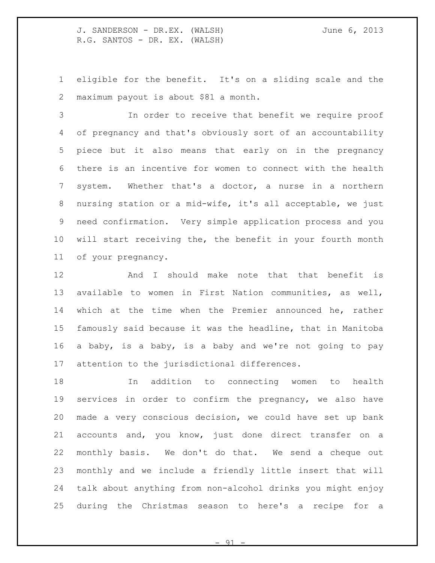eligible for the benefit. It's on a sliding scale and the maximum payout is about \$81 a month.

 In order to receive that benefit we require proof of pregnancy and that's obviously sort of an accountability piece but it also means that early on in the pregnancy there is an incentive for women to connect with the health system. Whether that's a doctor, a nurse in a northern nursing station or a mid-wife, it's all acceptable, we just need confirmation. Very simple application process and you will start receiving the, the benefit in your fourth month of your pregnancy.

12 6 And I should make note that that benefit is available to women in First Nation communities, as well, which at the time when the Premier announced he, rather famously said because it was the headline, that in Manitoba a baby, is a baby, is a baby and we're not going to pay attention to the jurisdictional differences.

 In addition to connecting women to health services in order to confirm the pregnancy, we also have made a very conscious decision, we could have set up bank accounts and, you know, just done direct transfer on a monthly basis. We don't do that. We send a cheque out monthly and we include a friendly little insert that will talk about anything from non-alcohol drinks you might enjoy during the Christmas season to here's a recipe for a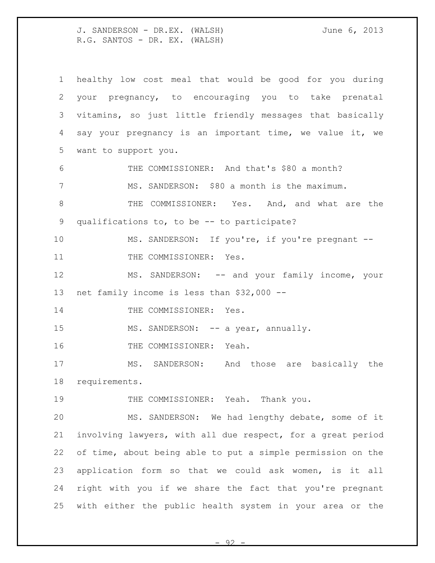healthy low cost meal that would be good for you during your pregnancy, to encouraging you to take prenatal vitamins, so just little friendly messages that basically say your pregnancy is an important time, we value it, we want to support you. THE COMMISSIONER: And that's \$80 a month? MS. SANDERSON: \$80 a month is the maximum. THE COMMISSIONER: Yes. And, and what are the qualifications to, to be -- to participate? MS. SANDERSON: If you're, if you're pregnant -- 11 THE COMMISSIONER: Yes. MS. SANDERSON: -- and your family income, your net family income is less than \$32,000 -- 14 THE COMMISSIONER: Yes. 15 MS. SANDERSON: -- a year, annually. 16 THE COMMISSIONER: Yeah. MS. SANDERSON: And those are basically the requirements. 19 THE COMMISSIONER: Yeah. Thank you. MS. SANDERSON: We had lengthy debate, some of it involving lawyers, with all due respect, for a great period of time, about being able to put a simple permission on the application form so that we could ask women, is it all right with you if we share the fact that you're pregnant with either the public health system in your area or the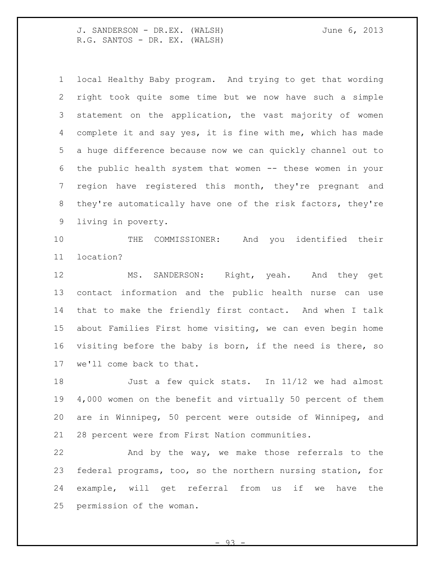local Healthy Baby program. And trying to get that wording right took quite some time but we now have such a simple statement on the application, the vast majority of women complete it and say yes, it is fine with me, which has made a huge difference because now we can quickly channel out to the public health system that women -- these women in your region have registered this month, they're pregnant and they're automatically have one of the risk factors, they're living in poverty.

 THE COMMISSIONER: And you identified their location?

 MS. SANDERSON: Right, yeah. And they get contact information and the public health nurse can use that to make the friendly first contact. And when I talk about Families First home visiting, we can even begin home visiting before the baby is born, if the need is there, so we'll come back to that.

 Just a few quick stats. In 11/12 we had almost 4,000 women on the benefit and virtually 50 percent of them are in Winnipeg, 50 percent were outside of Winnipeg, and 28 percent were from First Nation communities.

 And by the way, we make those referrals to the federal programs, too, so the northern nursing station, for example, will get referral from us if we have the permission of the woman.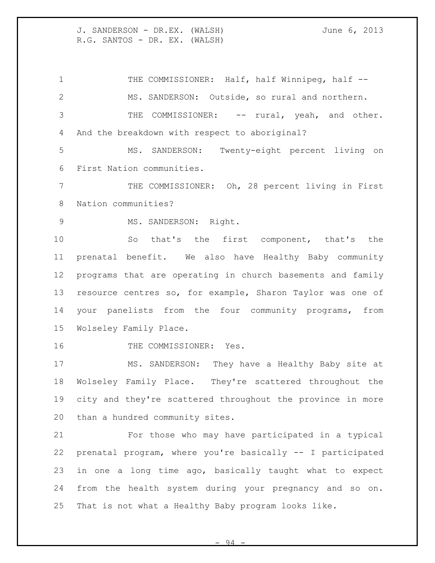1 THE COMMISSIONER: Half, half Winnipeg, half -- MS. SANDERSON: Outside, so rural and northern. 3 THE COMMISSIONER: -- rural, yeah, and other. And the breakdown with respect to aboriginal?

 MS. SANDERSON: Twenty-eight percent living on First Nation communities.

 THE COMMISSIONER: Oh, 28 percent living in First Nation communities?

9 MS. SANDERSON: Right.

 So that's the first component, that's the prenatal benefit. We also have Healthy Baby community programs that are operating in church basements and family resource centres so, for example, Sharon Taylor was one of your panelists from the four community programs, from Wolseley Family Place.

16 THE COMMISSIONER: Yes.

 MS. SANDERSON: They have a Healthy Baby site at Wolseley Family Place. They're scattered throughout the city and they're scattered throughout the province in more than a hundred community sites.

 For those who may have participated in a typical prenatal program, where you're basically -- I participated in one a long time ago, basically taught what to expect from the health system during your pregnancy and so on. That is not what a Healthy Baby program looks like.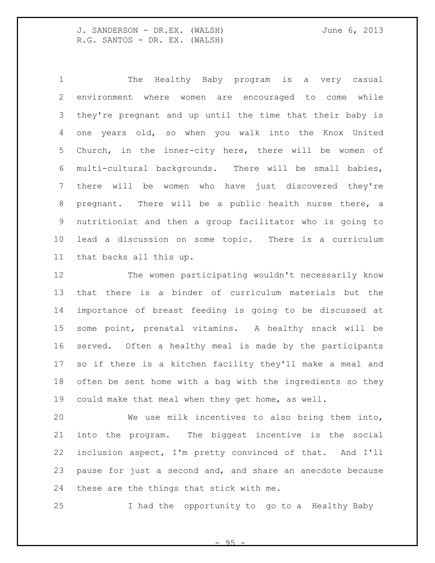The Healthy Baby program is a very casual environment where women are encouraged to come while they're pregnant and up until the time that their baby is one years old, so when you walk into the Knox United Church, in the inner-city here, there will be women of multi-cultural backgrounds. There will be small babies, there will be women who have just discovered they're pregnant. There will be a public health nurse there, a nutritionist and then a group facilitator who is going to lead a discussion on some topic. There is a curriculum that backs all this up.

 The women participating wouldn't necessarily know that there is a binder of curriculum materials but the importance of breast feeding is going to be discussed at some point, prenatal vitamins. A healthy snack will be served. Often a healthy meal is made by the participants so if there is a kitchen facility they'll make a meal and often be sent home with a bag with the ingredients so they could make that meal when they get home, as well.

 We use milk incentives to also bring them into, into the program. The biggest incentive is the social inclusion aspect, I'm pretty convinced of that. And I'll pause for just a second and, and share an anecdote because these are the things that stick with me.

I had the opportunity to go to a Healthy Baby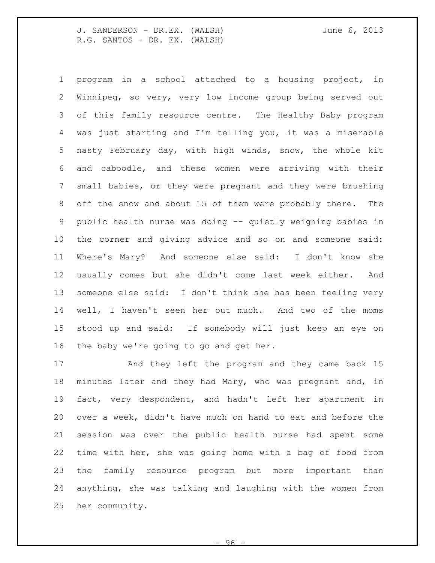program in a school attached to a housing project, in Winnipeg, so very, very low income group being served out of this family resource centre. The Healthy Baby program was just starting and I'm telling you, it was a miserable nasty February day, with high winds, snow, the whole kit and caboodle, and these women were arriving with their small babies, or they were pregnant and they were brushing off the snow and about 15 of them were probably there. The public health nurse was doing -- quietly weighing babies in the corner and giving advice and so on and someone said: Where's Mary? And someone else said: I don't know she usually comes but she didn't come last week either. And someone else said: I don't think she has been feeling very well, I haven't seen her out much. And two of the moms stood up and said: If somebody will just keep an eye on the baby we're going to go and get her.

 And they left the program and they came back 15 minutes later and they had Mary, who was pregnant and, in fact, very despondent, and hadn't left her apartment in over a week, didn't have much on hand to eat and before the session was over the public health nurse had spent some time with her, she was going home with a bag of food from the family resource program but more important than anything, she was talking and laughing with the women from her community.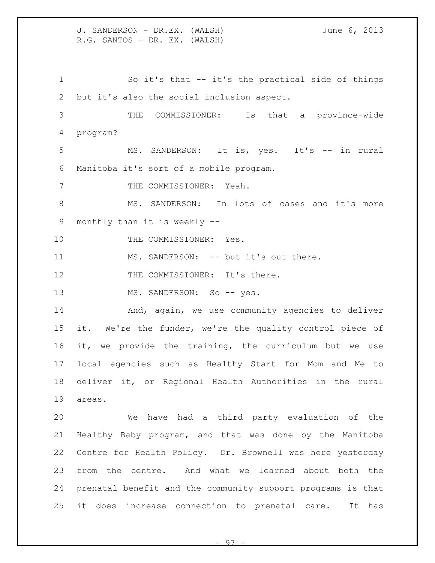So it's that -- it's the practical side of things but it's also the social inclusion aspect.

 THE COMMISSIONER: Is that a province-wide program?

 MS. SANDERSON: It is, yes. It's -- in rural Manitoba it's sort of a mobile program.

7 THE COMMISSIONER: Yeah.

 MS. SANDERSON: In lots of cases and it's more monthly than it is weekly --

10 THE COMMISSIONER: Yes.

11 MS. SANDERSON: -- but it's out there.

12 THE COMMISSIONER: It's there.

13 MS. SANDERSON: So -- yes.

14 And, again, we use community agencies to deliver it. We're the funder, we're the quality control piece of it, we provide the training, the curriculum but we use local agencies such as Healthy Start for Mom and Me to deliver it, or Regional Health Authorities in the rural areas.

 We have had a third party evaluation of the Healthy Baby program, and that was done by the Manitoba Centre for Health Policy. Dr. Brownell was here yesterday from the centre. And what we learned about both the prenatal benefit and the community support programs is that it does increase connection to prenatal care. It has

 $-97$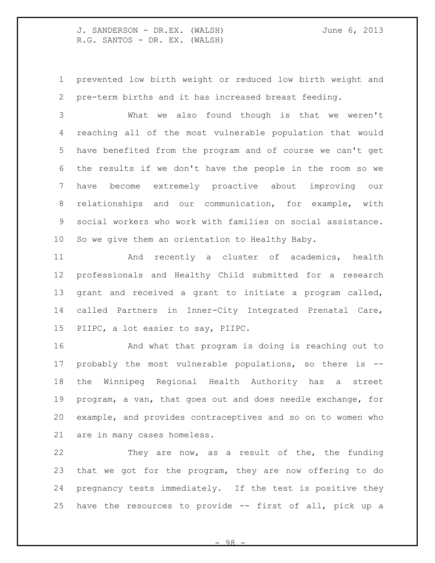prevented low birth weight or reduced low birth weight and pre-term births and it has increased breast feeding.

 What we also found though is that we weren't reaching all of the most vulnerable population that would have benefited from the program and of course we can't get the results if we don't have the people in the room so we have become extremely proactive about improving our relationships and our communication, for example, with social workers who work with families on social assistance. So we give them an orientation to Healthy Baby.

 And recently a cluster of academics, health professionals and Healthy Child submitted for a research grant and received a grant to initiate a program called, called Partners in Inner-City Integrated Prenatal Care, PIIPC, a lot easier to say, PIIPC.

 And what that program is doing is reaching out to probably the most vulnerable populations, so there is -- the Winnipeg Regional Health Authority has a street program, a van, that goes out and does needle exchange, for example, and provides contraceptives and so on to women who are in many cases homeless.

 They are now, as a result of the, the funding that we got for the program, they are now offering to do pregnancy tests immediately. If the test is positive they have the resources to provide -- first of all, pick up a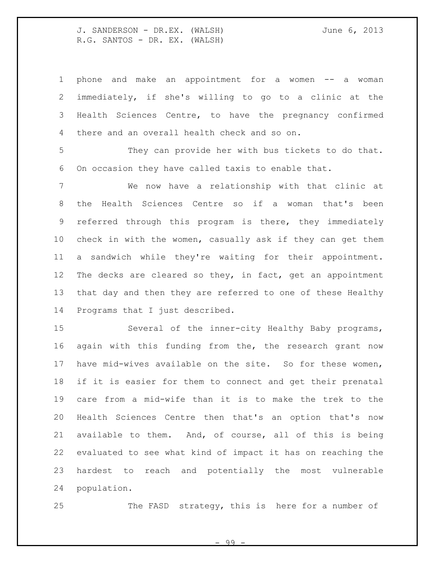| $\mathbf 1$     | and make an appointment for a women -- a<br>phone<br>woman  |
|-----------------|-------------------------------------------------------------|
| 2               | immediately, if she's willing to go to a clinic at the      |
| 3               | Health Sciences Centre, to have the pregnancy confirmed     |
| 4               | there and an overall health check and so on.                |
| 5               | They can provide her with bus tickets to do that.           |
| 6               | On occasion they have called taxis to enable that.          |
| 7               | We now have a relationship with that clinic at              |
| 8               | Health Sciences Centre so if a woman that's been<br>the     |
| 9               | referred through this program is there, they immediately    |
| 10 <sub>o</sub> | check in with the women, casually ask if they can get them  |
| 11              | a sandwich while they're waiting for their appointment.     |
| 12              | The decks are cleared so they, in fact, get an appointment  |
| 13              | that day and then they are referred to one of these Healthy |
| 14              | Programs that I just described.                             |
| 15              | Several of the inner-city Healthy Baby programs,            |
| 16              | again with this funding from the, the research grant now    |
| 17              | have mid-wives available on the site. So for these women,   |
| 18              | if it is easier for them to connect and get their prenatal  |
| 19              | care from a mid-wife than it is to make the trek to the     |
| 20              | Health Sciences Centre then that's an option that's now     |
| 21              | available to them. And, of course, all of this is being     |
| 22              | evaluated to see what kind of impact it has on reaching the |
| 23              | hardest to reach and potentially the most vulnerable        |
| 24              | population.                                                 |
|                 |                                                             |

 $-99 -$ 

The FASD strategy, this is here for a number of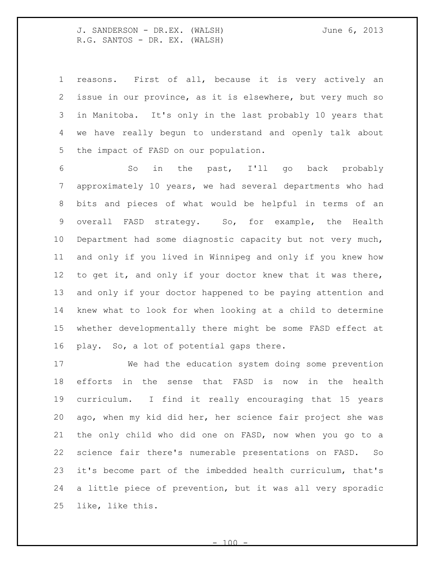reasons. First of all, because it is very actively an issue in our province, as it is elsewhere, but very much so in Manitoba. It's only in the last probably 10 years that we have really begun to understand and openly talk about the impact of FASD on our population.

 So in the past, I'll go back probably approximately 10 years, we had several departments who had bits and pieces of what would be helpful in terms of an overall FASD strategy. So, for example, the Health Department had some diagnostic capacity but not very much, and only if you lived in Winnipeg and only if you knew how 12 to get it, and only if your doctor knew that it was there, and only if your doctor happened to be paying attention and knew what to look for when looking at a child to determine whether developmentally there might be some FASD effect at play. So, a lot of potential gaps there.

 We had the education system doing some prevention efforts in the sense that FASD is now in the health curriculum. I find it really encouraging that 15 years ago, when my kid did her, her science fair project she was the only child who did one on FASD, now when you go to a science fair there's numerable presentations on FASD. So it's become part of the imbedded health curriculum, that's a little piece of prevention, but it was all very sporadic like, like this.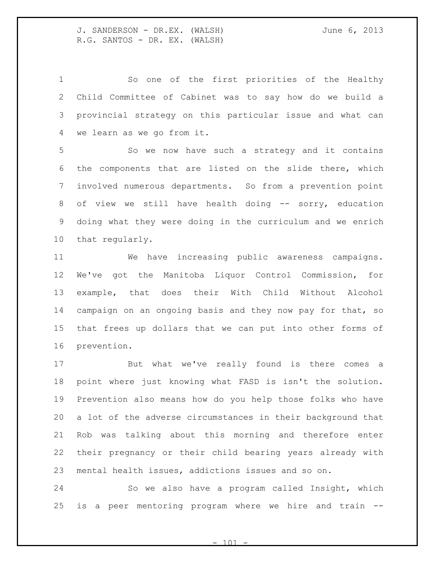So one of the first priorities of the Healthy Child Committee of Cabinet was to say how do we build a provincial strategy on this particular issue and what can we learn as we go from it.

 So we now have such a strategy and it contains the components that are listed on the slide there, which involved numerous departments. So from a prevention point 8 of view we still have health doing -- sorry, education doing what they were doing in the curriculum and we enrich that regularly.

 We have increasing public awareness campaigns. We've got the Manitoba Liquor Control Commission, for example, that does their With Child Without Alcohol 14 campaign on an ongoing basis and they now pay for that, so that frees up dollars that we can put into other forms of prevention.

 But what we've really found is there comes a point where just knowing what FASD is isn't the solution. Prevention also means how do you help those folks who have a lot of the adverse circumstances in their background that Rob was talking about this morning and therefore enter their pregnancy or their child bearing years already with mental health issues, addictions issues and so on.

 So we also have a program called Insight, which is a peer mentoring program where we hire and train --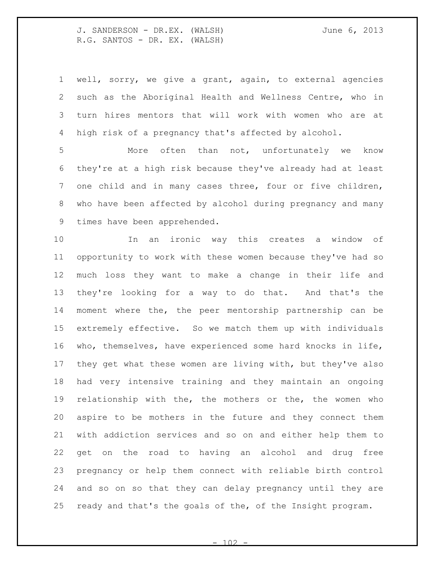well, sorry, we give a grant, again, to external agencies such as the Aboriginal Health and Wellness Centre, who in turn hires mentors that will work with women who are at high risk of a pregnancy that's affected by alcohol.

 More often than not, unfortunately we know they're at a high risk because they've already had at least one child and in many cases three, four or five children, who have been affected by alcohol during pregnancy and many times have been apprehended.

 In an ironic way this creates a window of opportunity to work with these women because they've had so much loss they want to make a change in their life and they're looking for a way to do that. And that's the moment where the, the peer mentorship partnership can be extremely effective. So we match them up with individuals who, themselves, have experienced some hard knocks in life, they get what these women are living with, but they've also had very intensive training and they maintain an ongoing relationship with the, the mothers or the, the women who aspire to be mothers in the future and they connect them with addiction services and so on and either help them to get on the road to having an alcohol and drug free pregnancy or help them connect with reliable birth control and so on so that they can delay pregnancy until they are ready and that's the goals of the, of the Insight program.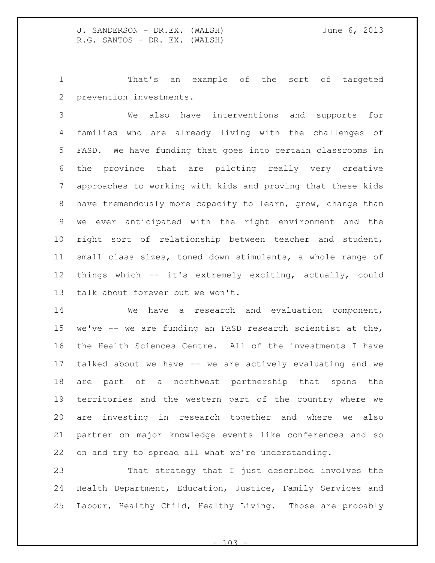That's an example of the sort of targeted prevention investments.

 We also have interventions and supports for families who are already living with the challenges of FASD. We have funding that goes into certain classrooms in the province that are piloting really very creative approaches to working with kids and proving that these kids have tremendously more capacity to learn, grow, change than we ever anticipated with the right environment and the right sort of relationship between teacher and student, small class sizes, toned down stimulants, a whole range of things which -- it's extremely exciting, actually, could talk about forever but we won't.

 We have a research and evaluation component, we've -- we are funding an FASD research scientist at the, the Health Sciences Centre. All of the investments I have talked about we have -- we are actively evaluating and we are part of a northwest partnership that spans the territories and the western part of the country where we are investing in research together and where we also partner on major knowledge events like conferences and so on and try to spread all what we're understanding.

 That strategy that I just described involves the Health Department, Education, Justice, Family Services and Labour, Healthy Child, Healthy Living. Those are probably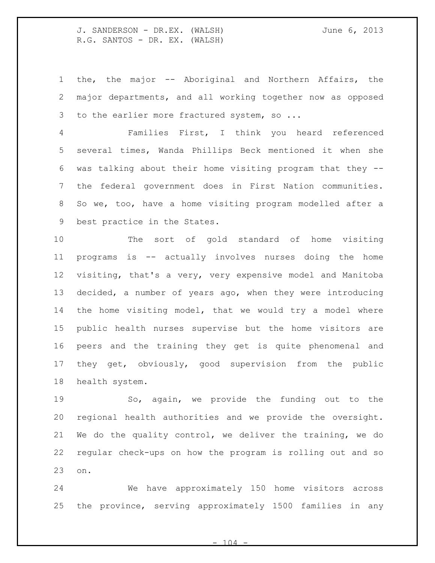the, the major -- Aboriginal and Northern Affairs, the major departments, and all working together now as opposed 3 to the earlier more fractured system, so ...

 Families First, I think you heard referenced several times, Wanda Phillips Beck mentioned it when she was talking about their home visiting program that they -- the federal government does in First Nation communities. So we, too, have a home visiting program modelled after a best practice in the States.

 The sort of gold standard of home visiting programs is -- actually involves nurses doing the home visiting, that's a very, very expensive model and Manitoba decided, a number of years ago, when they were introducing the home visiting model, that we would try a model where public health nurses supervise but the home visitors are peers and the training they get is quite phenomenal and they get, obviously, good supervision from the public health system.

 So, again, we provide the funding out to the regional health authorities and we provide the oversight. We do the quality control, we deliver the training, we do regular check-ups on how the program is rolling out and so on.

 We have approximately 150 home visitors across the province, serving approximately 1500 families in any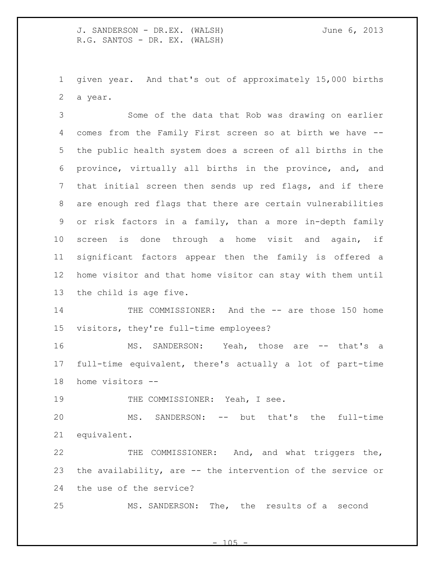given year. And that's out of approximately 15,000 births a year.

 Some of the data that Rob was drawing on earlier comes from the Family First screen so at birth we have -- the public health system does a screen of all births in the province, virtually all births in the province, and, and that initial screen then sends up red flags, and if there are enough red flags that there are certain vulnerabilities or risk factors in a family, than a more in-depth family screen is done through a home visit and again, if significant factors appear then the family is offered a home visitor and that home visitor can stay with them until the child is age five.

14 THE COMMISSIONER: And the -- are those 150 home visitors, they're full-time employees?

 MS. SANDERSON: Yeah, those are -- that's a full-time equivalent, there's actually a lot of part-time home visitors --

19 THE COMMISSIONER: Yeah, I see.

 MS. SANDERSON: -- but that's the full-time equivalent.

 THE COMMISSIONER: And, and what triggers the, the availability, are -- the intervention of the service or the use of the service?

MS. SANDERSON: The, the results of a second

 $- 105$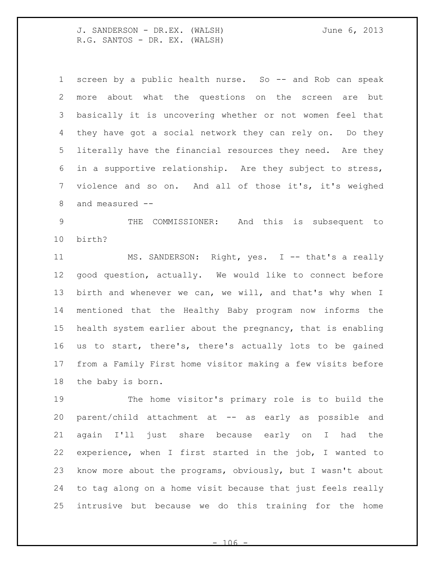screen by a public health nurse. So -- and Rob can speak more about what the questions on the screen are but basically it is uncovering whether or not women feel that they have got a social network they can rely on. Do they literally have the financial resources they need. Are they in a supportive relationship. Are they subject to stress, violence and so on. And all of those it's, it's weighed and measured --

 THE COMMISSIONER: And this is subsequent to birth?

11 MS. SANDERSON: Right, yes. I -- that's a really good question, actually. We would like to connect before birth and whenever we can, we will, and that's why when I mentioned that the Healthy Baby program now informs the health system earlier about the pregnancy, that is enabling us to start, there's, there's actually lots to be gained from a Family First home visitor making a few visits before the baby is born.

 The home visitor's primary role is to build the parent/child attachment at -- as early as possible and again I'll just share because early on I had the experience, when I first started in the job, I wanted to know more about the programs, obviously, but I wasn't about to tag along on a home visit because that just feels really intrusive but because we do this training for the home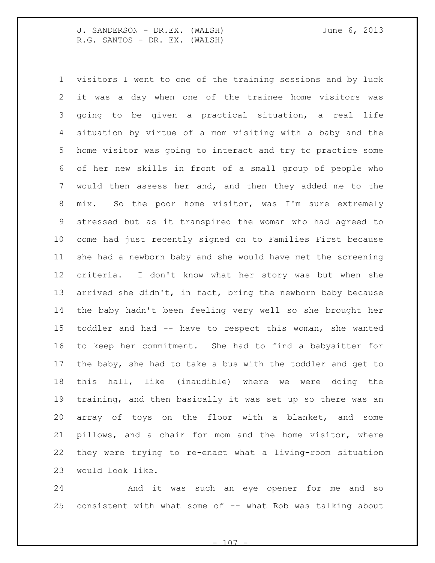visitors I went to one of the training sessions and by luck it was a day when one of the trainee home visitors was going to be given a practical situation, a real life situation by virtue of a mom visiting with a baby and the home visitor was going to interact and try to practice some of her new skills in front of a small group of people who would then assess her and, and then they added me to the mix. So the poor home visitor, was I'm sure extremely stressed but as it transpired the woman who had agreed to come had just recently signed on to Families First because she had a newborn baby and she would have met the screening criteria. I don't know what her story was but when she arrived she didn't, in fact, bring the newborn baby because the baby hadn't been feeling very well so she brought her toddler and had -- have to respect this woman, she wanted to keep her commitment. She had to find a babysitter for the baby, she had to take a bus with the toddler and get to this hall, like (inaudible) where we were doing the training, and then basically it was set up so there was an array of toys on the floor with a blanket, and some pillows, and a chair for mom and the home visitor, where they were trying to re-enact what a living-room situation would look like.

 And it was such an eye opener for me and so consistent with what some of -- what Rob was talking about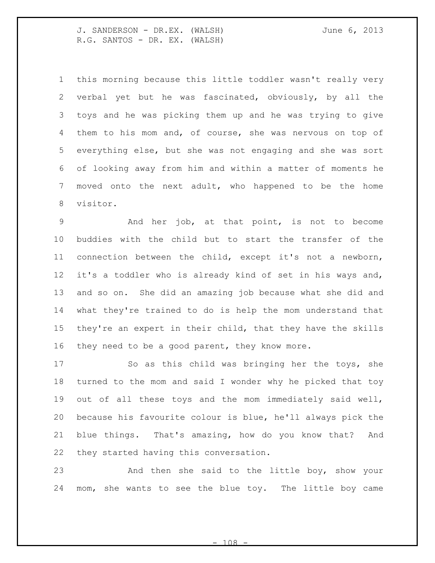this morning because this little toddler wasn't really very verbal yet but he was fascinated, obviously, by all the toys and he was picking them up and he was trying to give them to his mom and, of course, she was nervous on top of everything else, but she was not engaging and she was sort of looking away from him and within a matter of moments he moved onto the next adult, who happened to be the home visitor.

 And her job, at that point, is not to become buddies with the child but to start the transfer of the connection between the child, except it's not a newborn, it's a toddler who is already kind of set in his ways and, and so on. She did an amazing job because what she did and what they're trained to do is help the mom understand that they're an expert in their child, that they have the skills 16 they need to be a good parent, they know more.

 So as this child was bringing her the toys, she turned to the mom and said I wonder why he picked that toy out of all these toys and the mom immediately said well, because his favourite colour is blue, he'll always pick the blue things. That's amazing, how do you know that? And they started having this conversation.

 And then she said to the little boy, show your mom, she wants to see the blue toy. The little boy came

 $1<sub>0</sub>8$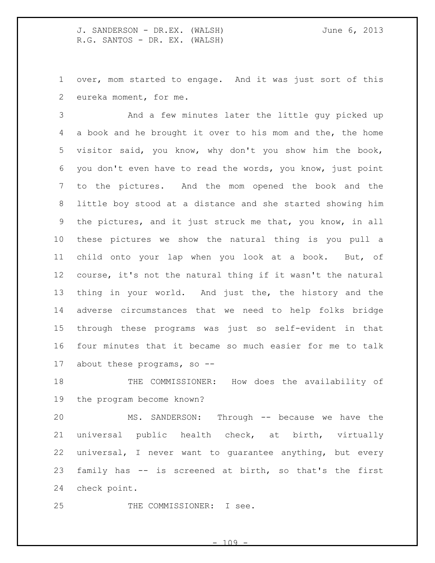over, mom started to engage. And it was just sort of this eureka moment, for me.

 And a few minutes later the little guy picked up a book and he brought it over to his mom and the, the home visitor said, you know, why don't you show him the book, you don't even have to read the words, you know, just point to the pictures. And the mom opened the book and the little boy stood at a distance and she started showing him the pictures, and it just struck me that, you know, in all these pictures we show the natural thing is you pull a child onto your lap when you look at a book. But, of course, it's not the natural thing if it wasn't the natural thing in your world. And just the, the history and the adverse circumstances that we need to help folks bridge through these programs was just so self-evident in that four minutes that it became so much easier for me to talk about these programs, so --

 THE COMMISSIONER: How does the availability of the program become known?

 MS. SANDERSON: Through -- because we have the universal public health check, at birth, virtually universal, I never want to guarantee anything, but every family has -- is screened at birth, so that's the first check point.

THE COMMISSIONER: I see.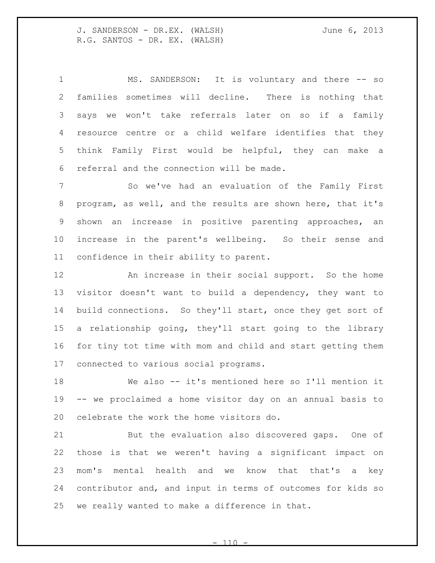MS. SANDERSON: It is voluntary and there -- so families sometimes will decline. There is nothing that says we won't take referrals later on so if a family resource centre or a child welfare identifies that they think Family First would be helpful, they can make a referral and the connection will be made.

 So we've had an evaluation of the Family First program, as well, and the results are shown here, that it's shown an increase in positive parenting approaches, an increase in the parent's wellbeing. So their sense and confidence in their ability to parent.

 An increase in their social support. So the home visitor doesn't want to build a dependency, they want to build connections. So they'll start, once they get sort of a relationship going, they'll start going to the library for tiny tot time with mom and child and start getting them connected to various social programs.

 We also -- it's mentioned here so I'll mention it -- we proclaimed a home visitor day on an annual basis to celebrate the work the home visitors do.

 But the evaluation also discovered gaps. One of those is that we weren't having a significant impact on mom's mental health and we know that that's a key contributor and, and input in terms of outcomes for kids so we really wanted to make a difference in that.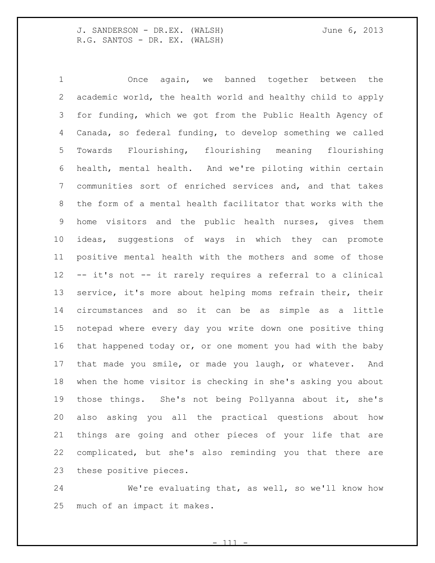Once again, we banned together between the academic world, the health world and healthy child to apply for funding, which we got from the Public Health Agency of Canada, so federal funding, to develop something we called Towards Flourishing, flourishing meaning flourishing health, mental health. And we're piloting within certain communities sort of enriched services and, and that takes the form of a mental health facilitator that works with the home visitors and the public health nurses, gives them ideas, suggestions of ways in which they can promote positive mental health with the mothers and some of those -- it's not -- it rarely requires a referral to a clinical 13 service, it's more about helping moms refrain their, their circumstances and so it can be as simple as a little notepad where every day you write down one positive thing that happened today or, or one moment you had with the baby that made you smile, or made you laugh, or whatever. And when the home visitor is checking in she's asking you about those things. She's not being Pollyanna about it, she's also asking you all the practical questions about how things are going and other pieces of your life that are complicated, but she's also reminding you that there are these positive pieces.

 We're evaluating that, as well, so we'll know how much of an impact it makes.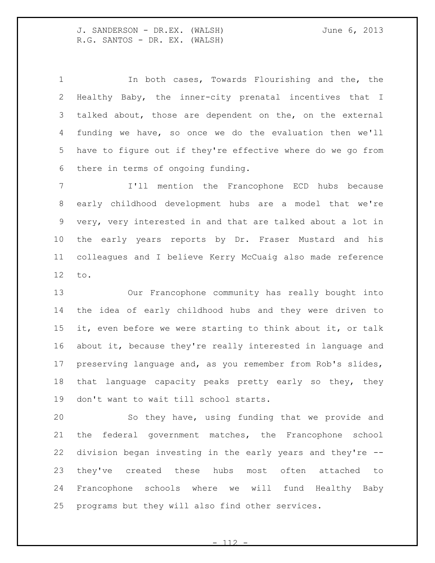In both cases, Towards Flourishing and the, the Healthy Baby, the inner-city prenatal incentives that I talked about, those are dependent on the, on the external funding we have, so once we do the evaluation then we'll have to figure out if they're effective where do we go from there in terms of ongoing funding.

 I'll mention the Francophone ECD hubs because early childhood development hubs are a model that we're very, very interested in and that are talked about a lot in the early years reports by Dr. Fraser Mustard and his colleagues and I believe Kerry McCuaig also made reference to.

 Our Francophone community has really bought into the idea of early childhood hubs and they were driven to it, even before we were starting to think about it, or talk about it, because they're really interested in language and preserving language and, as you remember from Rob's slides, that language capacity peaks pretty early so they, they don't want to wait till school starts.

 So they have, using funding that we provide and the federal government matches, the Francophone school division began investing in the early years and they're -- they've created these hubs most often attached to Francophone schools where we will fund Healthy Baby programs but they will also find other services.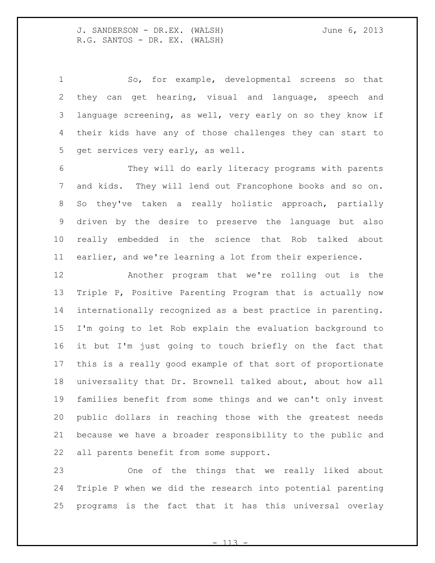So, for example, developmental screens so that they can get hearing, visual and language, speech and language screening, as well, very early on so they know if their kids have any of those challenges they can start to get services very early, as well.

 They will do early literacy programs with parents and kids. They will lend out Francophone books and so on. So they've taken a really holistic approach, partially driven by the desire to preserve the language but also really embedded in the science that Rob talked about earlier, and we're learning a lot from their experience.

 Another program that we're rolling out is the Triple P, Positive Parenting Program that is actually now internationally recognized as a best practice in parenting. I'm going to let Rob explain the evaluation background to it but I'm just going to touch briefly on the fact that this is a really good example of that sort of proportionate universality that Dr. Brownell talked about, about how all families benefit from some things and we can't only invest public dollars in reaching those with the greatest needs because we have a broader responsibility to the public and all parents benefit from some support.

 One of the things that we really liked about Triple P when we did the research into potential parenting programs is the fact that it has this universal overlay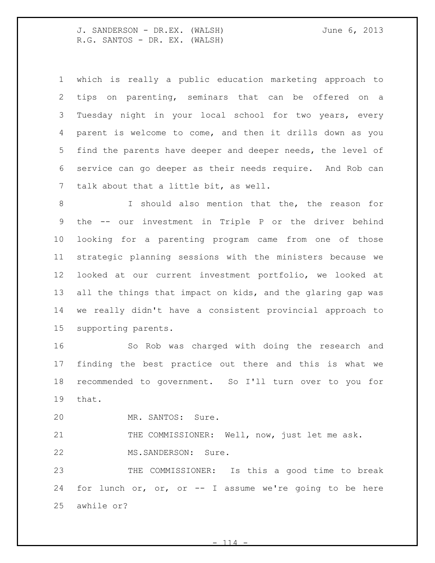which is really a public education marketing approach to tips on parenting, seminars that can be offered on a Tuesday night in your local school for two years, every parent is welcome to come, and then it drills down as you find the parents have deeper and deeper needs, the level of service can go deeper as their needs require. And Rob can talk about that a little bit, as well. I should also mention that the, the reason for the -- our investment in Triple P or the driver behind looking for a parenting program came from one of those strategic planning sessions with the ministers because we looked at our current investment portfolio, we looked at all the things that impact on kids, and the glaring gap was we really didn't have a consistent provincial approach to

supporting parents.

 So Rob was charged with doing the research and finding the best practice out there and this is what we recommended to government. So I'll turn over to you for that.

MR. SANTOS: Sure.

21 THE COMMISSIONER: Well, now, just let me ask. MS.SANDERSON: Sure.

 THE COMMISSIONER: Is this a good time to break for lunch or, or, or -- I assume we're going to be here awhile or?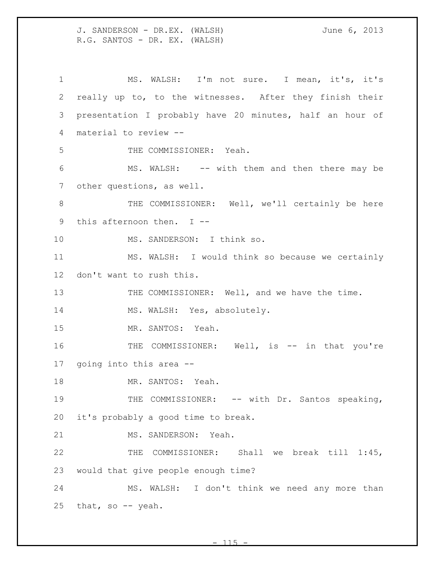MS. WALSH: I'm not sure. I mean, it's, it's really up to, to the witnesses. After they finish their presentation I probably have 20 minutes, half an hour of material to review -- THE COMMISSIONER: Yeah. MS. WALSH: -- with them and then there may be other questions, as well. 8 THE COMMISSIONER: Well, we'll certainly be here this afternoon then. I -- MS. SANDERSON: I think so. MS. WALSH: I would think so because we certainly don't want to rush this. 13 THE COMMISSIONER: Well, and we have the time. 14 MS. WALSH: Yes, absolutely. MR. SANTOS: Yeah. 16 THE COMMISSIONER: Well, is -- in that you're going into this area -- 18 MR. SANTOS: Yeah. 19 THE COMMISSIONER: -- with Dr. Santos speaking, it's probably a good time to break. MS. SANDERSON: Yeah. THE COMMISSIONER: Shall we break till 1:45, would that give people enough time? MS. WALSH: I don't think we need any more than that, so -- yeah.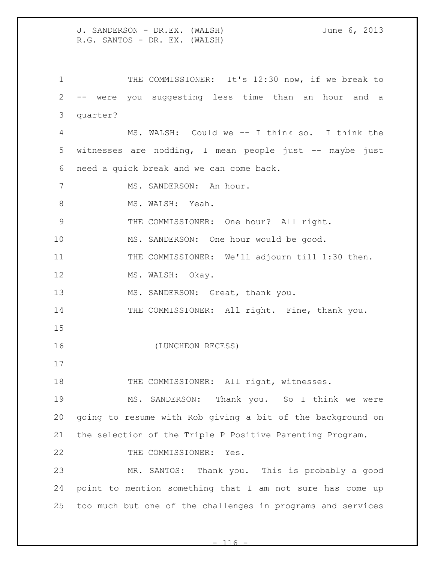1 THE COMMISSIONER: It's 12:30 now, if we break to -- were you suggesting less time than an hour and a quarter? MS. WALSH: Could we -- I think so. I think the witnesses are nodding, I mean people just -- maybe just need a quick break and we can come back. 7 MS. SANDERSON: An hour. 8 MS. WALSH: Yeah. THE COMMISSIONER: One hour? All right. MS. SANDERSON: One hour would be good. THE COMMISSIONER: We'll adjourn till 1:30 then. 12 MS. WALSH: Okay. 13 MS. SANDERSON: Great, thank you. 14 THE COMMISSIONER: All right. Fine, thank you. (LUNCHEON RECESS) 18 THE COMMISSIONER: All right, witnesses. MS. SANDERSON: Thank you. So I think we were going to resume with Rob giving a bit of the background on the selection of the Triple P Positive Parenting Program. 22 THE COMMISSIONER: Yes. MR. SANTOS: Thank you. This is probably a good point to mention something that I am not sure has come up too much but one of the challenges in programs and services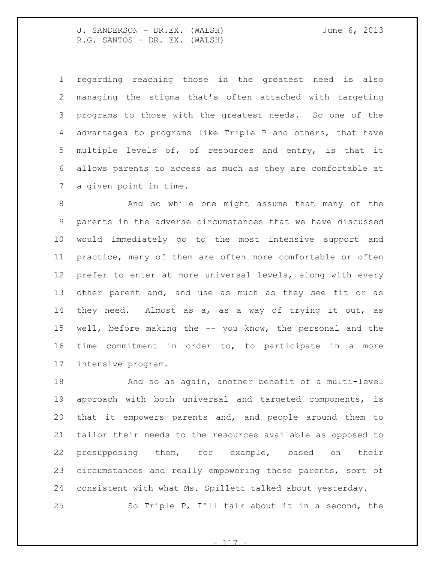regarding reaching those in the greatest need is also managing the stigma that's often attached with targeting programs to those with the greatest needs. So one of the advantages to programs like Triple P and others, that have multiple levels of, of resources and entry, is that it allows parents to access as much as they are comfortable at a given point in time.

 And so while one might assume that many of the parents in the adverse circumstances that we have discussed would immediately go to the most intensive support and practice, many of them are often more comfortable or often prefer to enter at more universal levels, along with every other parent and, and use as much as they see fit or as they need. Almost as a, as a way of trying it out, as well, before making the -- you know, the personal and the time commitment in order to, to participate in a more intensive program.

 And so as again, another benefit of a multi-level approach with both universal and targeted components, is that it empowers parents and, and people around them to tailor their needs to the resources available as opposed to presupposing them, for example, based on their circumstances and really empowering those parents, sort of consistent with what Ms. Spillett talked about yesterday. So Triple P, I'll talk about it in a second, the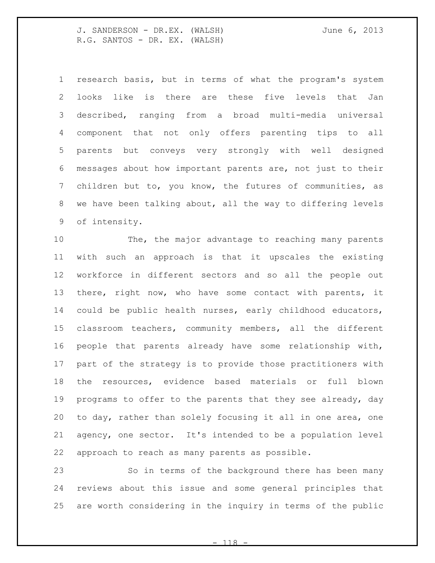research basis, but in terms of what the program's system looks like is there are these five levels that Jan described, ranging from a broad multi-media universal component that not only offers parenting tips to all parents but conveys very strongly with well designed messages about how important parents are, not just to their children but to, you know, the futures of communities, as we have been talking about, all the way to differing levels of intensity.

 The, the major advantage to reaching many parents with such an approach is that it upscales the existing workforce in different sectors and so all the people out there, right now, who have some contact with parents, it could be public health nurses, early childhood educators, classroom teachers, community members, all the different people that parents already have some relationship with, part of the strategy is to provide those practitioners with the resources, evidence based materials or full blown programs to offer to the parents that they see already, day to day, rather than solely focusing it all in one area, one agency, one sector. It's intended to be a population level approach to reach as many parents as possible.

 So in terms of the background there has been many reviews about this issue and some general principles that are worth considering in the inquiry in terms of the public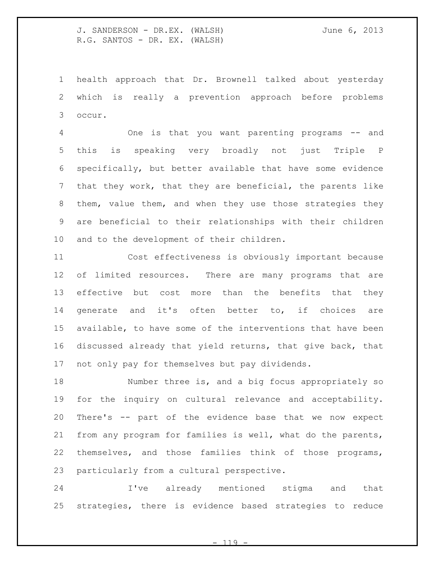health approach that Dr. Brownell talked about yesterday which is really a prevention approach before problems occur.

 One is that you want parenting programs -- and this is speaking very broadly not just Triple P specifically, but better available that have some evidence that they work, that they are beneficial, the parents like them, value them, and when they use those strategies they are beneficial to their relationships with their children and to the development of their children.

 Cost effectiveness is obviously important because of limited resources. There are many programs that are effective but cost more than the benefits that they generate and it's often better to, if choices are available, to have some of the interventions that have been discussed already that yield returns, that give back, that not only pay for themselves but pay dividends.

 Number three is, and a big focus appropriately so for the inquiry on cultural relevance and acceptability. There's -- part of the evidence base that we now expect from any program for families is well, what do the parents, themselves, and those families think of those programs, particularly from a cultural perspective.

 I've already mentioned stigma and that strategies, there is evidence based strategies to reduce

 $- 119$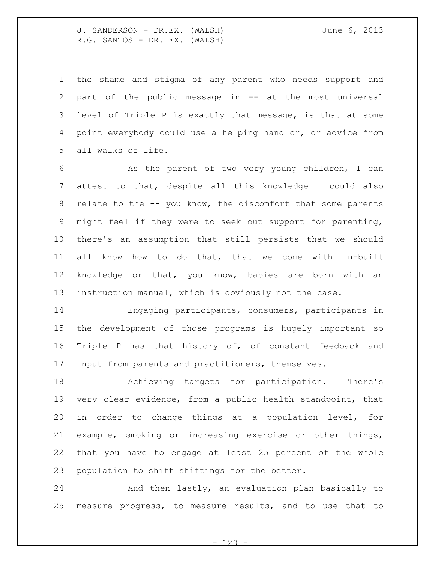the shame and stigma of any parent who needs support and part of the public message in -- at the most universal level of Triple P is exactly that message, is that at some point everybody could use a helping hand or, or advice from all walks of life.

 As the parent of two very young children, I can attest to that, despite all this knowledge I could also relate to the -- you know, the discomfort that some parents might feel if they were to seek out support for parenting, there's an assumption that still persists that we should all know how to do that, that we come with in-built knowledge or that, you know, babies are born with an instruction manual, which is obviously not the case.

 Engaging participants, consumers, participants in the development of those programs is hugely important so Triple P has that history of, of constant feedback and input from parents and practitioners, themselves.

 Achieving targets for participation. There's very clear evidence, from a public health standpoint, that in order to change things at a population level, for example, smoking or increasing exercise or other things, that you have to engage at least 25 percent of the whole population to shift shiftings for the better.

 And then lastly, an evaluation plan basically to measure progress, to measure results, and to use that to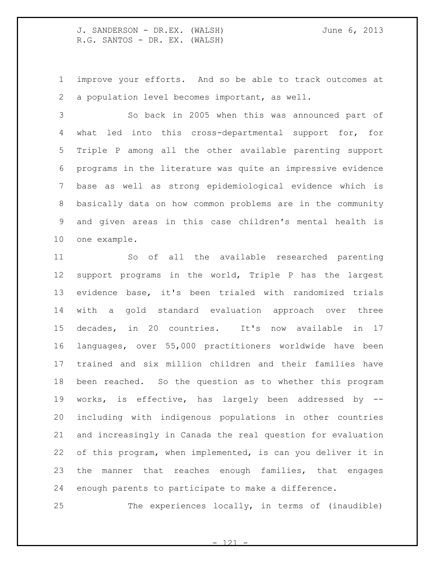improve your efforts. And so be able to track outcomes at a population level becomes important, as well.

 So back in 2005 when this was announced part of what led into this cross-departmental support for, for Triple P among all the other available parenting support programs in the literature was quite an impressive evidence base as well as strong epidemiological evidence which is basically data on how common problems are in the community and given areas in this case children's mental health is one example.

 So of all the available researched parenting support programs in the world, Triple P has the largest evidence base, it's been trialed with randomized trials with a gold standard evaluation approach over three decades, in 20 countries. It's now available in 17 languages, over 55,000 practitioners worldwide have been trained and six million children and their families have been reached. So the question as to whether this program works, is effective, has largely been addressed by -- including with indigenous populations in other countries and increasingly in Canada the real question for evaluation of this program, when implemented, is can you deliver it in the manner that reaches enough families, that engages enough parents to participate to make a difference.

The experiences locally, in terms of (inaudible)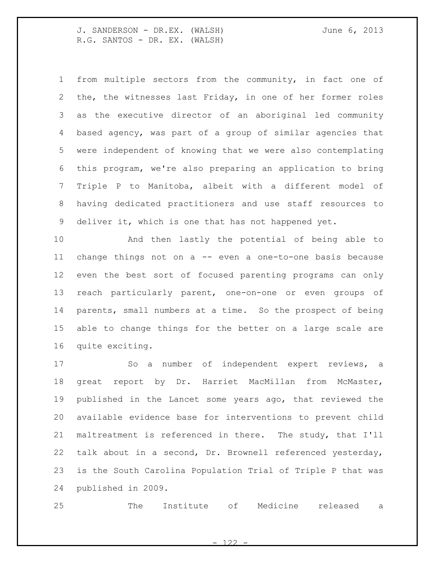from multiple sectors from the community, in fact one of the, the witnesses last Friday, in one of her former roles as the executive director of an aboriginal led community based agency, was part of a group of similar agencies that were independent of knowing that we were also contemplating this program, we're also preparing an application to bring Triple P to Manitoba, albeit with a different model of having dedicated practitioners and use staff resources to deliver it, which is one that has not happened yet.

 And then lastly the potential of being able to change things not on a -- even a one-to-one basis because even the best sort of focused parenting programs can only reach particularly parent, one-on-one or even groups of parents, small numbers at a time. So the prospect of being able to change things for the better on a large scale are quite exciting.

 So a number of independent expert reviews, a great report by Dr. Harriet MacMillan from McMaster, published in the Lancet some years ago, that reviewed the available evidence base for interventions to prevent child maltreatment is referenced in there. The study, that I'll talk about in a second, Dr. Brownell referenced yesterday, is the South Carolina Population Trial of Triple P that was published in 2009.

The Institute of Medicine released a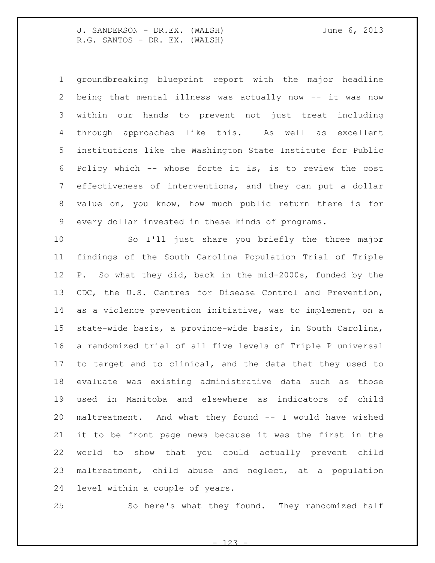groundbreaking blueprint report with the major headline being that mental illness was actually now -- it was now within our hands to prevent not just treat including through approaches like this. As well as excellent institutions like the Washington State Institute for Public Policy which -- whose forte it is, is to review the cost effectiveness of interventions, and they can put a dollar value on, you know, how much public return there is for every dollar invested in these kinds of programs.

 So I'll just share you briefly the three major findings of the South Carolina Population Trial of Triple P. So what they did, back in the mid-2000s, funded by the CDC, the U.S. Centres for Disease Control and Prevention, as a violence prevention initiative, was to implement, on a state-wide basis, a province-wide basis, in South Carolina, a randomized trial of all five levels of Triple P universal to target and to clinical, and the data that they used to evaluate was existing administrative data such as those used in Manitoba and elsewhere as indicators of child maltreatment. And what they found -- I would have wished it to be front page news because it was the first in the world to show that you could actually prevent child maltreatment, child abuse and neglect, at a population level within a couple of years.

So here's what they found. They randomized half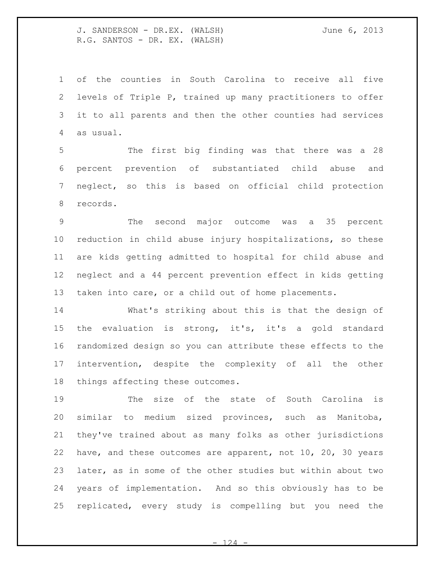of the counties in South Carolina to receive all five levels of Triple P, trained up many practitioners to offer it to all parents and then the other counties had services as usual.

 The first big finding was that there was a 28 percent prevention of substantiated child abuse and neglect, so this is based on official child protection records.

 The second major outcome was a 35 percent reduction in child abuse injury hospitalizations, so these are kids getting admitted to hospital for child abuse and neglect and a 44 percent prevention effect in kids getting taken into care, or a child out of home placements.

 What's striking about this is that the design of the evaluation is strong, it's, it's a gold standard randomized design so you can attribute these effects to the intervention, despite the complexity of all the other things affecting these outcomes.

 The size of the state of South Carolina is similar to medium sized provinces, such as Manitoba, they've trained about as many folks as other jurisdictions have, and these outcomes are apparent, not 10, 20, 30 years later, as in some of the other studies but within about two years of implementation. And so this obviously has to be replicated, every study is compelling but you need the

 $- 124$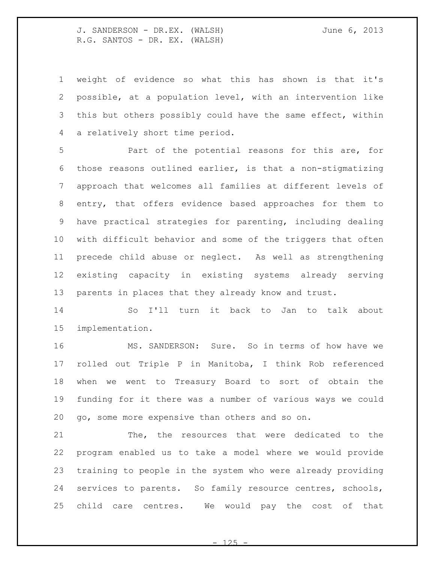weight of evidence so what this has shown is that it's possible, at a population level, with an intervention like 3 this but others possibly could have the same effect, within a relatively short time period.

 Part of the potential reasons for this are, for those reasons outlined earlier, is that a non-stigmatizing approach that welcomes all families at different levels of entry, that offers evidence based approaches for them to have practical strategies for parenting, including dealing with difficult behavior and some of the triggers that often precede child abuse or neglect. As well as strengthening existing capacity in existing systems already serving parents in places that they already know and trust.

 So I'll turn it back to Jan to talk about implementation.

 MS. SANDERSON: Sure. So in terms of how have we rolled out Triple P in Manitoba, I think Rob referenced when we went to Treasury Board to sort of obtain the funding for it there was a number of various ways we could go, some more expensive than others and so on.

 The, the resources that were dedicated to the program enabled us to take a model where we would provide training to people in the system who were already providing services to parents. So family resource centres, schools, child care centres. We would pay the cost of that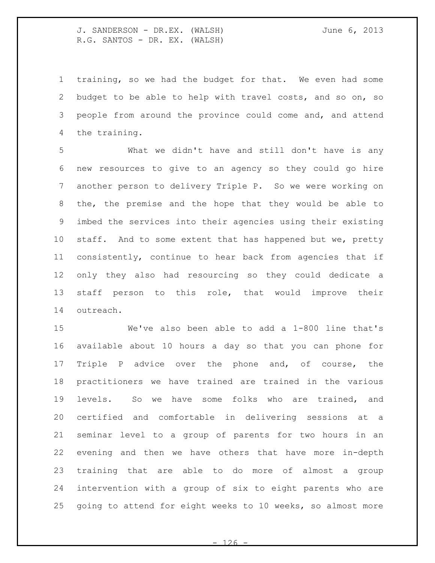training, so we had the budget for that. We even had some budget to be able to help with travel costs, and so on, so people from around the province could come and, and attend the training.

 What we didn't have and still don't have is any new resources to give to an agency so they could go hire another person to delivery Triple P. So we were working on the, the premise and the hope that they would be able to imbed the services into their agencies using their existing 10 staff. And to some extent that has happened but we, pretty consistently, continue to hear back from agencies that if only they also had resourcing so they could dedicate a staff person to this role, that would improve their outreach.

 We've also been able to add a 1-800 line that's available about 10 hours a day so that you can phone for Triple P advice over the phone and, of course, the practitioners we have trained are trained in the various levels. So we have some folks who are trained, and certified and comfortable in delivering sessions at a seminar level to a group of parents for two hours in an evening and then we have others that have more in-depth training that are able to do more of almost a group intervention with a group of six to eight parents who are going to attend for eight weeks to 10 weeks, so almost more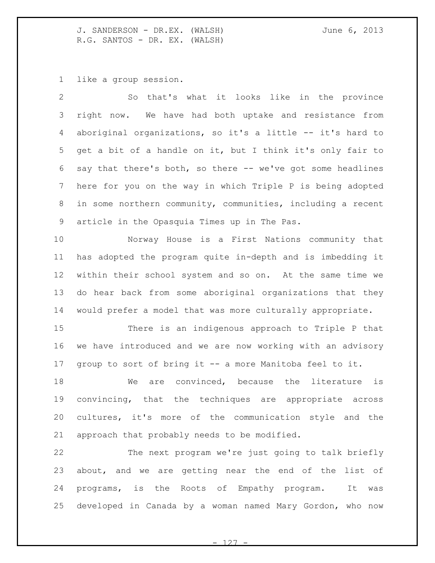like a group session.

| $\mathcal{P}$ | So that's what it looks like in the province                  |
|---------------|---------------------------------------------------------------|
|               | 3 right now. We have had both uptake and resistance from      |
|               | 4 aboriginal organizations, so it's a little -- it's hard to  |
|               | 5 get a bit of a handle on it, but I think it's only fair to  |
|               | 6 say that there's both, so there -- we've got some headlines |
|               | 7 here for you on the way in which Triple P is being adopted  |
| 8             | in some northern community, communities, including a recent   |
|               | 9 article in the Opasquia Times up in The Pas.                |

 Norway House is a First Nations community that has adopted the program quite in-depth and is imbedding it within their school system and so on. At the same time we do hear back from some aboriginal organizations that they would prefer a model that was more culturally appropriate.

 There is an indigenous approach to Triple P that we have introduced and we are now working with an advisory group to sort of bring it -- a more Manitoba feel to it.

 We are convinced, because the literature is convincing, that the techniques are appropriate across cultures, it's more of the communication style and the approach that probably needs to be modified.

 The next program we're just going to talk briefly about, and we are getting near the end of the list of programs, is the Roots of Empathy program. It was developed in Canada by a woman named Mary Gordon, who now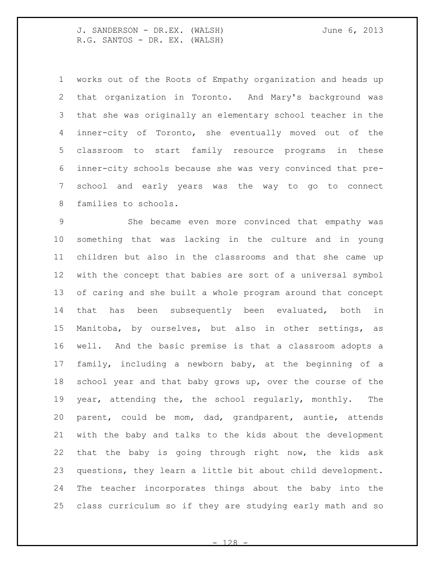works out of the Roots of Empathy organization and heads up that organization in Toronto. And Mary's background was that she was originally an elementary school teacher in the inner-city of Toronto, she eventually moved out of the classroom to start family resource programs in these inner-city schools because she was very convinced that pre- school and early years was the way to go to connect families to schools.

 She became even more convinced that empathy was something that was lacking in the culture and in young children but also in the classrooms and that she came up with the concept that babies are sort of a universal symbol of caring and she built a whole program around that concept that has been subsequently been evaluated, both in Manitoba, by ourselves, but also in other settings, as well. And the basic premise is that a classroom adopts a family, including a newborn baby, at the beginning of a school year and that baby grows up, over the course of the year, attending the, the school regularly, monthly. The parent, could be mom, dad, grandparent, auntie, attends with the baby and talks to the kids about the development that the baby is going through right now, the kids ask questions, they learn a little bit about child development. The teacher incorporates things about the baby into the class curriculum so if they are studying early math and so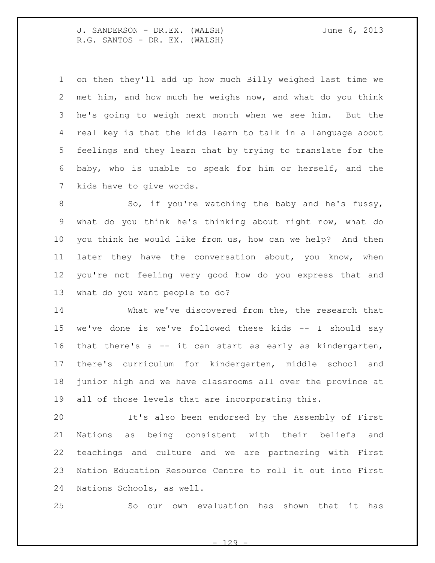on then they'll add up how much Billy weighed last time we met him, and how much he weighs now, and what do you think he's going to weigh next month when we see him. But the real key is that the kids learn to talk in a language about feelings and they learn that by trying to translate for the baby, who is unable to speak for him or herself, and the kids have to give words.

8 So, if you're watching the baby and he's fussy, what do you think he's thinking about right now, what do you think he would like from us, how can we help? And then later they have the conversation about, you know, when you're not feeling very good how do you express that and what do you want people to do?

 What we've discovered from the, the research that we've done is we've followed these kids -- I should say that there's a -- it can start as early as kindergarten, there's curriculum for kindergarten, middle school and junior high and we have classrooms all over the province at all of those levels that are incorporating this.

 It's also been endorsed by the Assembly of First Nations as being consistent with their beliefs and teachings and culture and we are partnering with First Nation Education Resource Centre to roll it out into First Nations Schools, as well.

So our own evaluation has shown that it has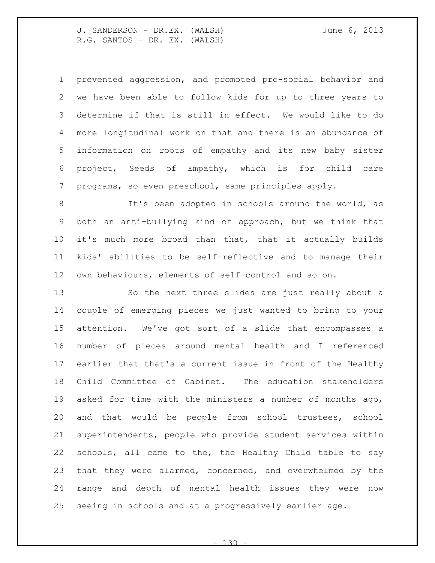prevented aggression, and promoted pro-social behavior and we have been able to follow kids for up to three years to determine if that is still in effect. We would like to do more longitudinal work on that and there is an abundance of information on roots of empathy and its new baby sister project, Seeds of Empathy, which is for child care programs, so even preschool, same principles apply.

 It's been adopted in schools around the world, as both an anti-bullying kind of approach, but we think that it's much more broad than that, that it actually builds kids' abilities to be self-reflective and to manage their own behaviours, elements of self-control and so on.

 So the next three slides are just really about a couple of emerging pieces we just wanted to bring to your attention. We've got sort of a slide that encompasses a number of pieces around mental health and I referenced earlier that that's a current issue in front of the Healthy Child Committee of Cabinet. The education stakeholders asked for time with the ministers a number of months ago, and that would be people from school trustees, school superintendents, people who provide student services within schools, all came to the, the Healthy Child table to say that they were alarmed, concerned, and overwhelmed by the range and depth of mental health issues they were now seeing in schools and at a progressively earlier age.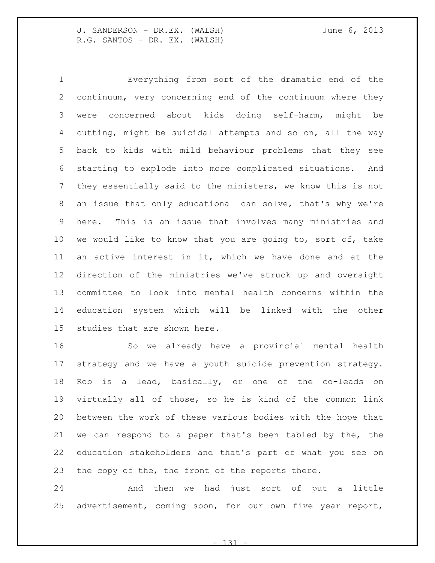Everything from sort of the dramatic end of the continuum, very concerning end of the continuum where they were concerned about kids doing self-harm, might be cutting, might be suicidal attempts and so on, all the way back to kids with mild behaviour problems that they see starting to explode into more complicated situations. And they essentially said to the ministers, we know this is not an issue that only educational can solve, that's why we're here. This is an issue that involves many ministries and we would like to know that you are going to, sort of, take an active interest in it, which we have done and at the direction of the ministries we've struck up and oversight committee to look into mental health concerns within the education system which will be linked with the other studies that are shown here.

 So we already have a provincial mental health strategy and we have a youth suicide prevention strategy. Rob is a lead, basically, or one of the co-leads on virtually all of those, so he is kind of the common link between the work of these various bodies with the hope that we can respond to a paper that's been tabled by the, the education stakeholders and that's part of what you see on the copy of the, the front of the reports there.

 And then we had just sort of put a little advertisement, coming soon, for our own five year report,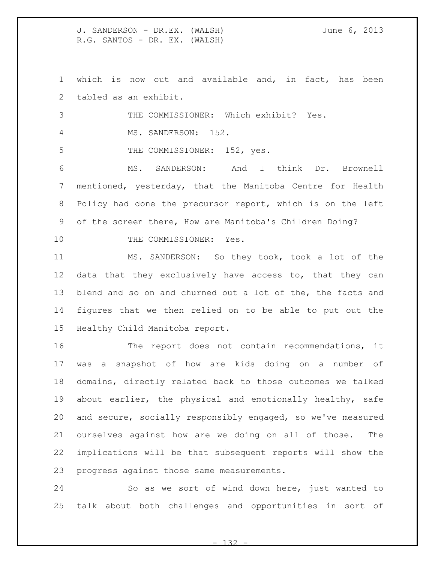which is now out and available and, in fact, has been tabled as an exhibit.

THE COMMISSIONER: Which exhibit? Yes.

MS. SANDERSON: 152.

5 THE COMMISSIONER: 152, yes.

 MS. SANDERSON: And I think Dr. Brownell mentioned, yesterday, that the Manitoba Centre for Health Policy had done the precursor report, which is on the left of the screen there, How are Manitoba's Children Doing?

10 THE COMMISSIONER: Yes.

 MS. SANDERSON: So they took, took a lot of the data that they exclusively have access to, that they can blend and so on and churned out a lot of the, the facts and figures that we then relied on to be able to put out the Healthy Child Manitoba report.

 The report does not contain recommendations, it was a snapshot of how are kids doing on a number of domains, directly related back to those outcomes we talked about earlier, the physical and emotionally healthy, safe and secure, socially responsibly engaged, so we've measured ourselves against how are we doing on all of those. The implications will be that subsequent reports will show the progress against those same measurements.

 So as we sort of wind down here, just wanted to talk about both challenges and opportunities in sort of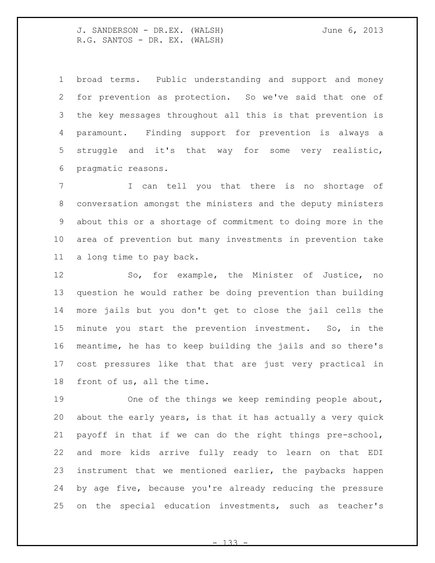broad terms. Public understanding and support and money for prevention as protection. So we've said that one of the key messages throughout all this is that prevention is paramount. Finding support for prevention is always a struggle and it's that way for some very realistic, pragmatic reasons.

 I can tell you that there is no shortage of conversation amongst the ministers and the deputy ministers about this or a shortage of commitment to doing more in the area of prevention but many investments in prevention take a long time to pay back.

 So, for example, the Minister of Justice, no question he would rather be doing prevention than building more jails but you don't get to close the jail cells the minute you start the prevention investment. So, in the meantime, he has to keep building the jails and so there's cost pressures like that that are just very practical in front of us, all the time.

 One of the things we keep reminding people about, about the early years, is that it has actually a very quick payoff in that if we can do the right things pre-school, and more kids arrive fully ready to learn on that EDI instrument that we mentioned earlier, the paybacks happen by age five, because you're already reducing the pressure on the special education investments, such as teacher's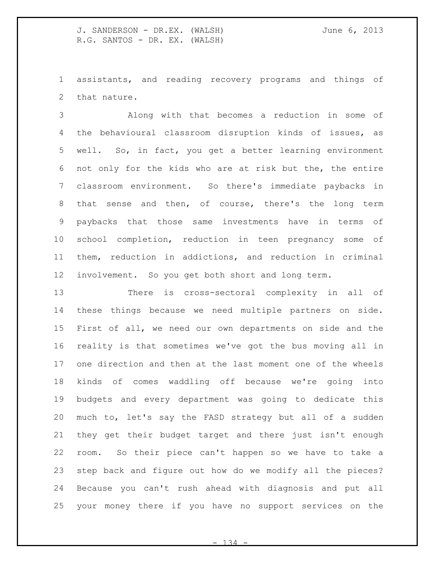assistants, and reading recovery programs and things of that nature.

 Along with that becomes a reduction in some of the behavioural classroom disruption kinds of issues, as well. So, in fact, you get a better learning environment not only for the kids who are at risk but the, the entire classroom environment. So there's immediate paybacks in that sense and then, of course, there's the long term paybacks that those same investments have in terms of school completion, reduction in teen pregnancy some of them, reduction in addictions, and reduction in criminal involvement. So you get both short and long term.

 There is cross-sectoral complexity in all of these things because we need multiple partners on side. First of all, we need our own departments on side and the reality is that sometimes we've got the bus moving all in one direction and then at the last moment one of the wheels kinds of comes waddling off because we're going into budgets and every department was going to dedicate this much to, let's say the FASD strategy but all of a sudden they get their budget target and there just isn't enough room. So their piece can't happen so we have to take a step back and figure out how do we modify all the pieces? Because you can't rush ahead with diagnosis and put all your money there if you have no support services on the

 $- 134$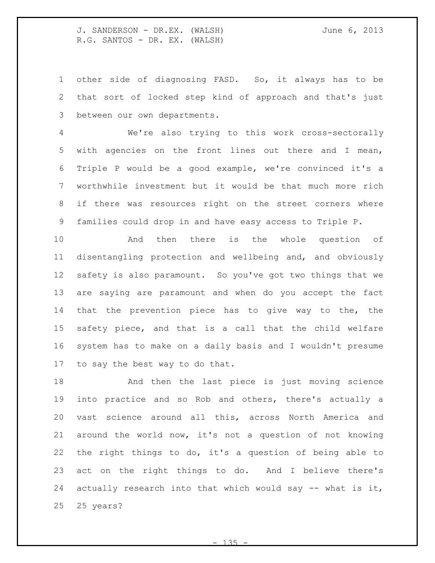other side of diagnosing FASD. So, it always has to be that sort of locked step kind of approach and that's just between our own departments.

 We're also trying to this work cross-sectorally with agencies on the front lines out there and I mean, Triple P would be a good example, we're convinced it's a worthwhile investment but it would be that much more rich if there was resources right on the street corners where families could drop in and have easy access to Triple P.

 And then there is the whole question of disentangling protection and wellbeing and, and obviously safety is also paramount. So you've got two things that we are saying are paramount and when do you accept the fact that the prevention piece has to give way to the, the safety piece, and that is a call that the child welfare system has to make on a daily basis and I wouldn't presume to say the best way to do that.

 And then the last piece is just moving science into practice and so Rob and others, there's actually a vast science around all this, across North America and around the world now, it's not a question of not knowing the right things to do, it's a question of being able to act on the right things to do. And I believe there's actually research into that which would say -- what is it, 25 years?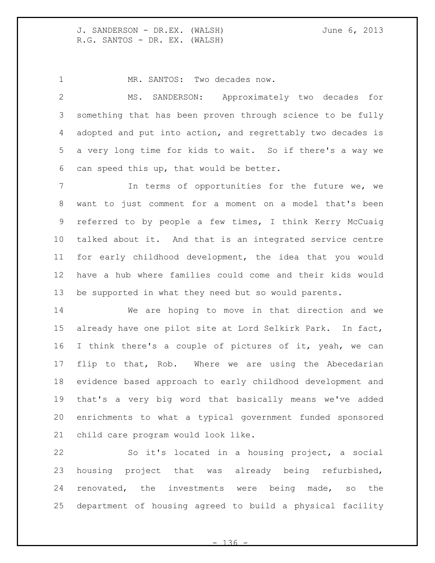1 MR. SANTOS: Two decades now.

 MS. SANDERSON: Approximately two decades for something that has been proven through science to be fully adopted and put into action, and regrettably two decades is a very long time for kids to wait. So if there's a way we can speed this up, that would be better.

 In terms of opportunities for the future we, we want to just comment for a moment on a model that's been referred to by people a few times, I think Kerry McCuaig talked about it. And that is an integrated service centre for early childhood development, the idea that you would have a hub where families could come and their kids would be supported in what they need but so would parents.

 We are hoping to move in that direction and we already have one pilot site at Lord Selkirk Park. In fact, I think there's a couple of pictures of it, yeah, we can flip to that, Rob. Where we are using the Abecedarian evidence based approach to early childhood development and that's a very big word that basically means we've added enrichments to what a typical government funded sponsored child care program would look like.

 So it's located in a housing project, a social housing project that was already being refurbished, renovated, the investments were being made, so the department of housing agreed to build a physical facility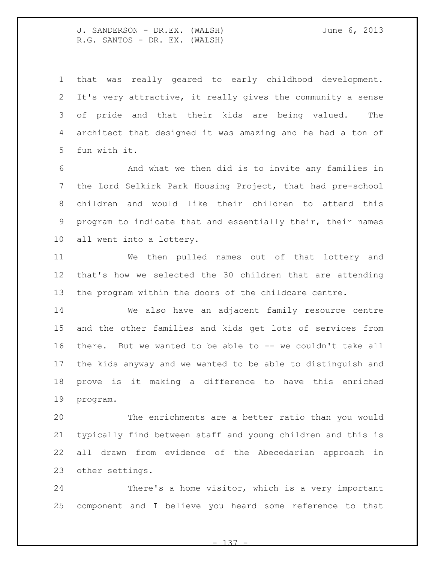that was really geared to early childhood development. It's very attractive, it really gives the community a sense of pride and that their kids are being valued. The architect that designed it was amazing and he had a ton of fun with it.

 And what we then did is to invite any families in the Lord Selkirk Park Housing Project, that had pre-school children and would like their children to attend this program to indicate that and essentially their, their names all went into a lottery.

 We then pulled names out of that lottery and that's how we selected the 30 children that are attending the program within the doors of the childcare centre.

 We also have an adjacent family resource centre and the other families and kids get lots of services from there. But we wanted to be able to -- we couldn't take all the kids anyway and we wanted to be able to distinguish and prove is it making a difference to have this enriched program.

 The enrichments are a better ratio than you would typically find between staff and young children and this is all drawn from evidence of the Abecedarian approach in other settings.

 There's a home visitor, which is a very important component and I believe you heard some reference to that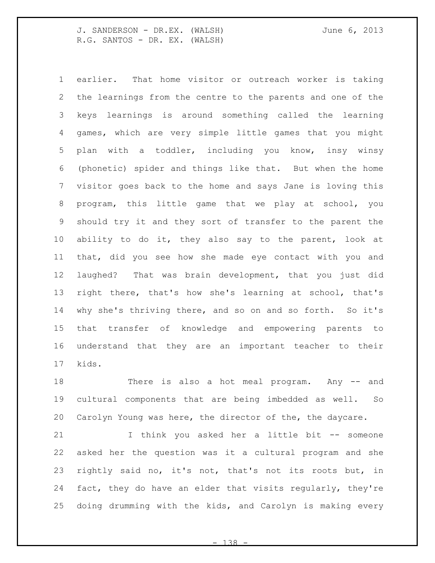earlier. That home visitor or outreach worker is taking the learnings from the centre to the parents and one of the keys learnings is around something called the learning games, which are very simple little games that you might plan with a toddler, including you know, insy winsy (phonetic) spider and things like that. But when the home visitor goes back to the home and says Jane is loving this program, this little game that we play at school, you should try it and they sort of transfer to the parent the ability to do it, they also say to the parent, look at that, did you see how she made eye contact with you and laughed? That was brain development, that you just did right there, that's how she's learning at school, that's why she's thriving there, and so on and so forth. So it's that transfer of knowledge and empowering parents to understand that they are an important teacher to their kids.

 There is also a hot meal program. Any -- and cultural components that are being imbedded as well. So Carolyn Young was here, the director of the, the daycare.

 I think you asked her a little bit -- someone asked her the question was it a cultural program and she rightly said no, it's not, that's not its roots but, in fact, they do have an elder that visits regularly, they're doing drumming with the kids, and Carolyn is making every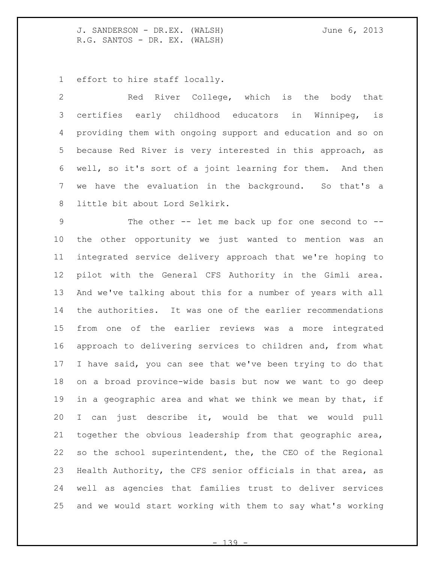effort to hire staff locally.

 Red River College, which is the body that certifies early childhood educators in Winnipeg, is providing them with ongoing support and education and so on because Red River is very interested in this approach, as well, so it's sort of a joint learning for them. And then we have the evaluation in the background. So that's a little bit about Lord Selkirk.

 The other -- let me back up for one second to -- the other opportunity we just wanted to mention was an integrated service delivery approach that we're hoping to pilot with the General CFS Authority in the Gimli area. And we've talking about this for a number of years with all the authorities. It was one of the earlier recommendations from one of the earlier reviews was a more integrated approach to delivering services to children and, from what I have said, you can see that we've been trying to do that on a broad province-wide basis but now we want to go deep 19 in a geographic area and what we think we mean by that, if I can just describe it, would be that we would pull together the obvious leadership from that geographic area, so the school superintendent, the, the CEO of the Regional Health Authority, the CFS senior officials in that area, as well as agencies that families trust to deliver services and we would start working with them to say what's working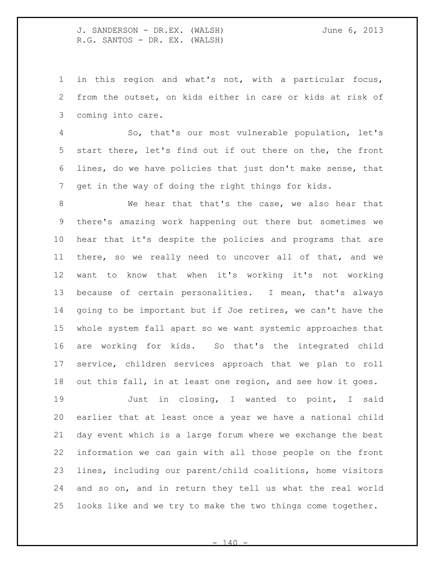in this region and what's not, with a particular focus, from the outset, on kids either in care or kids at risk of coming into care.

 So, that's our most vulnerable population, let's start there, let's find out if out there on the, the front lines, do we have policies that just don't make sense, that get in the way of doing the right things for kids.

 We hear that that's the case, we also hear that there's amazing work happening out there but sometimes we hear that it's despite the policies and programs that are there, so we really need to uncover all of that, and we want to know that when it's working it's not working because of certain personalities. I mean, that's always going to be important but if Joe retires, we can't have the whole system fall apart so we want systemic approaches that are working for kids. So that's the integrated child service, children services approach that we plan to roll out this fall, in at least one region, and see how it goes.

 Just in closing, I wanted to point, I said earlier that at least once a year we have a national child day event which is a large forum where we exchange the best information we can gain with all those people on the front lines, including our parent/child coalitions, home visitors and so on, and in return they tell us what the real world looks like and we try to make the two things come together.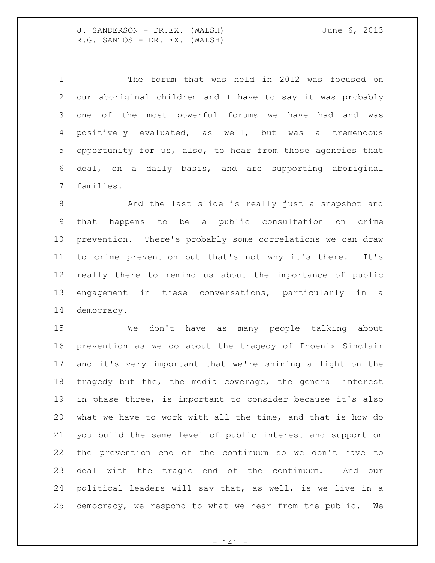The forum that was held in 2012 was focused on our aboriginal children and I have to say it was probably one of the most powerful forums we have had and was positively evaluated, as well, but was a tremendous opportunity for us, also, to hear from those agencies that deal, on a daily basis, and are supporting aboriginal families.

 And the last slide is really just a snapshot and that happens to be a public consultation on crime prevention. There's probably some correlations we can draw to crime prevention but that's not why it's there. It's really there to remind us about the importance of public engagement in these conversations, particularly in a democracy.

 We don't have as many people talking about prevention as we do about the tragedy of Phoenix Sinclair and it's very important that we're shining a light on the tragedy but the, the media coverage, the general interest in phase three, is important to consider because it's also what we have to work with all the time, and that is how do you build the same level of public interest and support on the prevention end of the continuum so we don't have to deal with the tragic end of the continuum. And our political leaders will say that, as well, is we live in a democracy, we respond to what we hear from the public. We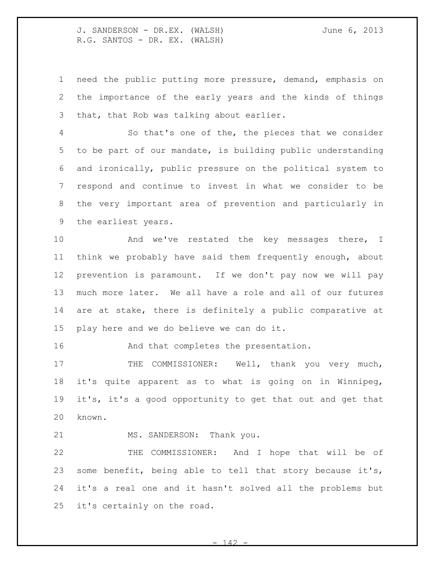need the public putting more pressure, demand, emphasis on the importance of the early years and the kinds of things that, that Rob was talking about earlier.

 So that's one of the, the pieces that we consider to be part of our mandate, is building public understanding and ironically, public pressure on the political system to respond and continue to invest in what we consider to be the very important area of prevention and particularly in the earliest years.

 And we've restated the key messages there, I think we probably have said them frequently enough, about prevention is paramount. If we don't pay now we will pay much more later. We all have a role and all of our futures are at stake, there is definitely a public comparative at play here and we do believe we can do it.

16 And that completes the presentation.

17 THE COMMISSIONER: Well, thank you very much, it's quite apparent as to what is going on in Winnipeg, it's, it's a good opportunity to get that out and get that known.

21 MS. SANDERSON: Thank you.

 THE COMMISSIONER: And I hope that will be of some benefit, being able to tell that story because it's, it's a real one and it hasn't solved all the problems but it's certainly on the road.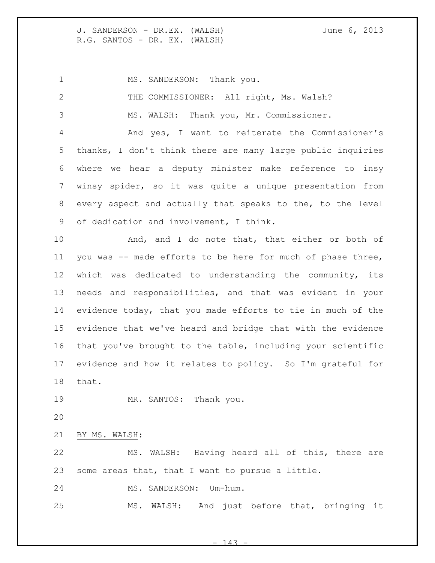1 MS. SANDERSON: Thank you. THE COMMISSIONER: All right, Ms. Walsh? MS. WALSH: Thank you, Mr. Commissioner. And yes, I want to reiterate the Commissioner's thanks, I don't think there are many large public inquiries where we hear a deputy minister make reference to insy winsy spider, so it was quite a unique presentation from every aspect and actually that speaks to the, to the level of dedication and involvement, I think. 10 And, and I do note that, that either or both of you was -- made efforts to be here for much of phase three, which was dedicated to understanding the community, its needs and responsibilities, and that was evident in your evidence today, that you made efforts to tie in much of the evidence that we've heard and bridge that with the evidence that you've brought to the table, including your scientific evidence and how it relates to policy. So I'm grateful for that. 19 MR. SANTOS: Thank you. BY MS. WALSH: MS. WALSH: Having heard all of this, there are some areas that, that I want to pursue a little. MS. SANDERSON: Um-hum. MS. WALSH: And just before that, bringing it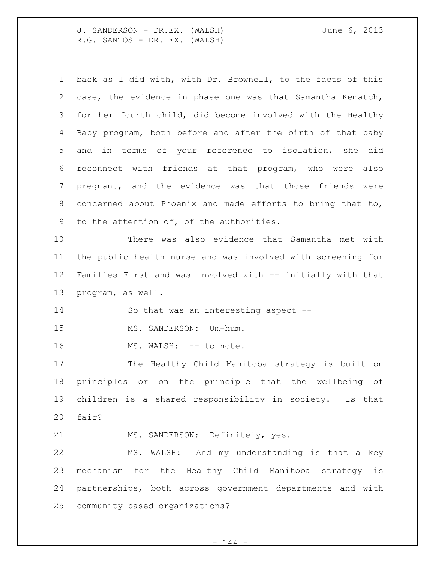| $\mathbf 1$     | back as I did with, with Dr. Brownell, to the facts of this |
|-----------------|-------------------------------------------------------------|
| 2               | case, the evidence in phase one was that Samantha Kematch,  |
| 3               | for her fourth child, did become involved with the Healthy  |
| 4               | Baby program, both before and after the birth of that baby  |
| 5               | and in terms of your reference to isolation, she did        |
| 6               | reconnect with friends at that program, who were also       |
| $7\phantom{.0}$ | pregnant, and the evidence was that those friends were      |
| 8               | concerned about Phoenix and made efforts to bring that to,  |
| 9               | to the attention of, of the authorities.                    |
| 10              | There was also evidence that Samantha met with              |
| 11              | the public health nurse and was involved with screening for |
| 12              | Families First and was involved with -- initially with that |
|                 |                                                             |
| 13              | program, as well.                                           |
| 14              | So that was an interesting aspect --                        |
| 15              | MS. SANDERSON:<br>Um-hum.                                   |
| 16              | MS. WALSH: -- to note.                                      |
| 17              | The Healthy Child Manitoba strategy is built on             |
| 18              | principles or on the principle that the wellbeing of        |
| 19              | children is a shared responsibility in society. Is that     |
| 20              | fair?                                                       |
| 21              | MS. SANDERSON: Definitely, yes.                             |
| 22              | MS. WALSH: And my understanding is that a key               |
| 23              | mechanism for the Healthy Child Manitoba strategy is        |
| 24              | partnerships, both across government departments and with   |

 $- 144 -$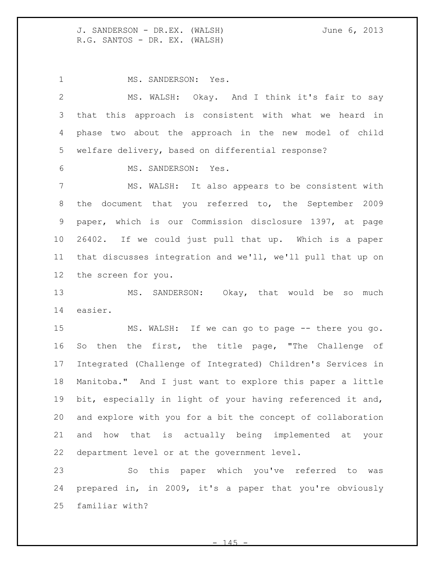MS. SANDERSON: Yes.

 MS. WALSH: Okay. And I think it's fair to say that this approach is consistent with what we heard in phase two about the approach in the new model of child welfare delivery, based on differential response?

MS. SANDERSON: Yes.

 MS. WALSH: It also appears to be consistent with the document that you referred to, the September 2009 paper, which is our Commission disclosure 1397, at page 26402. If we could just pull that up. Which is a paper that discusses integration and we'll, we'll pull that up on the screen for you.

 MS. SANDERSON: Okay, that would be so much easier.

 MS. WALSH: If we can go to page -- there you go. So then the first, the title page, "The Challenge of Integrated (Challenge of Integrated) Children's Services in Manitoba." And I just want to explore this paper a little bit, especially in light of your having referenced it and, and explore with you for a bit the concept of collaboration and how that is actually being implemented at your department level or at the government level.

 So this paper which you've referred to was prepared in, in 2009, it's a paper that you're obviously familiar with?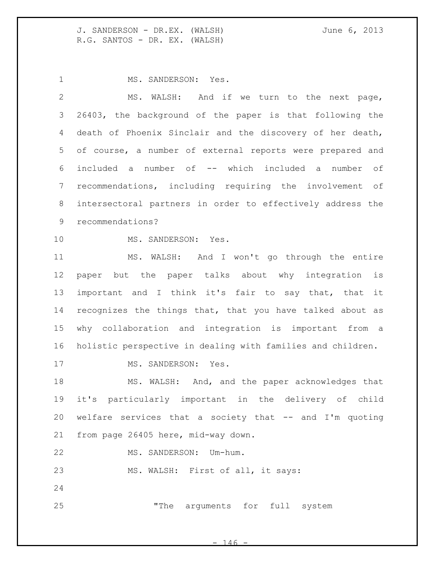MS. SANDERSON: Yes.

 MS. WALSH: And if we turn to the next page, 26403, the background of the paper is that following the death of Phoenix Sinclair and the discovery of her death, of course, a number of external reports were prepared and included a number of -- which included a number of recommendations, including requiring the involvement of intersectoral partners in order to effectively address the recommendations?

MS. SANDERSON: Yes.

 MS. WALSH: And I won't go through the entire paper but the paper talks about why integration is important and I think it's fair to say that, that it recognizes the things that, that you have talked about as why collaboration and integration is important from a holistic perspective in dealing with families and children.

17 MS. SANDERSON: Yes.

 MS. WALSH: And, and the paper acknowledges that it's particularly important in the delivery of child welfare services that a society that -- and I'm quoting from page 26405 here, mid-way down.

MS. SANDERSON: Um-hum.

23 MS. WALSH: First of all, it says:

"The arguments for full system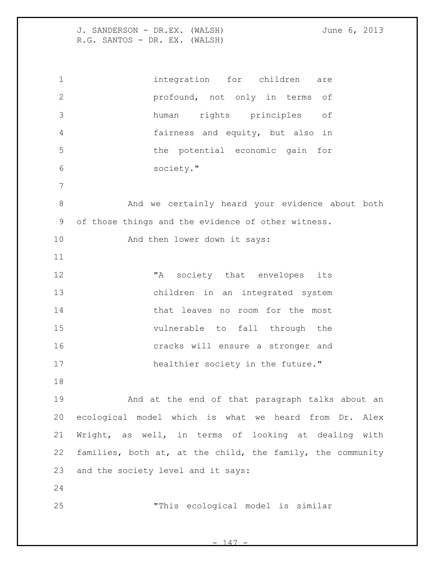integration for children are profound, not only in terms of human rights principles of fairness and equity, but also in the potential economic gain for society." 8 And we certainly heard your evidence about both of those things and the evidence of other witness. 10 And then lower down it says: 12 TA society that envelopes its children in an integrated system 14 that leaves no room for the most vulnerable to fall through the cracks will ensure a stronger and 17 healthier society in the future." And at the end of that paragraph talks about an ecological model which is what we heard from Dr. Alex Wright, as well, in terms of looking at dealing with families, both at, at the child, the family, the community and the society level and it says: "This ecological model is similar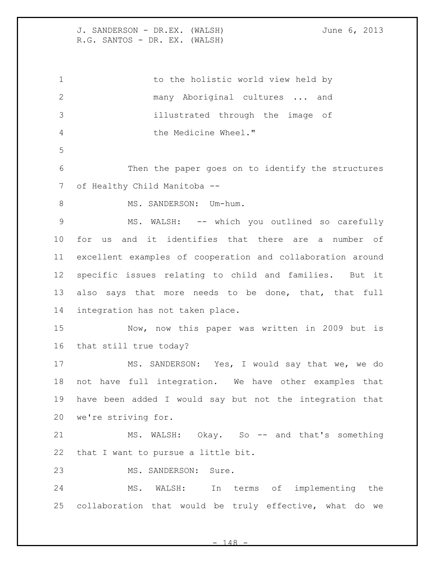1 to the holistic world view held by many Aboriginal cultures ... and illustrated through the image of the Medicine Wheel." Then the paper goes on to identify the structures 7 of Healthy Child Manitoba --8 MS. SANDERSON: Um-hum. 9 MS. WALSH: -- which you outlined so carefully for us and it identifies that there are a number of excellent examples of cooperation and collaboration around specific issues relating to child and families. But it 13 also says that more needs to be done, that, that full integration has not taken place. Now, now this paper was written in 2009 but is that still true today? MS. SANDERSON: Yes, I would say that we, we do not have full integration. We have other examples that have been added I would say but not the integration that we're striving for. 21 MS. WALSH: Okay. So -- and that's something that I want to pursue a little bit. MS. SANDERSON: Sure. MS. WALSH: In terms of implementing the collaboration that would be truly effective, what do we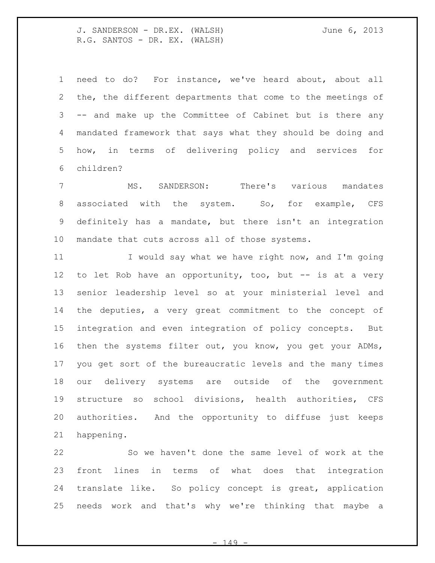need to do? For instance, we've heard about, about all the, the different departments that come to the meetings of -- and make up the Committee of Cabinet but is there any mandated framework that says what they should be doing and how, in terms of delivering policy and services for children?

 MS. SANDERSON: There's various mandates associated with the system. So, for example, CFS definitely has a mandate, but there isn't an integration mandate that cuts across all of those systems.

11 I would say what we have right now, and I'm going to let Rob have an opportunity, too, but -- is at a very senior leadership level so at your ministerial level and the deputies, a very great commitment to the concept of integration and even integration of policy concepts. But then the systems filter out, you know, you get your ADMs, you get sort of the bureaucratic levels and the many times our delivery systems are outside of the government structure so school divisions, health authorities, CFS authorities. And the opportunity to diffuse just keeps happening.

 So we haven't done the same level of work at the front lines in terms of what does that integration translate like. So policy concept is great, application needs work and that's why we're thinking that maybe a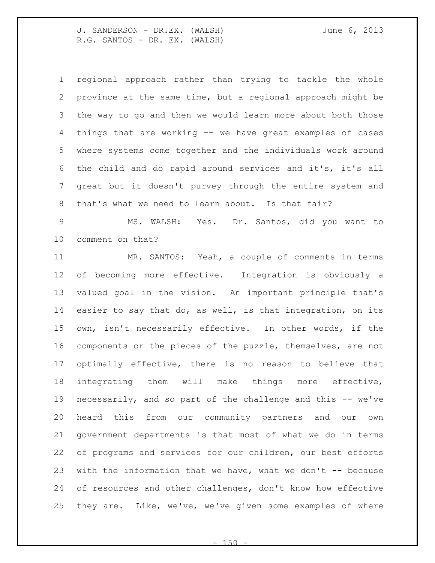regional approach rather than trying to tackle the whole province at the same time, but a regional approach might be the way to go and then we would learn more about both those things that are working -- we have great examples of cases where systems come together and the individuals work around the child and do rapid around services and it's, it's all great but it doesn't purvey through the entire system and that's what we need to learn about. Is that fair?

 MS. WALSH: Yes. Dr. Santos, did you want to comment on that?

 MR. SANTOS: Yeah, a couple of comments in terms of becoming more effective. Integration is obviously a valued goal in the vision. An important principle that's easier to say that do, as well, is that integration, on its own, isn't necessarily effective. In other words, if the components or the pieces of the puzzle, themselves, are not optimally effective, there is no reason to believe that integrating them will make things more effective, necessarily, and so part of the challenge and this -- we've heard this from our community partners and our own government departments is that most of what we do in terms of programs and services for our children, our best efforts 23 with the information that we have, what we don't  $-$  because of resources and other challenges, don't know how effective they are. Like, we've, we've given some examples of where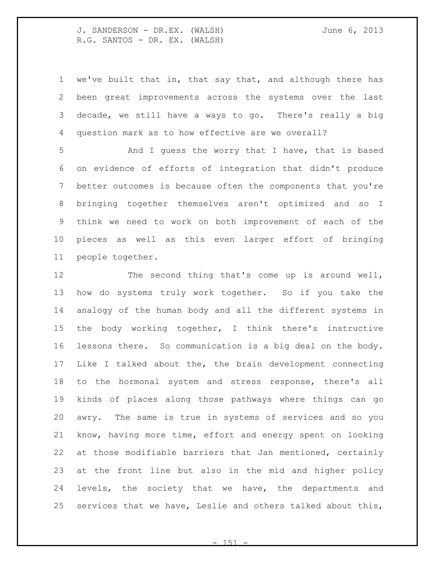we've built that in, that say that, and although there has been great improvements across the systems over the last decade, we still have a ways to go. There's really a big question mark as to how effective are we overall?

 And I guess the worry that I have, that is based on evidence of efforts of integration that didn't produce better outcomes is because often the components that you're bringing together themselves aren't optimized and so I think we need to work on both improvement of each of the pieces as well as this even larger effort of bringing people together.

 The second thing that's come up is around well, how do systems truly work together. So if you take the analogy of the human body and all the different systems in the body working together, I think there's instructive lessons there. So communication is a big deal on the body. Like I talked about the, the brain development connecting to the hormonal system and stress response, there's all kinds of places along those pathways where things can go awry. The same is true in systems of services and so you know, having more time, effort and energy spent on looking at those modifiable barriers that Jan mentioned, certainly at the front line but also in the mid and higher policy levels, the society that we have, the departments and services that we have, Leslie and others talked about this,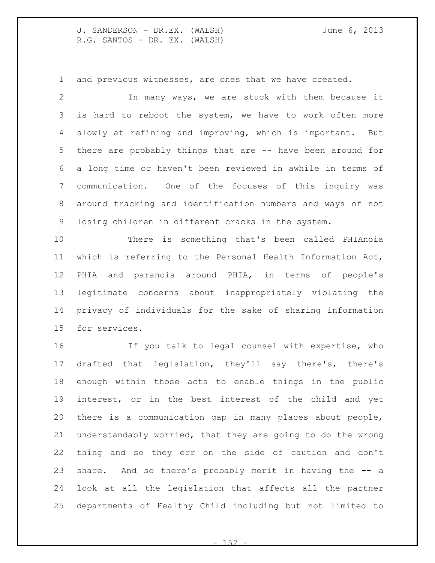and previous witnesses, are ones that we have created.

 In many ways, we are stuck with them because it is hard to reboot the system, we have to work often more slowly at refining and improving, which is important. But there are probably things that are -- have been around for a long time or haven't been reviewed in awhile in terms of communication. One of the focuses of this inquiry was around tracking and identification numbers and ways of not losing children in different cracks in the system.

 There is something that's been called PHIAnoia which is referring to the Personal Health Information Act, PHIA and paranoia around PHIA, in terms of people's legitimate concerns about inappropriately violating the privacy of individuals for the sake of sharing information for services.

 If you talk to legal counsel with expertise, who drafted that legislation, they'll say there's, there's enough within those acts to enable things in the public interest, or in the best interest of the child and yet there is a communication gap in many places about people, understandably worried, that they are going to do the wrong thing and so they err on the side of caution and don't share. And so there's probably merit in having the -- a look at all the legislation that affects all the partner departments of Healthy Child including but not limited to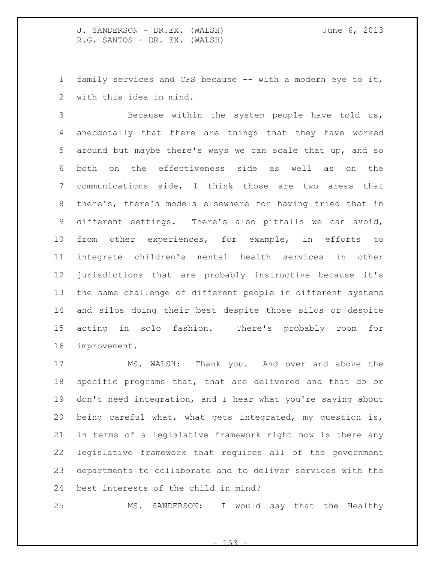family services and CFS because -- with a modern eye to it, with this idea in mind.

 Because within the system people have told us, anecdotally that there are things that they have worked around but maybe there's ways we can scale that up, and so both on the effectiveness side as well as on the communications side, I think those are two areas that there's, there's models elsewhere for having tried that in different settings. There's also pitfalls we can avoid, from other experiences, for example, in efforts to integrate children's mental health services in other jurisdictions that are probably instructive because it's the same challenge of different people in different systems and silos doing their best despite those silos or despite acting in solo fashion. There's probably room for improvement.

 MS. WALSH: Thank you. And over and above the specific programs that, that are delivered and that do or don't need integration, and I hear what you're saying about being careful what, what gets integrated, my question is, in terms of a legislative framework right now is there any legislative framework that requires all of the government departments to collaborate and to deliver services with the best interests of the child in mind?

MS. SANDERSON: I would say that the Healthy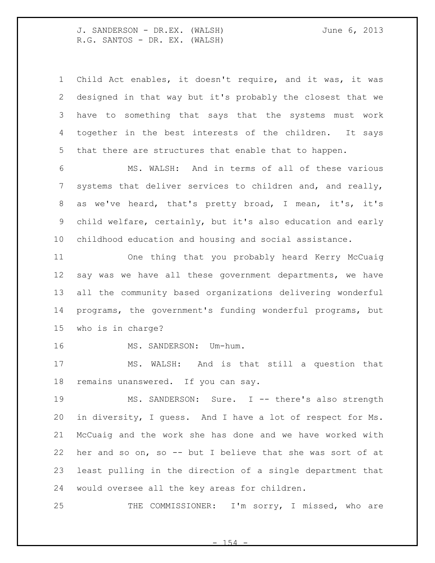Child Act enables, it doesn't require, and it was, it was designed in that way but it's probably the closest that we have to something that says that the systems must work together in the best interests of the children. It says that there are structures that enable that to happen.

 MS. WALSH: And in terms of all of these various systems that deliver services to children and, and really, as we've heard, that's pretty broad, I mean, it's, it's child welfare, certainly, but it's also education and early childhood education and housing and social assistance.

 One thing that you probably heard Kerry McCuaig say was we have all these government departments, we have all the community based organizations delivering wonderful programs, the government's funding wonderful programs, but who is in charge?

16 MS. SANDERSON: Um-hum.

 MS. WALSH: And is that still a question that remains unanswered. If you can say.

19 MS. SANDERSON: Sure. I -- there's also strength in diversity, I guess. And I have a lot of respect for Ms. McCuaig and the work she has done and we have worked with her and so on, so -- but I believe that she was sort of at least pulling in the direction of a single department that would oversee all the key areas for children.

25 THE COMMISSIONER: I'm sorry, I missed, who are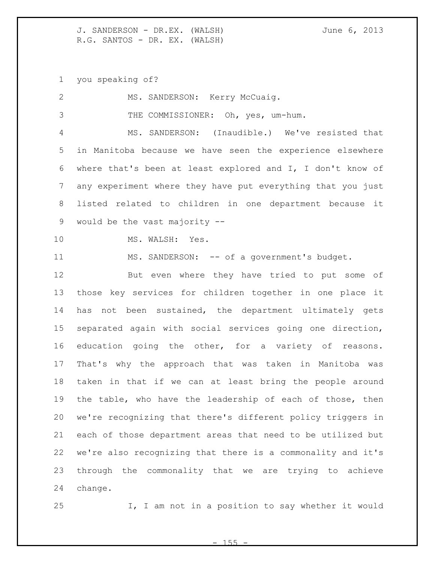you speaking of?

| $\mathbf{2}$   | MS. SANDERSON: Kerry McCuaig.                               |
|----------------|-------------------------------------------------------------|
| 3              | THE COMMISSIONER: Oh, yes, um-hum.                          |
| 4              | MS. SANDERSON: (Inaudible.) We've resisted that             |
| 5              | in Manitoba because we have seen the experience elsewhere   |
| 6              | where that's been at least explored and I, I don't know of  |
| $\overline{7}$ | any experiment where they have put everything that you just |
| 8              | listed related to children in one department because it     |
| 9              | would be the vast majority --                               |
| 10             | MS. WALSH: Yes.                                             |
| 11             | MS. SANDERSON: -- of a government's budget.                 |
| 12             | But even where they have tried to put some of               |
| 13             | those key services for children together in one place it    |
| 14             | has not been sustained, the department ultimately gets      |
| 15             | separated again with social services going one direction,   |
| 16             | education going the other, for a variety of reasons.        |
| 17             | That's why the approach that was taken in Manitoba was      |
| 18             | taken in that if we can at least bring the people around    |
| 19             | the table, who have the leadership of each of those, then   |
| 20             | we're recognizing that there's different policy triggers in |
| 21             | each of those department areas that need to be utilized but |
| 22             | we're also recognizing that there is a commonality and it's |
| 23             | through the commonality that we are trying to achieve       |
| 24             | change.                                                     |

I, I am not in a position to say whether it would

 $- 155 -$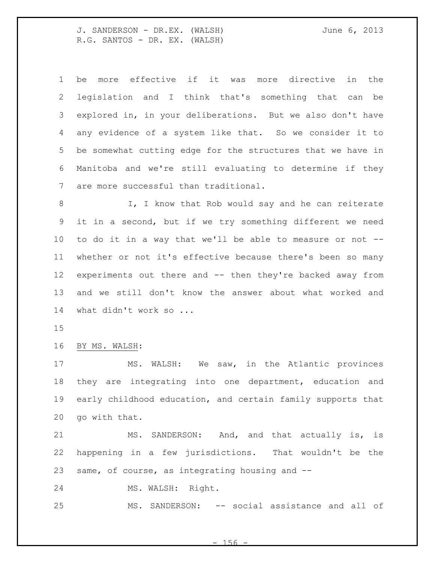| $\mathbf{1}$    | more effective if it was more directive in the<br>be        |
|-----------------|-------------------------------------------------------------|
| 2               | legislation and I think that's something that can be        |
| 3               | explored in, in your deliberations. But we also don't have  |
| 4               | any evidence of a system like that. So we consider it to    |
| 5               | be somewhat cutting edge for the structures that we have in |
| 6               | Manitoba and we're still evaluating to determine if they    |
| 7               | are more successful than traditional.                       |
| 8               | I, I know that Rob would say and he can reiterate           |
| 9               | it in a second, but if we try something different we need   |
| 10 <sub>o</sub> | to do it in a way that we'll be able to measure or not --   |
| 11              | whether or not it's effective because there's been so many  |
| 12 <sup>°</sup> | experiments out there and -- then they're backed away from  |
| 13              | and we still don't know the answer about what worked and    |
| 14              | what didn't work so                                         |
| 15              |                                                             |

BY MS. WALSH:

 MS. WALSH: We saw, in the Atlantic provinces they are integrating into one department, education and early childhood education, and certain family supports that go with that.

21 MS. SANDERSON: And, and that actually is, is happening in a few jurisdictions. That wouldn't be the same, of course, as integrating housing and --

MS. WALSH: Right.

25 MS. SANDERSON: -- social assistance and all of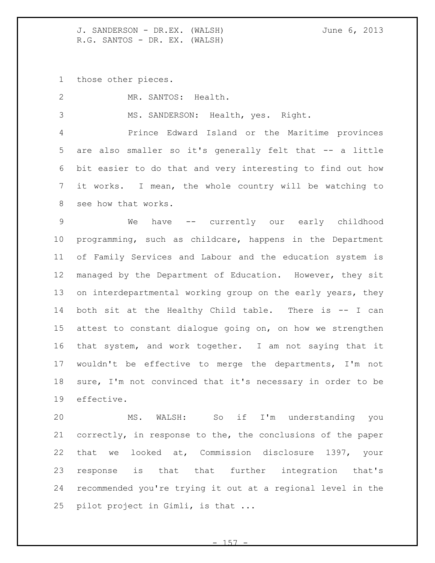those other pieces.

MR. SANTOS: Health.

MS. SANDERSON: Health, yes. Right.

 Prince Edward Island or the Maritime provinces 5 are also smaller so it's generally felt that -- a little bit easier to do that and very interesting to find out how it works. I mean, the whole country will be watching to see how that works.

 We have -- currently our early childhood programming, such as childcare, happens in the Department of Family Services and Labour and the education system is managed by the Department of Education. However, they sit on interdepartmental working group on the early years, they 14 both sit at the Healthy Child table. There is -- I can attest to constant dialogue going on, on how we strengthen that system, and work together. I am not saying that it wouldn't be effective to merge the departments, I'm not sure, I'm not convinced that it's necessary in order to be effective.

 MS. WALSH: So if I'm understanding you correctly, in response to the, the conclusions of the paper that we looked at, Commission disclosure 1397, your response is that that further integration that's recommended you're trying it out at a regional level in the pilot project in Gimli, is that ...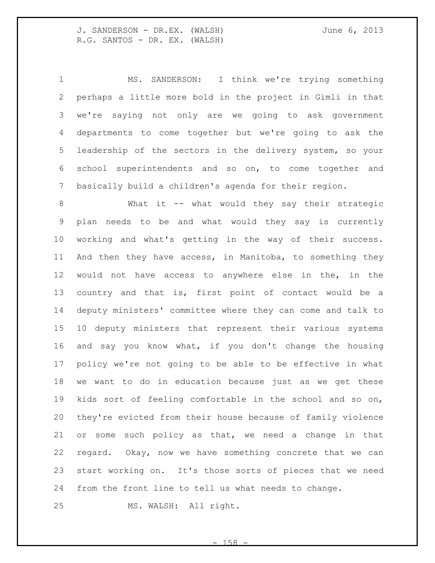MS. SANDERSON: I think we're trying something perhaps a little more bold in the project in Gimli in that we're saying not only are we going to ask government departments to come together but we're going to ask the leadership of the sectors in the delivery system, so your school superintendents and so on, to come together and basically build a children's agenda for their region.

8 What it -- what would they say their strategic plan needs to be and what would they say is currently working and what's getting in the way of their success. And then they have access, in Manitoba, to something they would not have access to anywhere else in the, in the country and that is, first point of contact would be a deputy ministers' committee where they can come and talk to 10 deputy ministers that represent their various systems and say you know what, if you don't change the housing policy we're not going to be able to be effective in what we want to do in education because just as we get these kids sort of feeling comfortable in the school and so on, they're evicted from their house because of family violence or some such policy as that, we need a change in that regard. Okay, now we have something concrete that we can start working on. It's those sorts of pieces that we need from the front line to tell us what needs to change.

MS. WALSH: All right.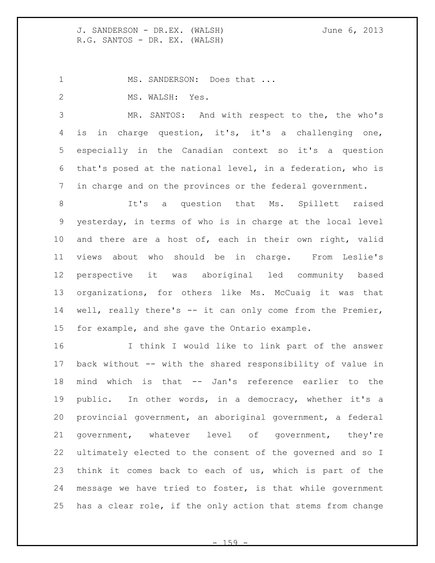1 MS. SANDERSON: Does that ... 2 MS. WALSH: Yes.

 MR. SANTOS: And with respect to the, the who's is in charge question, it's, it's a challenging one, especially in the Canadian context so it's a question that's posed at the national level, in a federation, who is in charge and on the provinces or the federal government.

8 1t's a question that Ms. Spillett raised yesterday, in terms of who is in charge at the local level and there are a host of, each in their own right, valid views about who should be in charge. From Leslie's perspective it was aboriginal led community based organizations, for others like Ms. McCuaig it was that well, really there's -- it can only come from the Premier, for example, and she gave the Ontario example.

 I think I would like to link part of the answer back without -- with the shared responsibility of value in mind which is that -- Jan's reference earlier to the public. In other words, in a democracy, whether it's a provincial government, an aboriginal government, a federal government, whatever level of government, they're ultimately elected to the consent of the governed and so I think it comes back to each of us, which is part of the message we have tried to foster, is that while government has a clear role, if the only action that stems from change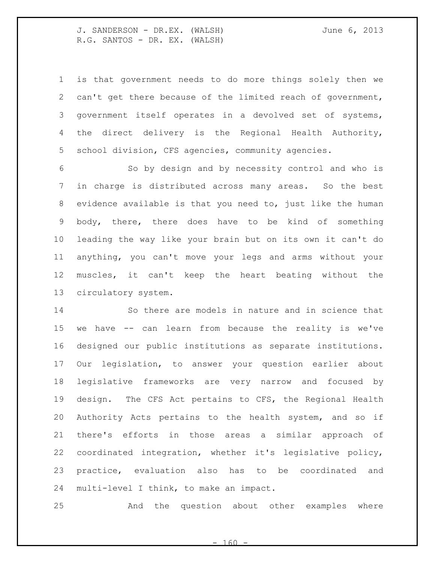is that government needs to do more things solely then we can't get there because of the limited reach of government, government itself operates in a devolved set of systems, the direct delivery is the Regional Health Authority, school division, CFS agencies, community agencies.

 So by design and by necessity control and who is in charge is distributed across many areas. So the best evidence available is that you need to, just like the human body, there, there does have to be kind of something leading the way like your brain but on its own it can't do anything, you can't move your legs and arms without your muscles, it can't keep the heart beating without the circulatory system.

 So there are models in nature and in science that we have -- can learn from because the reality is we've designed our public institutions as separate institutions. Our legislation, to answer your question earlier about legislative frameworks are very narrow and focused by design. The CFS Act pertains to CFS, the Regional Health Authority Acts pertains to the health system, and so if there's efforts in those areas a similar approach of coordinated integration, whether it's legislative policy, practice, evaluation also has to be coordinated and multi-level I think, to make an impact.

And the question about other examples where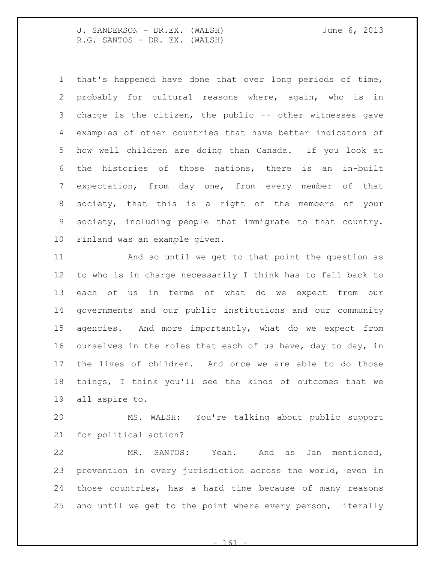that's happened have done that over long periods of time, probably for cultural reasons where, again, who is in charge is the citizen, the public -- other witnesses gave examples of other countries that have better indicators of how well children are doing than Canada. If you look at the histories of those nations, there is an in-built expectation, from day one, from every member of that society, that this is a right of the members of your society, including people that immigrate to that country. Finland was an example given.

 And so until we get to that point the question as to who is in charge necessarily I think has to fall back to each of us in terms of what do we expect from our governments and our public institutions and our community agencies. And more importantly, what do we expect from ourselves in the roles that each of us have, day to day, in the lives of children. And once we are able to do those things, I think you'll see the kinds of outcomes that we all aspire to.

 MS. WALSH: You're talking about public support for political action?

 MR. SANTOS: Yeah. And as Jan mentioned, prevention in every jurisdiction across the world, even in those countries, has a hard time because of many reasons and until we get to the point where every person, literally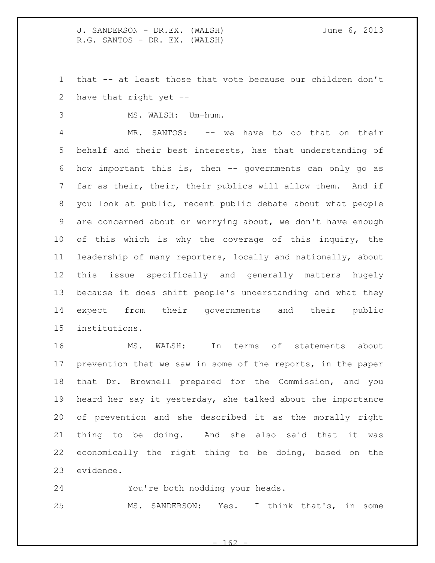that -- at least those that vote because our children don't have that right yet --

MS. WALSH: Um-hum.

 MR. SANTOS: -- we have to do that on their behalf and their best interests, has that understanding of how important this is, then -- governments can only go as far as their, their, their publics will allow them. And if you look at public, recent public debate about what people are concerned about or worrying about, we don't have enough of this which is why the coverage of this inquiry, the leadership of many reporters, locally and nationally, about this issue specifically and generally matters hugely because it does shift people's understanding and what they expect from their governments and their public institutions.

 MS. WALSH: In terms of statements about prevention that we saw in some of the reports, in the paper that Dr. Brownell prepared for the Commission, and you heard her say it yesterday, she talked about the importance of prevention and she described it as the morally right thing to be doing. And she also said that it was economically the right thing to be doing, based on the evidence.

 You're both nodding your heads. MS. SANDERSON: Yes. I think that's, in some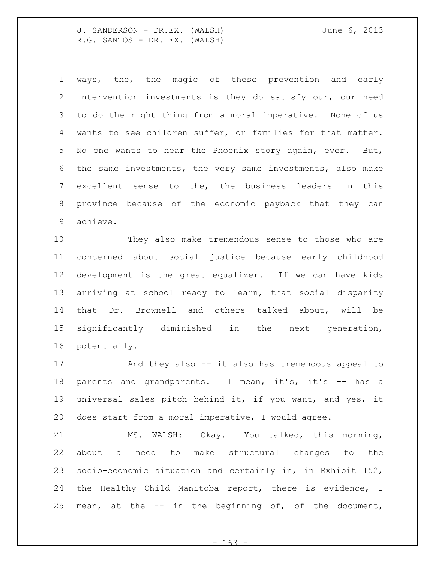ways, the, the magic of these prevention and early intervention investments is they do satisfy our, our need to do the right thing from a moral imperative. None of us wants to see children suffer, or families for that matter. No one wants to hear the Phoenix story again, ever. But, the same investments, the very same investments, also make excellent sense to the, the business leaders in this province because of the economic payback that they can achieve.

 They also make tremendous sense to those who are concerned about social justice because early childhood development is the great equalizer. If we can have kids arriving at school ready to learn, that social disparity that Dr. Brownell and others talked about, will be significantly diminished in the next generation, potentially.

 And they also -- it also has tremendous appeal to 18 parents and grandparents. I mean, it's, it's -- has a universal sales pitch behind it, if you want, and yes, it does start from a moral imperative, I would agree.

 MS. WALSH: Okay. You talked, this morning, about a need to make structural changes to the socio-economic situation and certainly in, in Exhibit 152, the Healthy Child Manitoba report, there is evidence, I mean, at the -- in the beginning of, of the document,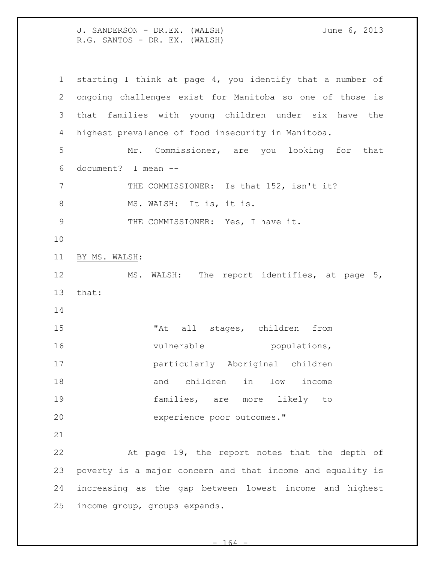J. SANDERSON - DR.EX. (WALSH) June 6, 2013 R.G. SANTOS - DR. EX. (WALSH) starting I think at page 4, you identify that a number of ongoing challenges exist for Manitoba so one of those is that families with young children under six have the highest prevalence of food insecurity in Manitoba. Mr. Commissioner, are you looking for that document? I mean -- 7 THE COMMISSIONER: Is that 152, isn't it? 8 MS. WALSH: It is, it is. 9 THE COMMISSIONER: Yes, I have it. BY MS. WALSH: MS. WALSH: The report identifies, at page 5, that: 15 The Mail stages, children from 16 vulnerable populations, particularly Aboriginal children and children in low income families, are more likely to experience poor outcomes." At page 19, the report notes that the depth of poverty is a major concern and that income and equality is increasing as the gap between lowest income and highest income group, groups expands.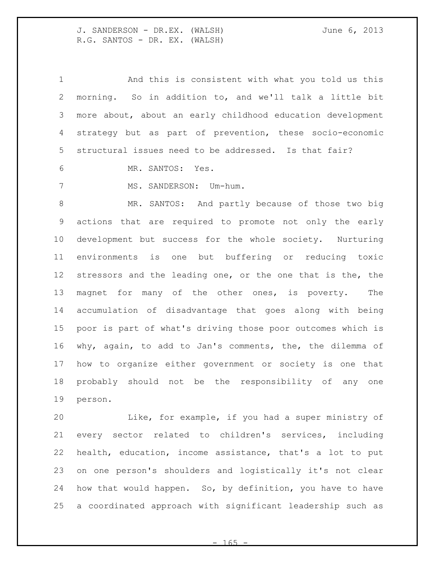And this is consistent with what you told us this morning. So in addition to, and we'll talk a little bit more about, about an early childhood education development strategy but as part of prevention, these socio-economic structural issues need to be addressed. Is that fair?

MR. SANTOS: Yes.

7 MS. SANDERSON: Um-hum.

 MR. SANTOS: And partly because of those two big actions that are required to promote not only the early development but success for the whole society. Nurturing environments is one but buffering or reducing toxic 12 stressors and the leading one, or the one that is the, the magnet for many of the other ones, is poverty. The accumulation of disadvantage that goes along with being poor is part of what's driving those poor outcomes which is why, again, to add to Jan's comments, the, the dilemma of how to organize either government or society is one that probably should not be the responsibility of any one person.

 Like, for example, if you had a super ministry of every sector related to children's services, including health, education, income assistance, that's a lot to put on one person's shoulders and logistically it's not clear how that would happen. So, by definition, you have to have a coordinated approach with significant leadership such as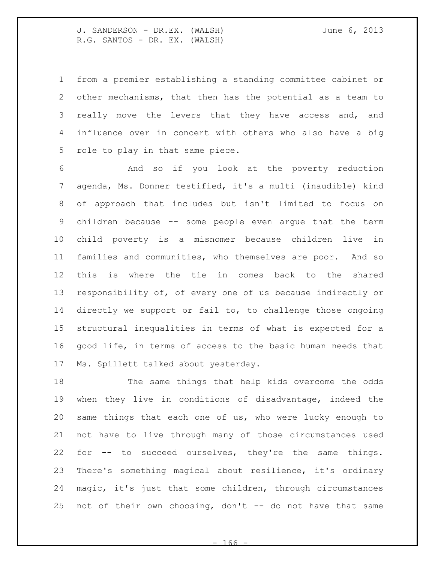from a premier establishing a standing committee cabinet or other mechanisms, that then has the potential as a team to 3 really move the levers that they have access and, and influence over in concert with others who also have a big role to play in that same piece.

 And so if you look at the poverty reduction agenda, Ms. Donner testified, it's a multi (inaudible) kind of approach that includes but isn't limited to focus on children because -- some people even argue that the term child poverty is a misnomer because children live in families and communities, who themselves are poor. And so this is where the tie in comes back to the shared responsibility of, of every one of us because indirectly or directly we support or fail to, to challenge those ongoing structural inequalities in terms of what is expected for a good life, in terms of access to the basic human needs that Ms. Spillett talked about yesterday.

 The same things that help kids overcome the odds when they live in conditions of disadvantage, indeed the same things that each one of us, who were lucky enough to not have to live through many of those circumstances used for -- to succeed ourselves, they're the same things. There's something magical about resilience, it's ordinary magic, it's just that some children, through circumstances 25 not of their own choosing, don't -- do not have that same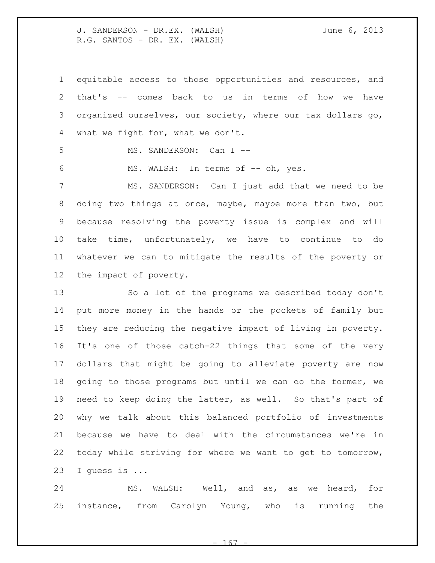equitable access to those opportunities and resources, and that's -- comes back to us in terms of how we have organized ourselves, our society, where our tax dollars go, what we fight for, what we don't.

5 MS. SANDERSON: Can I --

6 MS. WALSH: In terms of -- oh, yes.

 MS. SANDERSON: Can I just add that we need to be doing two things at once, maybe, maybe more than two, but because resolving the poverty issue is complex and will take time, unfortunately, we have to continue to do whatever we can to mitigate the results of the poverty or the impact of poverty.

 So a lot of the programs we described today don't put more money in the hands or the pockets of family but they are reducing the negative impact of living in poverty. It's one of those catch-22 things that some of the very dollars that might be going to alleviate poverty are now going to those programs but until we can do the former, we need to keep doing the latter, as well. So that's part of why we talk about this balanced portfolio of investments because we have to deal with the circumstances we're in today while striving for where we want to get to tomorrow, I guess is ...

 MS. WALSH: Well, and as, as we heard, for instance, from Carolyn Young, who is running the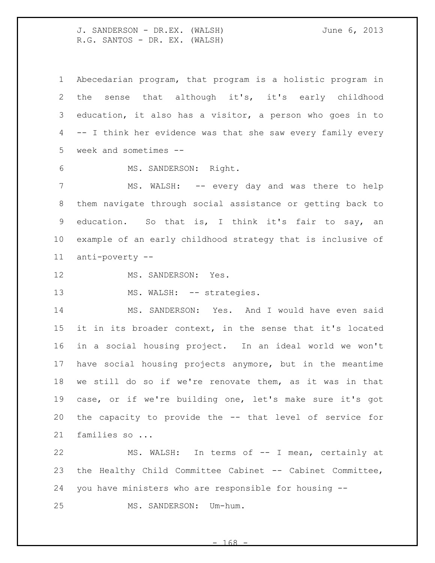Abecedarian program, that program is a holistic program in the sense that although it's, it's early childhood education, it also has a visitor, a person who goes in to -- I think her evidence was that she saw every family every week and sometimes --

6 MS. SANDERSON: Right.

 MS. WALSH: -- every day and was there to help them navigate through social assistance or getting back to education. So that is, I think it's fair to say, an example of an early childhood strategy that is inclusive of anti-poverty --

12 MS. SANDERSON: Yes.

13 MS. WALSH: -- strategies.

 MS. SANDERSON: Yes. And I would have even said it in its broader context, in the sense that it's located in a social housing project. In an ideal world we won't have social housing projects anymore, but in the meantime we still do so if we're renovate them, as it was in that case, or if we're building one, let's make sure it's got the capacity to provide the -- that level of service for families so ...

 MS. WALSH: In terms of -- I mean, certainly at the Healthy Child Committee Cabinet -- Cabinet Committee, you have ministers who are responsible for housing -- MS. SANDERSON: Um-hum.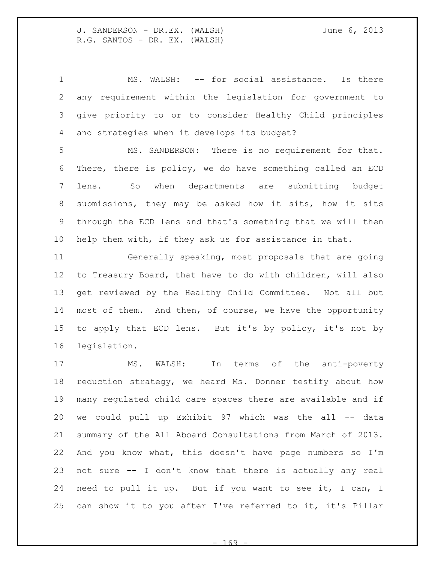MS. WALSH: -- for social assistance. Is there any requirement within the legislation for government to give priority to or to consider Healthy Child principles and strategies when it develops its budget?

 MS. SANDERSON: There is no requirement for that. There, there is policy, we do have something called an ECD lens. So when departments are submitting budget submissions, they may be asked how it sits, how it sits through the ECD lens and that's something that we will then help them with, if they ask us for assistance in that.

 Generally speaking, most proposals that are going to Treasury Board, that have to do with children, will also get reviewed by the Healthy Child Committee. Not all but most of them. And then, of course, we have the opportunity to apply that ECD lens. But it's by policy, it's not by legislation.

 MS. WALSH: In terms of the anti-poverty reduction strategy, we heard Ms. Donner testify about how many regulated child care spaces there are available and if we could pull up Exhibit 97 which was the all -- data summary of the All Aboard Consultations from March of 2013. And you know what, this doesn't have page numbers so I'm not sure -- I don't know that there is actually any real need to pull it up. But if you want to see it, I can, I can show it to you after I've referred to it, it's Pillar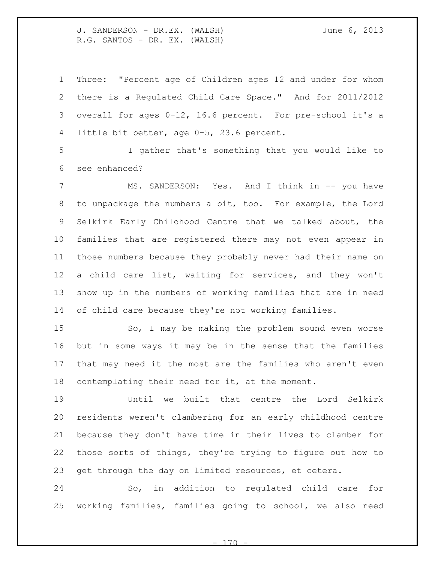Three: "Percent age of Children ages 12 and under for whom there is a Regulated Child Care Space." And for 2011/2012 overall for ages 0-12, 16.6 percent. For pre-school it's a little bit better, age 0-5, 23.6 percent.

 I gather that's something that you would like to see enhanced?

 MS. SANDERSON: Yes. And I think in -- you have to unpackage the numbers a bit, too. For example, the Lord Selkirk Early Childhood Centre that we talked about, the families that are registered there may not even appear in those numbers because they probably never had their name on a child care list, waiting for services, and they won't show up in the numbers of working families that are in need of child care because they're not working families.

 So, I may be making the problem sound even worse but in some ways it may be in the sense that the families that may need it the most are the families who aren't even contemplating their need for it, at the moment.

 Until we built that centre the Lord Selkirk residents weren't clambering for an early childhood centre because they don't have time in their lives to clamber for those sorts of things, they're trying to figure out how to get through the day on limited resources, et cetera.

 So, in addition to regulated child care for working families, families going to school, we also need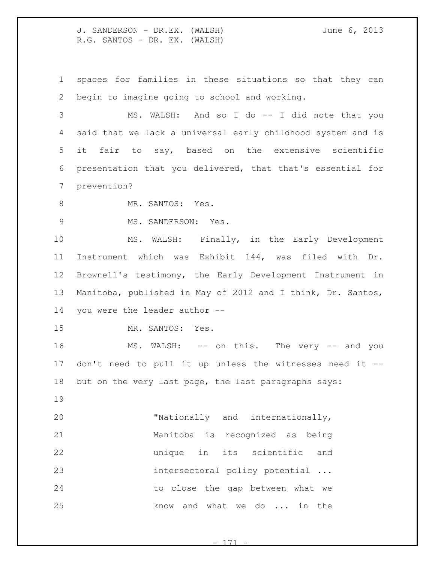spaces for families in these situations so that they can begin to imagine going to school and working.

 MS. WALSH: And so I do -- I did note that you said that we lack a universal early childhood system and is it fair to say, based on the extensive scientific presentation that you delivered, that that's essential for prevention?

8 MR. SANTOS: Yes.

MS. SANDERSON: Yes.

 MS. WALSH: Finally, in the Early Development Instrument which was Exhibit 144, was filed with Dr. Brownell's testimony, the Early Development Instrument in Manitoba, published in May of 2012 and I think, Dr. Santos, you were the leader author --

MR. SANTOS: Yes.

16 MS. WALSH: -- on this. The very -- and you don't need to pull it up unless the witnesses need it -- but on the very last page, the last paragraphs says:

 "Nationally and internationally, Manitoba is recognized as being unique in its scientific and intersectoral policy potential ... to close the gap between what we 25 know and what we do ... in the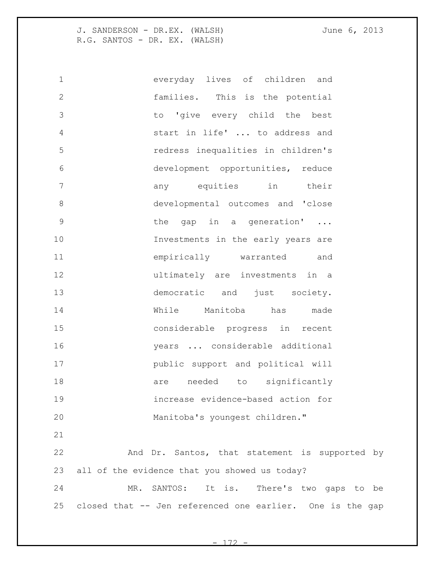everyday lives of children and families. This is the potential to 'give every child the best start in life' ... to address and redress inequalities in children's development opportunities, reduce any equities in their developmental outcomes and 'close 9 bhe gap in a generation' ... 10 Investments in the early years are empirically warranted and ultimately are investments in a 13 democratic and just society. While Manitoba has made considerable progress in recent years ... considerable additional public support and political will 18 are needed to significantly increase evidence-based action for Manitoba's youngest children." And Dr. Santos, that statement is supported by all of the evidence that you showed us today? MR. SANTOS: It is. There's two gaps to be

 $- 172$ 

closed that -- Jen referenced one earlier. One is the gap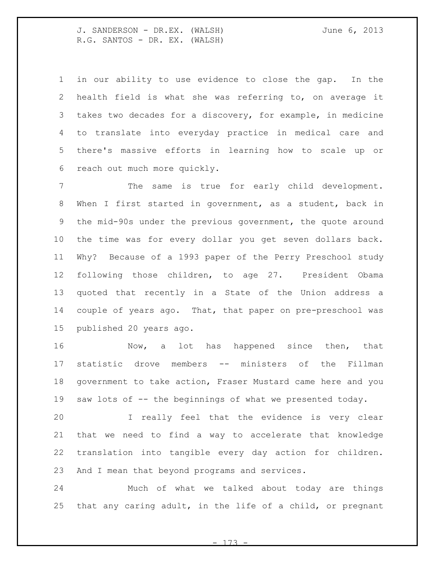in our ability to use evidence to close the gap. In the health field is what she was referring to, on average it takes two decades for a discovery, for example, in medicine to translate into everyday practice in medical care and there's massive efforts in learning how to scale up or reach out much more quickly.

 The same is true for early child development. When I first started in government, as a student, back in the mid-90s under the previous government, the quote around the time was for every dollar you get seven dollars back. Why? Because of a 1993 paper of the Perry Preschool study following those children, to age 27. President Obama quoted that recently in a State of the Union address a couple of years ago. That, that paper on pre-preschool was published 20 years ago.

16 Mow, a lot has happened since then, that statistic drove members -- ministers of the Fillman government to take action, Fraser Mustard came here and you 19 saw lots of -- the beginnings of what we presented today.

 I really feel that the evidence is very clear that we need to find a way to accelerate that knowledge translation into tangible every day action for children. And I mean that beyond programs and services.

 Much of what we talked about today are things that any caring adult, in the life of a child, or pregnant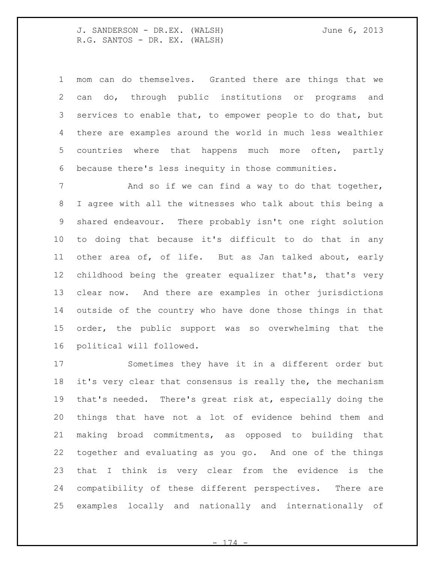mom can do themselves. Granted there are things that we can do, through public institutions or programs and services to enable that, to empower people to do that, but there are examples around the world in much less wealthier countries where that happens much more often, partly because there's less inequity in those communities.

7 and so if we can find a way to do that together, I agree with all the witnesses who talk about this being a shared endeavour. There probably isn't one right solution to doing that because it's difficult to do that in any other area of, of life. But as Jan talked about, early childhood being the greater equalizer that's, that's very clear now. And there are examples in other jurisdictions outside of the country who have done those things in that order, the public support was so overwhelming that the political will followed.

 Sometimes they have it in a different order but it's very clear that consensus is really the, the mechanism that's needed. There's great risk at, especially doing the things that have not a lot of evidence behind them and making broad commitments, as opposed to building that together and evaluating as you go. And one of the things that I think is very clear from the evidence is the compatibility of these different perspectives. There are examples locally and nationally and internationally of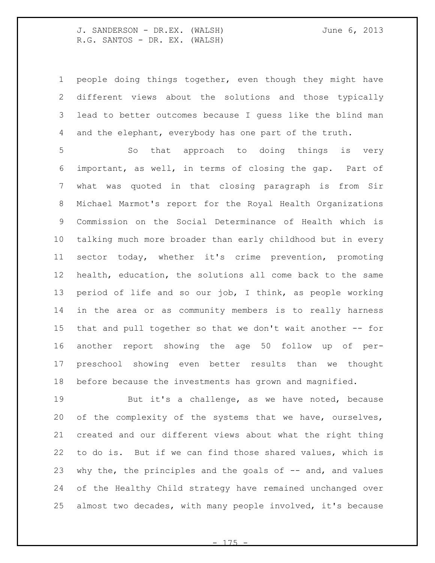people doing things together, even though they might have different views about the solutions and those typically lead to better outcomes because I guess like the blind man and the elephant, everybody has one part of the truth.

 So that approach to doing things is very important, as well, in terms of closing the gap. Part of what was quoted in that closing paragraph is from Sir Michael Marmot's report for the Royal Health Organizations Commission on the Social Determinance of Health which is talking much more broader than early childhood but in every sector today, whether it's crime prevention, promoting health, education, the solutions all come back to the same period of life and so our job, I think, as people working in the area or as community members is to really harness that and pull together so that we don't wait another -- for another report showing the age 50 follow up of per- preschool showing even better results than we thought before because the investments has grown and magnified.

 But it's a challenge, as we have noted, because of the complexity of the systems that we have, ourselves, created and our different views about what the right thing to do is. But if we can find those shared values, which is why the, the principles and the goals of -- and, and values of the Healthy Child strategy have remained unchanged over almost two decades, with many people involved, it's because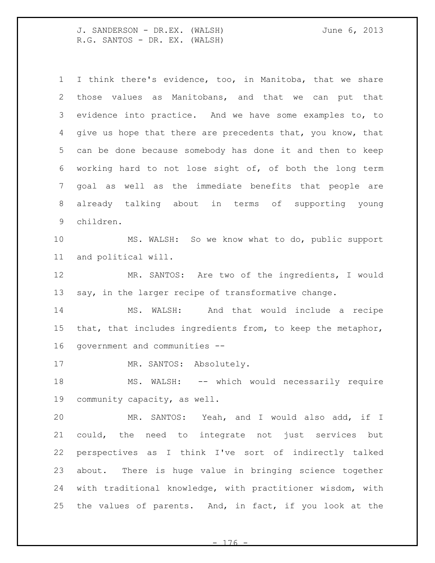I think there's evidence, too, in Manitoba, that we share those values as Manitobans, and that we can put that evidence into practice. And we have some examples to, to 4 give us hope that there are precedents that, you know, that can be done because somebody has done it and then to keep working hard to not lose sight of, of both the long term goal as well as the immediate benefits that people are already talking about in terms of supporting young children. MS. WALSH: So we know what to do, public support and political will. MR. SANTOS: Are two of the ingredients, I would say, in the larger recipe of transformative change. MS. WALSH: And that would include a recipe that, that includes ingredients from, to keep the metaphor, government and communities -- 17 MR. SANTOS: Absolutely. 18 MS. WALSH: -- which would necessarily require community capacity, as well. MR. SANTOS: Yeah, and I would also add, if I could, the need to integrate not just services but perspectives as I think I've sort of indirectly talked about. There is huge value in bringing science together with traditional knowledge, with practitioner wisdom, with the values of parents. And, in fact, if you look at the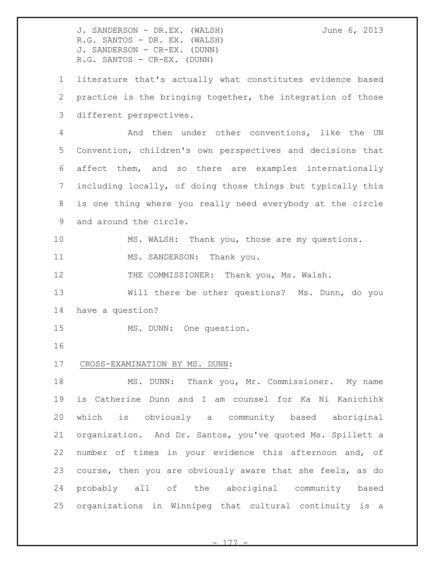J. SANDERSON - DR.EX. (WALSH) June 6, 2013 R.G. SANTOS - DR. EX. (WALSH) J. SANDERSON - CR-EX. (DUNN) R.G. SANTOS - CR-EX. (DUNN)

 literature that's actually what constitutes evidence based practice is the bringing together, the integration of those different perspectives.

 And then under other conventions, like the UN Convention, children's own perspectives and decisions that affect them, and so there are examples internationally including locally, of doing those things but typically this is one thing where you really need everybody at the circle and around the circle.

MS. WALSH: Thank you, those are my questions.

11 MS. SANDERSON: Thank you.

12 THE COMMISSIONER: Thank you, Ms. Walsh.

 Will there be other questions? Ms. Dunn, do you have a question?

MS. DUNN: One question.

## CROSS-EXAMINATION BY MS. DUNN:

 MS. DUNN: Thank you, Mr. Commissioner. My name is Catherine Dunn and I am counsel for Ka Ni Kanichihk which is obviously a community based aboriginal organization. And Dr. Santos, you've quoted Ms. Spillett a number of times in your evidence this afternoon and, of course, then you are obviously aware that she feels, as do probably all of the aboriginal community based organizations in Winnipeg that cultural continuity is a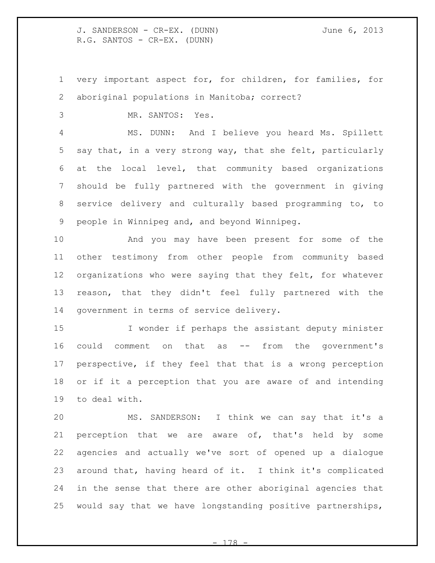J. SANDERSON - CR-EX. (DUNN) June 6, 2013 R.G. SANTOS - CR-EX. (DUNN)

 very important aspect for, for children, for families, for aboriginal populations in Manitoba; correct?

MR. SANTOS: Yes.

 MS. DUNN: And I believe you heard Ms. Spillett say that, in a very strong way, that she felt, particularly at the local level, that community based organizations should be fully partnered with the government in giving service delivery and culturally based programming to, to people in Winnipeg and, and beyond Winnipeg.

 And you may have been present for some of the other testimony from other people from community based organizations who were saying that they felt, for whatever reason, that they didn't feel fully partnered with the government in terms of service delivery.

 I wonder if perhaps the assistant deputy minister could comment on that as -- from the government's perspective, if they feel that that is a wrong perception or if it a perception that you are aware of and intending to deal with.

 MS. SANDERSON: I think we can say that it's a 21 perception that we are aware of, that's held by some agencies and actually we've sort of opened up a dialogue around that, having heard of it. I think it's complicated in the sense that there are other aboriginal agencies that would say that we have longstanding positive partnerships,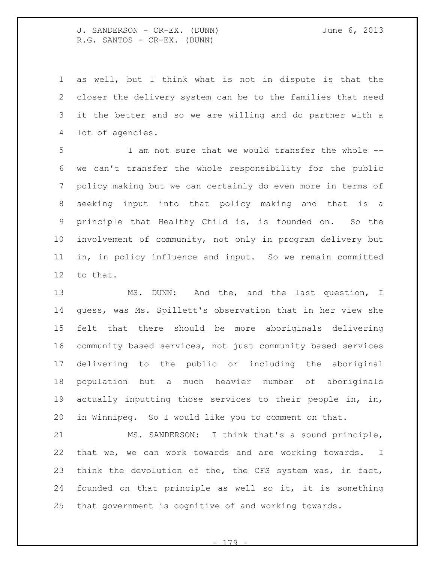J. SANDERSON - CR-EX. (DUNN) June 6, 2013 R.G. SANTOS - CR-EX. (DUNN)

 as well, but I think what is not in dispute is that the closer the delivery system can be to the families that need it the better and so we are willing and do partner with a lot of agencies.

 I am not sure that we would transfer the whole -- we can't transfer the whole responsibility for the public policy making but we can certainly do even more in terms of seeking input into that policy making and that is a principle that Healthy Child is, is founded on. So the involvement of community, not only in program delivery but in, in policy influence and input. So we remain committed to that.

 MS. DUNN: And the, and the last question, I guess, was Ms. Spillett's observation that in her view she felt that there should be more aboriginals delivering community based services, not just community based services delivering to the public or including the aboriginal population but a much heavier number of aboriginals actually inputting those services to their people in, in, in Winnipeg. So I would like you to comment on that.

 MS. SANDERSON: I think that's a sound principle, that we, we can work towards and are working towards. I think the devolution of the, the CFS system was, in fact, founded on that principle as well so it, it is something that government is cognitive of and working towards.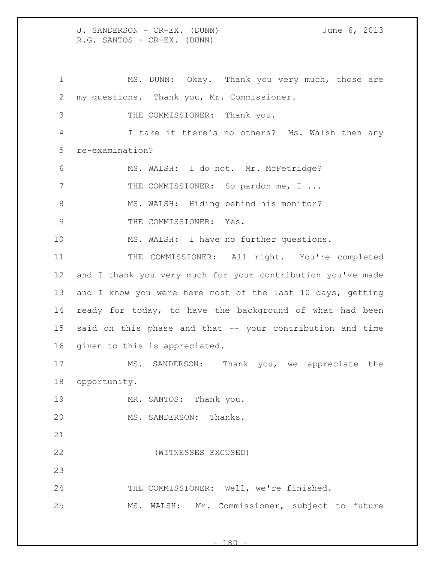J. SANDERSON - CR-EX. (DUNN) June 6, 2013 R.G. SANTOS - CR-EX. (DUNN)

1 MS. DUNN: Okay. Thank you very much, those are my questions. Thank you, Mr. Commissioner. THE COMMISSIONER: Thank you. I take it there's no others? Ms. Walsh then any re-examination? MS. WALSH: I do not. Mr. McFetridge? 7 THE COMMISSIONER: So pardon me, I ... 8 MS. WALSH: Hiding behind his monitor? 9 THE COMMISSIONER: Yes. MS. WALSH: I have no further questions. 11 THE COMMISSIONER: All right. You're completed and I thank you very much for your contribution you've made 13 and I know you were here most of the last 10 days, getting ready for today, to have the background of what had been said on this phase and that -- your contribution and time given to this is appreciated. MS. SANDERSON: Thank you, we appreciate the opportunity. 19 MR. SANTOS: Thank you. MS. SANDERSON: Thanks. (WITNESSES EXCUSED) THE COMMISSIONER: Well, we're finished. MS. WALSH: Mr. Commissioner, subject to future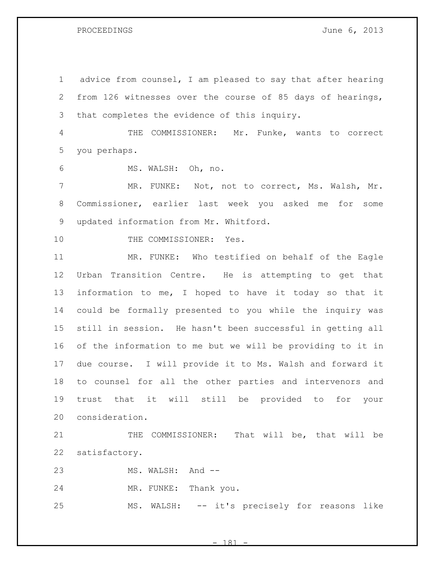PROCEEDINGS June 6, 2013

 advice from counsel, I am pleased to say that after hearing from 126 witnesses over the course of 85 days of hearings, that completes the evidence of this inquiry. THE COMMISSIONER: Mr. Funke, wants to correct you perhaps. MS. WALSH: Oh, no. MR. FUNKE: Not, not to correct, Ms. Walsh, Mr. Commissioner, earlier last week you asked me for some updated information from Mr. Whitford. 10 THE COMMISSIONER: Yes. MR. FUNKE: Who testified on behalf of the Eagle Urban Transition Centre. He is attempting to get that information to me, I hoped to have it today so that it could be formally presented to you while the inquiry was still in session. He hasn't been successful in getting all of the information to me but we will be providing to it in due course. I will provide it to Ms. Walsh and forward it to counsel for all the other parties and intervenors and trust that it will still be provided to for your consideration. 21 THE COMMISSIONER: That will be, that will be satisfactory. 23 MS. WALSH: And -- MR. FUNKE: Thank you. MS. WALSH: -- it's precisely for reasons like